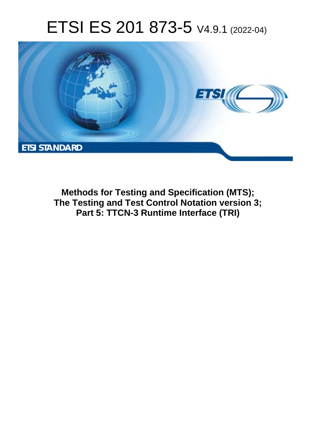# ETSI ES 201 873-5 V4.9.1 (2022-04)



**Methods for Testing and Specification (MTS); The Testing and Test Control Notation version 3; Part 5: TTCN-3 Runtime Interface (TRI)**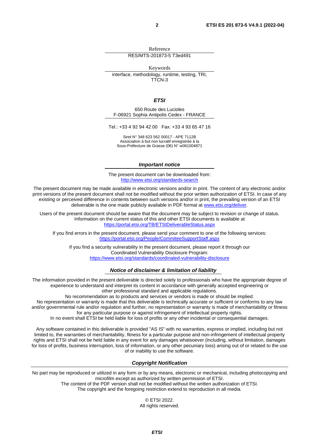Reference RES/MTS-201873-5 T3ed491

Keywords

interface, methodology, runtime, testing, TRI, TTCN-3

*ETSI* 

650 Route des Lucioles F-06921 Sophia Antipolis Cedex - FRANCE

Tel.: +33 4 92 94 42 00 Fax: +33 4 93 65 47 16

Siret N° 348 623 562 00017 - APE 7112B Association à but non lucratif enregistrée à la Sous-Préfecture de Grasse (06) N° w061004871

#### *Important notice*

The present document can be downloaded from: <http://www.etsi.org/standards-search>

The present document may be made available in electronic versions and/or in print. The content of any electronic and/or print versions of the present document shall not be modified without the prior written authorization of ETSI. In case of any existing or perceived difference in contents between such versions and/or in print, the prevailing version of an ETSI deliverable is the one made publicly available in PDF format at [www.etsi.org/deliver.](http://www.etsi.org/deliver)

Users of the present document should be aware that the document may be subject to revision or change of status. Information on the current status of this and other ETSI documents is available at <https://portal.etsi.org/TB/ETSIDeliverableStatus.aspx>

If you find errors in the present document, please send your comment to one of the following services: <https://portal.etsi.org/People/CommiteeSupportStaff.aspx>

If you find a security vulnerability in the present document, please report it through our Coordinated Vulnerability Disclosure Program: <https://www.etsi.org/standards/coordinated-vulnerability-disclosure>

#### *Notice of disclaimer & limitation of liability*

The information provided in the present deliverable is directed solely to professionals who have the appropriate degree of experience to understand and interpret its content in accordance with generally accepted engineering or other professional standard and applicable regulations.

No recommendation as to products and services or vendors is made or should be implied.

No representation or warranty is made that this deliverable is technically accurate or sufficient or conforms to any law and/or governmental rule and/or regulation and further, no representation or warranty is made of merchantability or fitness for any particular purpose or against infringement of intellectual property rights.

In no event shall ETSI be held liable for loss of profits or any other incidental or consequential damages.

Any software contained in this deliverable is provided "AS IS" with no warranties, express or implied, including but not limited to, the warranties of merchantability, fitness for a particular purpose and non-infringement of intellectual property rights and ETSI shall not be held liable in any event for any damages whatsoever (including, without limitation, damages for loss of profits, business interruption, loss of information, or any other pecuniary loss) arising out of or related to the use of or inability to use the software.

#### *Copyright Notification*

No part may be reproduced or utilized in any form or by any means, electronic or mechanical, including photocopying and microfilm except as authorized by written permission of ETSI.

> The content of the PDF version shall not be modified without the written authorization of ETSI. The copyright and the foregoing restriction extend to reproduction in all media.

> > © ETSI 2022. All rights reserved.

> > > *ETSI*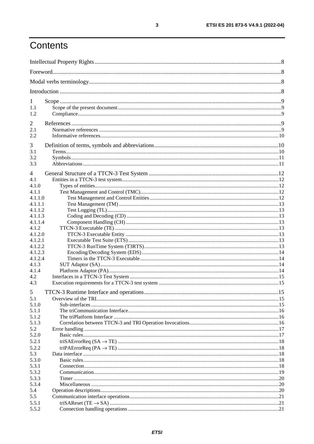# Contents

| 1                |  |  |
|------------------|--|--|
| 1.1              |  |  |
| 1.2              |  |  |
| 2                |  |  |
| 2.1              |  |  |
| 2.2              |  |  |
| 3                |  |  |
| 3.1              |  |  |
| 3.2              |  |  |
| 3.3              |  |  |
|                  |  |  |
| 4                |  |  |
| 4.1              |  |  |
| 4.1.0            |  |  |
| 4.1.1<br>4.1.1.0 |  |  |
| 4.1.1.1          |  |  |
| 4.1.1.2          |  |  |
| 4.1.1.3          |  |  |
| 4.1.1.4          |  |  |
| 4.1.2            |  |  |
| 4.1.2.0          |  |  |
| 4.1.2.1          |  |  |
| 4.1.2.2          |  |  |
| 4.1.2.3          |  |  |
| 4.1.2.4          |  |  |
| 4.1.3            |  |  |
| 4.1.4<br>4.2     |  |  |
| 4.3              |  |  |
|                  |  |  |
| 5                |  |  |
| 5.1              |  |  |
| 5.1.0<br>5.1.1   |  |  |
| 5.1.2            |  |  |
| 5.1.3            |  |  |
| 5.2              |  |  |
| 5.2.0            |  |  |
| 5.2.1            |  |  |
| 5.2.2            |  |  |
| 5.3              |  |  |
| 5.3.0            |  |  |
| 5.3.1            |  |  |
| 5.3.2            |  |  |
| 5.3.3            |  |  |
| 5.3.4            |  |  |
| 5.4<br>5.5       |  |  |
| 5.5.1            |  |  |
| 5.5.2            |  |  |
|                  |  |  |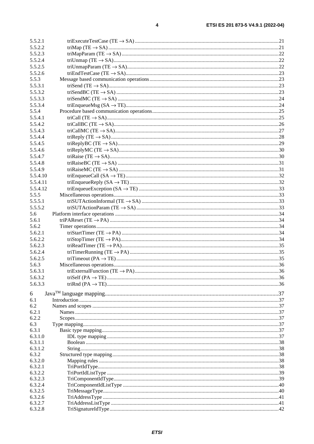| 5.5.2.1  |  |
|----------|--|
| 5.5.2.2  |  |
| 5.5.2.3  |  |
| 5.5.2.4  |  |
| 5.5.2.5  |  |
| 5.5.2.6  |  |
| 5.5.3    |  |
| 5.5.3.1  |  |
| 5.5.3.2  |  |
| 5.5.3.3  |  |
| 5.5.3.4  |  |
| 5.5.4    |  |
|          |  |
| 5.5.4.1  |  |
| 5.5.4.2  |  |
| 5.5.4.3  |  |
| 5.5.4.4  |  |
| 5.5.4.5  |  |
| 5.5.4.6  |  |
| 5.5.4.7  |  |
| 5.5.4.8  |  |
| 5.5.4.9  |  |
| 5.5.4.10 |  |
| 5.5.4.11 |  |
| 5.5.4.12 |  |
| 5.5.5    |  |
| 5.5.5.1  |  |
| 5.5.5.2  |  |
| 5.6      |  |
| 5.6.1    |  |
| 5.6.2    |  |
| 5.6.2.1  |  |
| 5.6.2.2  |  |
|          |  |
| 5.6.2.3  |  |
| 5.6.2.4  |  |
| 5.6.2.5  |  |
| 5.6.3    |  |
| 5.6.3.1  |  |
| 5.6.3.2  |  |
| 5.6.3.3  |  |
| 6        |  |
| 6.1      |  |
| 6.2      |  |
| 6.2.1    |  |
| 6.2.2    |  |
| 6.3      |  |
| 6.3.1    |  |
| 6.3.1.0  |  |
| 6.3.1.1  |  |
| 6.3.1.2  |  |
| 6.3.2    |  |
| 6.3.2.0  |  |
| 6.3.2.1  |  |
| 6.3.2.2  |  |
| 6.3.2.3  |  |
| 6.3.2.4  |  |
| 6.3.2.5  |  |
| 6.3.2.6  |  |
| 6.3.2.7  |  |
| 6.3.2.8  |  |
|          |  |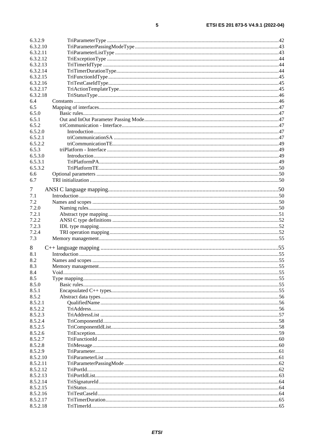| 6.3.2.9              |  |
|----------------------|--|
| 6.3.2.10             |  |
| 6.3.2.11             |  |
| 6.3.2.12             |  |
| 6.3.2.13             |  |
| 6.3.2.14             |  |
| 6.3.2.15             |  |
| 6.3.2.16             |  |
| 6.3.2.17             |  |
| 6.3.2.18             |  |
| 6.4                  |  |
| 6.5                  |  |
| 6.5.0<br>6.5.1       |  |
| 6.5.2                |  |
| 6.5.2.0              |  |
| 6.5.2.1              |  |
| 6.5.2.2              |  |
| 6.5.3                |  |
| 6.5.3.0              |  |
| 6.5.3.1              |  |
| 6.5.3.2              |  |
| 6.6                  |  |
| 6.7                  |  |
|                      |  |
| 7                    |  |
| 7.1                  |  |
| 7.2                  |  |
| 7.2.0                |  |
| 7.2.1                |  |
| 7.2.2                |  |
| 7.2.3                |  |
| 7.2.4                |  |
| 7.3                  |  |
| 8                    |  |
| 8.1                  |  |
| 8.2                  |  |
| 8.3                  |  |
| 8.4                  |  |
| 8.5                  |  |
| 8.5.0                |  |
| 8.5.1                |  |
| 8.5.2                |  |
| 8.5.2.1              |  |
| 8.5.2.2              |  |
| 8.5.2.3              |  |
| 8.5.2.4              |  |
| 8.5.2.5              |  |
| 8.5.2.6              |  |
| 8.5.2.7              |  |
| 8.5.2.8              |  |
| 8.5.2.9              |  |
| 8.5.2.10             |  |
| 8.5.2.11             |  |
| 8.5.2.12             |  |
| 8.5.2.13<br>8.5.2.14 |  |
| 8.5.2.15             |  |
| 8.5.2.16             |  |
| 8.5.2.17             |  |
| 8.5.2.18             |  |
|                      |  |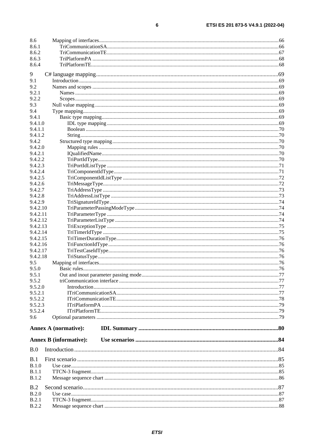| 8.6                  |                               |  |
|----------------------|-------------------------------|--|
| 8.6.1                |                               |  |
| 8.6.2                |                               |  |
| 8.6.3                |                               |  |
| 8.6.4                |                               |  |
| 9                    |                               |  |
| 9.1                  |                               |  |
| 9.2                  |                               |  |
| 9.2.1                |                               |  |
| 9.2.2                |                               |  |
| 9.3                  |                               |  |
| 9.4                  |                               |  |
| 9.4.1                |                               |  |
| 9.4.1.0              |                               |  |
| 9.4.1.1              |                               |  |
| 9.4.1.2              |                               |  |
| 9.4.2<br>9.4.2.0     |                               |  |
| 9.4.2.1              |                               |  |
| 9.4.2.2              |                               |  |
| 9.4.2.3              |                               |  |
| 9.4.2.4              |                               |  |
| 9.4.2.5              |                               |  |
| 9.4.2.6              |                               |  |
| 9.4.2.7              |                               |  |
| 9.4.2.8              |                               |  |
| 9.4.2.9              |                               |  |
| 9.4.2.10             |                               |  |
| 9.4.2.11             |                               |  |
| 9.4.2.12             |                               |  |
| 9.4.2.13<br>9.4.2.14 |                               |  |
| 9.4.2.15             |                               |  |
| 9.4.2.16             |                               |  |
| 9.4.2.17             |                               |  |
| 9.4.2.18             |                               |  |
| 9.5                  |                               |  |
| 9.5.0                |                               |  |
| 9.5.1                |                               |  |
| 9.5.2                |                               |  |
| 9.5.2.0              |                               |  |
| 9.5.2.1              |                               |  |
| 9.5.2.2              |                               |  |
| 9.5.2.3<br>9.5.2.4   |                               |  |
| 9.6                  |                               |  |
|                      |                               |  |
|                      | <b>Annex A (normative):</b>   |  |
|                      | <b>Annex B</b> (informative): |  |
|                      |                               |  |
| B.0                  |                               |  |
| B.1                  |                               |  |
| B.1.0                |                               |  |
| B.1.1                |                               |  |
| B.1.2                |                               |  |
|                      |                               |  |
| B.2                  |                               |  |
| B.2.0                |                               |  |
| B.2.1                |                               |  |
| <b>B.2.2</b>         |                               |  |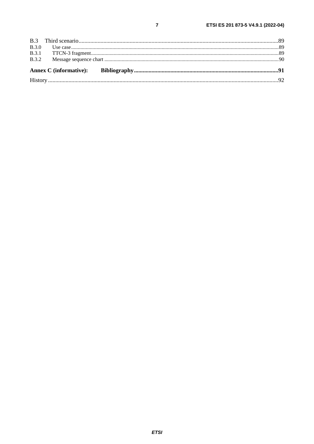| B.3.0 |  |  |  |
|-------|--|--|--|
|       |  |  |  |
| B.3.2 |  |  |  |
|       |  |  |  |
|       |  |  |  |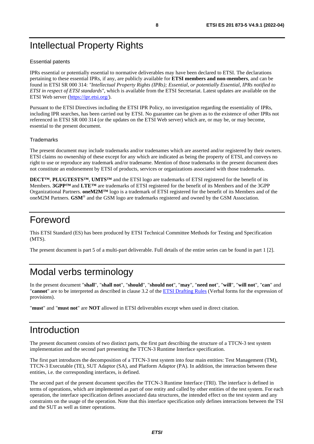# <span id="page-7-0"></span>Intellectual Property Rights

#### Essential patents

IPRs essential or potentially essential to normative deliverables may have been declared to ETSI. The declarations pertaining to these essential IPRs, if any, are publicly available for **ETSI members and non-members**, and can be found in ETSI SR 000 314: *"Intellectual Property Rights (IPRs); Essential, or potentially Essential, IPRs notified to ETSI in respect of ETSI standards"*, which is available from the ETSI Secretariat. Latest updates are available on the ETSI Web server ([https://ipr.etsi.org/\)](https://ipr.etsi.org/).

Pursuant to the ETSI Directives including the ETSI IPR Policy, no investigation regarding the essentiality of IPRs, including IPR searches, has been carried out by ETSI. No guarantee can be given as to the existence of other IPRs not referenced in ETSI SR 000 314 (or the updates on the ETSI Web server) which are, or may be, or may become, essential to the present document.

#### **Trademarks**

The present document may include trademarks and/or tradenames which are asserted and/or registered by their owners. ETSI claims no ownership of these except for any which are indicated as being the property of ETSI, and conveys no right to use or reproduce any trademark and/or tradename. Mention of those trademarks in the present document does not constitute an endorsement by ETSI of products, services or organizations associated with those trademarks.

**DECT™**, **PLUGTESTS™**, **UMTS™** and the ETSI logo are trademarks of ETSI registered for the benefit of its Members. **3GPP™** and **LTE™** are trademarks of ETSI registered for the benefit of its Members and of the 3GPP Organizational Partners. **oneM2M™** logo is a trademark of ETSI registered for the benefit of its Members and of the oneM2M Partners. **GSM**® and the GSM logo are trademarks registered and owned by the GSM Association.

# Foreword

This ETSI Standard (ES) has been produced by ETSI Technical Committee Methods for Testing and Specification (MTS).

The present document is part 5 of a multi-part deliverable. Full details of the entire series can be found in part 1 [\[2](#page-8-0)].

# Modal verbs terminology

In the present document "**shall**", "**shall not**", "**should**", "**should not**", "**may**", "**need not**", "**will**", "**will not**", "**can**" and "**cannot**" are to be interpreted as described in clause 3.2 of the [ETSI Drafting Rules](https://portal.etsi.org/Services/editHelp!/Howtostart/ETSIDraftingRules.aspx) (Verbal forms for the expression of provisions).

"**must**" and "**must not**" are **NOT** allowed in ETSI deliverables except when used in direct citation.

### Introduction

The present document consists of two distinct parts, the first part describing the structure of a TTCN-3 test system implementation and the second part presenting the TTCN-3 Runtime Interface specification.

The first part introduces the decomposition of a TTCN-3 test system into four main entities: Test Management (TM), TTCN-3 Executable (TE), SUT Adaptor (SA), and Platform Adaptor (PA). In addition, the interaction between these entities, i.e. the corresponding interfaces, is defined.

The second part of the present document specifies the TTCN-3 Runtime Interface (TRI). The interface is defined in terms of operations, which are implemented as part of one entity and called by other entities of the test system. For each operation, the interface specification defines associated data structures, the intended effect on the test system and any constraints on the usage of the operation. Note that this interface specification only defines interactions between the TSI and the SUT as well as timer operations.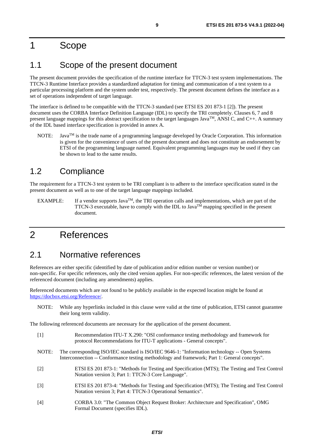### <span id="page-8-0"></span>1 Scope

### 1.1 Scope of the present document

The present document provides the specification of the runtime interface for TTCN-3 test system implementations. The TTCN-3 Runtime Interface provides a standardized adaptation for timing and communication of a test system to a particular processing platform and the system under test, respectively. The present document defines the interface as a set of operations independent of target language.

The interface is defined to be compatible with the TTCN-3 standard (see ETSI ES 201 873-1 [2]). The present document uses the CORBA Interface Definition Language (IDL) to specify the TRI completely. Clauses 6, 7 and 8 present language mappings for this abstract specification to the target languages Java<sup>TM</sup>, ANSI C, and C++. A summary of the IDL based interface specification is provided in annex A.

NOTE: Java<sup>TM</sup> is the trade name of a programming language developed by Oracle Corporation. This information is given for the convenience of users of the present document and does not constitute an endorsement by ETSI of the programming language named. Equivalent programming languages may be used if they can be shown to lead to the same results.

### 1.2 Compliance

The requirement for a TTCN-3 test system to be TRI compliant is to adhere to the interface specification stated in the present document as well as to one of the target language mappings included.

EXAMPLE: If a vendor supports  $Java^{TM}$ , the TRI operation calls and implementations, which are part of the TTCN-3 executable, have to comply with the IDL to Java<sup>TM</sup> mapping specified in the present document.

# 2 References

#### 2.1 Normative references

References are either specific (identified by date of publication and/or edition number or version number) or non-specific. For specific references, only the cited version applies. For non-specific references, the latest version of the referenced document (including any amendments) applies.

Referenced documents which are not found to be publicly available in the expected location might be found at <https://docbox.etsi.org/Reference/>.

NOTE: While any hyperlinks included in this clause were valid at the time of publication, ETSI cannot guarantee their long term validity.

The following referenced documents are necessary for the application of the present document.

| $\lceil 1 \rceil$ | Recommendation ITU-T X.290: "OSI conformance testing methodology and framework for<br>protocol Recommendations for ITU-T applications - General concepts".                                    |
|-------------------|-----------------------------------------------------------------------------------------------------------------------------------------------------------------------------------------------|
| NOTE:             | The corresponding ISO/IEC standard is ISO/IEC 9646-1: "Information technology -- Open Systems<br>Interconnection -- Conformance testing methodology and framework; Part 1: General concepts". |
| $\lceil 2 \rceil$ | ETSI ES 201 873-1: "Methods for Testing and Specification (MTS); The Testing and Test Control<br>Notation version 3; Part 1: TTCN-3 Core Language".                                           |
| $\lceil 3 \rceil$ | ETSI ES 201 873-4: "Methods for Testing and Specification (MTS); The Testing and Test Control<br>Notation version 3; Part 4: TTCN-3 Operational Semantics".                                   |
| [4]               | CORBA 3.0: "The Common Object Request Broker: Architecture and Specification", OMG<br>Formal Document (specifies IDL).                                                                        |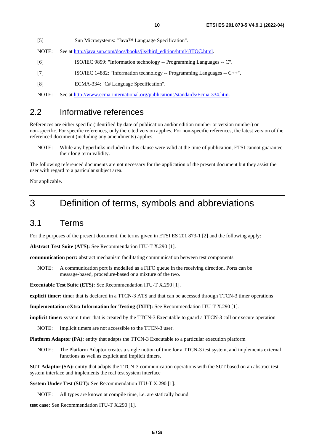<span id="page-9-0"></span>[5] Sun Microsystems: "Java™ Language Specification".

- NOTE: See at [http://java.sun.com/docs/books/jls/third\\_edition/html/j3TOC.html](http://java.sun.com/docs/books/jls/third_edition/html/j3TOC.html).
- [6] ISO/IEC 9899: "Information technology -- Programming Languages -- C".
- [7] ISO/IEC 14882: "Information technology -- Programming Languages -- C++".
- [8] ECMA-334: "C# Language Specification".

NOTE: See at <http://www.ecma-international.org/publications/standards/Ecma-334.htm>.

#### 2.2 Informative references

References are either specific (identified by date of publication and/or edition number or version number) or non-specific. For specific references, only the cited version applies. For non-specific references, the latest version of the referenced document (including any amendments) applies.

NOTE: While any hyperlinks included in this clause were valid at the time of publication, ETSI cannot guarantee their long term validity.

The following referenced documents are not necessary for the application of the present document but they assist the user with regard to a particular subject area.

Not applicable.

### 3 Definition of terms, symbols and abbreviations

#### 3.1 Terms

For the purposes of the present document, the terms given in ETSI ES 201 873-1 [\[2](#page-8-0)] and the following apply:

**Abstract Test Suite (ATS):** See Recommendation ITU-T X.290 [[1](#page-8-0)].

**communication port:** abstract mechanism facilitating communication between test components

NOTE: A communication port is modelled as a FIFO queue in the receiving direction. Ports can be message-based, procedure-based or a mixture of the two.

**Executable Test Suite (ETS):** See Recommendation ITU-T X.290 [[1\]](#page-8-0).

**explicit timer:** timer that is declared in a TTCN-3 ATS and that can be accessed through TTCN-3 timer operations

**Implementation eXtra Information for Testing (IXIT):** See Recommendation ITU-T X.290 [[1\]](#page-8-0).

**implicit timer:** system timer that is created by the TTCN-3 Executable to guard a TTCN-3 call or execute operation

NOTE: Implicit timers are not accessible to the TTCN-3 user.

**Platform Adaptor (PA):** entity that adapts the TTCN-3 Executable to a particular execution platform

NOTE: The Platform Adaptor creates a single notion of time for a TTCN-3 test system, and implements external functions as well as explicit and implicit timers.

**SUT Adaptor (SA):** entity that adapts the TTCN-3 communication operations with the SUT based on an abstract test system interface and implements the real test system interface

**System Under Test (SUT):** See Recommendation ITU-T X.290 [\[1](#page-8-0)].

NOTE: All types are known at compile time, i.e. are statically bound.

**test case:** See Recommendation ITU-T X.290 [[1\]](#page-8-0).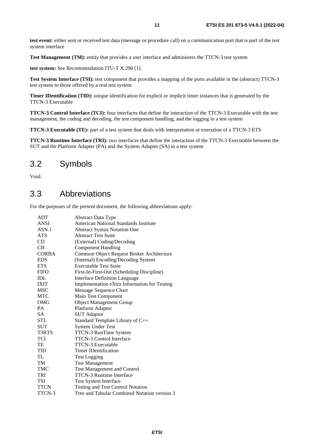<span id="page-10-0"></span>**test event:** either sent or received test data (message or procedure call) on a communication port that is part of the test system interface

Test Management (TM): entity that provides a user interface and administers the TTCN-3 test system

**test system:** See Recommendation ITU-T X.290 [\[1](#page-8-0)].

**Test System Interface (TSI):** test component that provides a mapping of the ports available in the (abstract) TTCN-3 test system to those offered by a real test system

**Timer IDentification (TID):** unique identification for explicit or implicit timer instances that is generated by the TTCN-3 Executable

**TTCN-3 Control Interface (TCI):** four interfaces that define the interaction of the TTCN-3 Executable with the test management, the coding and decoding, the test component handling, and the logging in a test system

**TTCN-3 Executable (TE):** part of a test system that deals with interpretation or execution of a TTCN-3 ETS

**TTCN-3 Runtime Interface (TRI):** two interfaces that define the interaction of the TTCN-3 Executable between the SUT and the Platform Adapter (PA) and the System Adapter (SA) in a test system

### 3.2 Symbols

Void.

### 3.3 Abbreviations

For the purposes of the present document, the following abbreviations apply:

| <b>ADT</b>   | <b>Abstract Data Type</b>                    |
|--------------|----------------------------------------------|
| ANSI         | American National Standards Institute        |
| ASN.1        | <b>Abstract Syntax Notation One</b>          |
| <b>ATS</b>   | <b>Abstract Test Suite</b>                   |
| CD           | (External) Coding/Decoding                   |
| <b>CH</b>    | <b>Component Handling</b>                    |
| <b>CORBA</b> | Common Object Request Broker Architecture    |
| <b>EDS</b>   | (Internal) Encoding/Decoding System          |
| <b>ETS</b>   | <b>Executable Test Suite</b>                 |
| <b>FIFO</b>  | First-In-First-Out (Scheduling Discipline)   |
| IDL          | <b>Interface Definition Language</b>         |
| <b>IXIT</b>  | Implementation eXtra Information for Testing |
| MSC          | Message Sequence Chart                       |
| MTC          | Main Test Component                          |
| <b>OMG</b>   | <b>Object Management Group</b>               |
| PA           | Platform Adaptor                             |
| <b>SA</b>    | <b>SUT Adaptor</b>                           |
| <b>STL</b>   | Standard Template Library of C++             |
| <b>SUT</b>   | <b>System Under Test</b>                     |
| T3RTS        | TTCN-3 RunTime System                        |
| TCI          | <b>TTCN-3 Control Interface</b>              |
| TE           | <b>TTCN-3 Executable</b>                     |
| TID          | <b>Timer IDentification</b>                  |
| TL           | <b>Test Logging</b>                          |
| TM           | <b>Test Management</b>                       |
| <b>TMC</b>   | <b>Test Management and Control</b>           |
| <b>TRI</b>   | <b>TTCN-3 Runtime Interface</b>              |
| <b>TSI</b>   | <b>Test System Interface</b>                 |
| <b>TTCN</b>  | <b>Testing and Test Control Notation</b>     |
| TTCN-3       | Tree and Tabular Combined Notation version 3 |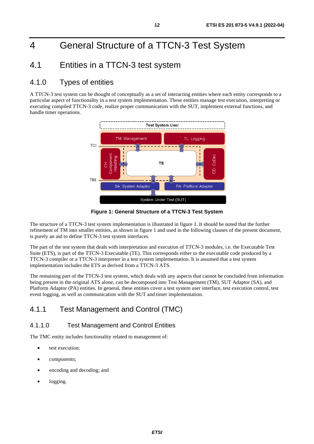# <span id="page-11-0"></span>4 General Structure of a TTCN-3 Test System

### 4.1 Entities in a TTCN-3 test system

#### 4.1.0 Types of entities

A TTCN-3 test system can be thought of conceptually as a set of interacting entities where each entity corresponds to a particular aspect of functionality in a test system implementation. These entities manage test execution, interpreting or executing compiled TTCN-3 code, realize proper communication with the SUT, implement external functions, and handle timer operations.



**Figure 1: General Structure of a TTCN-3 Test System** 

The structure of a TTCN-3 test system implementation is illustrated in figure 1. It should be noted that the further refinement of TM into smaller entities, as shown in figure 1 and used in the following clauses of the present document, is purely an aid to define TTCN-3 test system interfaces.

The part of the test system that deals with interpretation and execution of TTCN-3 modules, i.e. the Executable Test Suite (ETS), is part of the TTCN-3 Executable (TE). This corresponds either to the executable code produced by a TTCN-3 compiler or a TTCN-3 interpreter in a test system implementation. It is assumed that a test system implementation includes the ETS as derived from a TTCN-3 ATS.

The remaining part of the TTCN-3 test system, which deals with any aspects that cannot be concluded from information being present in the original ATS alone, can be decomposed into Test Management (TM), SUT Adaptor (SA), and Platform Adaptor (PA) entities. In general, these entities cover a test system user interface, test execution control, test event logging, as well as communication with the SUT and timer implementation.

#### 4.1.1 Test Management and Control (TMC)

#### 4.1.1.0 Test Management and Control Entities

The TMC entity includes functionality related to management of:

- test execution:
- components;
- encoding and decoding; and
- logging.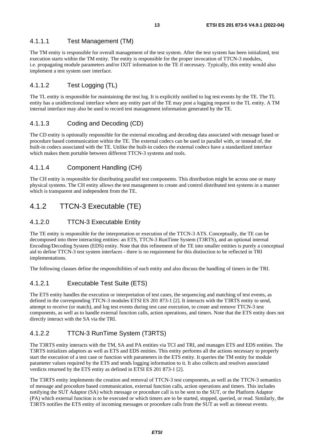#### <span id="page-12-0"></span>4.1.1.1 Test Management (TM)

The TM entity is responsible for overall management of the test system. After the test system has been initialized, test execution starts within the TM entity. The entity is responsible for the proper invocation of TTCN-3 modules, i.e. propagating module parameters and/or IXIT information to the TE if necessary. Typically, this entity would also implement a test system user interface.

#### 4.1.1.2 Test Logging (TL)

The TL entity is responsible for maintaining the test log. It is explicitly notified to log test events by the TE. The TL entity has a unidirectional interface where any entity part of the TE may post a logging request to the TL entity. A TM internal interface may also be used to record test management information generated by the TE.

#### 4.1.1.3 Coding and Decoding (CD)

The CD entity is optionally responsible for the external encoding and decoding data associated with message based or procedure based communication within the TE. The external codecs can be used in parallel with, or instead of, the built-in codecs associated with the TE. Unlike the built-in codecs the external codecs have a standardized interface which makes them portable between different TTCN-3 systems and tools.

#### 4.1.1.4 Component Handling (CH)

The CH entity is responsible for distributing parallel test components. This distribution might be across one or many physical systems. The CH entity allows the test management to create and control distributed test systems in a manner which is transparent and independent from the TE.

#### 4.1.2 TTCN-3 Executable (TE)

#### 4.1.2.0 TTCN-3 Executable Entity

The TE entity is responsible for the interpretation or execution of the TTCN-3 ATS. Conceptually, the TE can be decomposed into three interacting entities: an ETS, TTCN-3 RunTime System (T3RTS), and an optional internal Encoding/Decoding System (EDS) entity. Note that this refinement of the TE into smaller entities is purely a conceptual aid to define TTCN-3 test system interfaces - there is no requirement for this distinction to be reflected in TRI implementations.

The following clauses define the responsibilities of each entity and also discuss the handling of timers in the TRI.

#### 4.1.2.1 Executable Test Suite (ETS)

The ETS entity handles the execution or interpretation of test cases, the sequencing and matching of test events, as defined in the corresponding TTCN-3 modules ETSI ES 201 873-1 [\[2](#page-8-0)]. It interacts with the T3RTS entity to send, attempt to receive (or match), and log test events during test case execution, to create and remove TTCN-3 test components, as well as to handle external function calls, action operations, and timers. Note that the ETS entity does not directly interact with the SA via the TRI.

#### 4.1.2.2 TTCN-3 RunTime System (T3RTS)

The T3RTS entity interacts with the TM, SA and PA entities via TCI and TRI, and manages ETS and EDS entities. The T3RTS initializes adaptors as well as ETS and EDS entities. This entity performs all the actions necessary to properly start the execution of a test case or function with parameters in the ETS entity. It queries the TM entity for module parameter values required by the ETS and sends logging information to it. It also collects and resolves associated verdicts returned by the ETS entity as defined in ETSI ES 201 873-1 [\[2](#page-8-0)].

The T3RTS entity implements the creation and removal of TTCN-3 test components, as well as the TTCN-3 semantics of message and procedure based communication, external function calls, action operations and timers. This includes notifying the SUT Adaptor (SA) which message or procedure call is to be sent to the SUT, or the Platform Adaptor (PA) which external function is to be executed or which timers are to be started, stopped, queried, or read. Similarly, the T3RTS notifies the ETS entity of incoming messages or procedure calls from the SUT as well as timeout events.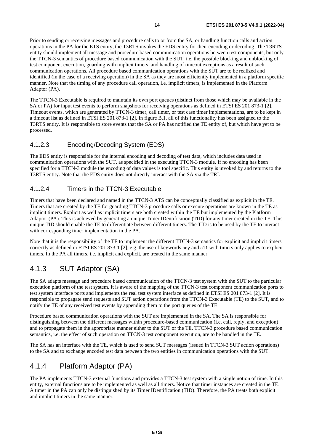<span id="page-13-0"></span>Prior to sending or receiving messages and procedure calls to or from the SA, or handling function calls and action operations in the PA for the ETS entity, the T3RTS invokes the EDS entity for their encoding or decoding. The T3RTS entity should implement all message and procedure based communication operations between test components, but only the TTCN-3 semantics of procedure based communication with the SUT, i.e. the possible blocking and unblocking of test component execution, guarding with implicit timers, and handling of timeout exceptions as a result of such communication operations. All procedure based communication operations with the SUT are to be realized and identified (in the case of a receiving operation) in the SA as they are most efficiently implemented in a platform specific manner. Note that the timing of any procedure call operation, i.e. implicit timers, is implemented in the Platform Adaptor (PA).

The TTCN-3 Executable is required to maintain its own port queues (distinct from those which may be available in the SA or PA) for input test events to perform snapshots for receiving operations as defined in ETSI ES 201 873-1 [\[2](#page-8-0)]. Timeout events, which are generated by TTCN-3 timer, call timer, or test case timer implementations, are to be kept in a timeout list as defined in ETSI ES 201 873-1 [\[2](#page-8-0)]. In figure B.1, all of this functionality has been assigned to the T3RTS entity. It is responsible to store events that the SA or PA has notified the TE entity of, but which have yet to be processed.

#### 4.1.2.3 Encoding/Decoding System (EDS)

The EDS entity is responsible for the internal encoding and decoding of test data, which includes data used in communication operations with the SUT, as specified in the executing TTCN-3 module. If no encoding has been specified for a TTCN-3 module the encoding of data values is tool specific. This entity is invoked by and returns to the T3RTS entity. Note that the EDS entity does not directly interact with the SA via the TRI.

#### 4.1.2.4 Timers in the TTCN-3 Executable

Timers that have been declared and named in the TTCN-3 ATS can be conceptually classified as explicit in the TE. Timers that are created by the TE for guarding TTCN-3 procedure calls or execute operations are known in the TE as implicit timers. Explicit as well as implicit timers are both created within the TE but implemented by the Platform Adaptor (PA). This is achieved by generating a unique Timer IDentification (TID) for any timer created in the TE. This unique TID should enable the TE to differentiate between different timers. The TID is to be used by the TE to interact with corresponding timer implementation in the PA.

Note that it is the responsibility of the TE to implement the different TTCN-3 semantics for explicit and implicit timers correctly as defined in ETSI ES 201 873-1 [\[2](#page-8-0)], e.g. the use of keywords any and all with timers only applies to explicit timers. In the PA all timers, i.e. implicit and explicit, are treated in the same manner.

#### 4.1.3 SUT Adaptor (SA)

The SA adapts message and procedure based communication of the TTCN-3 test system with the SUT to the particular execution platform of the test system. It is aware of the mapping of the TTCN-3 test component communication ports to test system interface ports and implements the real test system interface as defined in ETSI ES 201 873-1 [\[2](#page-8-0)]. It is responsible to propagate send requests and SUT action operations from the TTCN-3 Executable (TE) to the SUT, and to notify the TE of any received test events by appending them to the port queues of the TE.

Procedure based communication operations with the SUT are implemented in the SA. The SA is responsible for distinguishing between the different messages within procedure-based communication (i.e. call, reply, and exception) and to propagate them in the appropriate manner either to the SUT or the TE. TTCN-3 procedure based communication semantics, i.e. the effect of such operation on TTCN-3 test component execution, are to be handled in the TE.

The SA has an interface with the TE, which is used to send SUT messages (issued in TTCN-3 SUT action operations) to the SA and to exchange encoded test data between the two entities in communication operations with the SUT.

#### 4.1.4 Platform Adaptor (PA)

The PA implements TTCN-3 external functions and provides a TTCN-3 test system with a single notion of time. In this entity, external functions are to be implemented as well as all timers. Notice that timer instances are created in the TE. A timer in the PA can only be distinguished by its Timer IDentification (TID). Therefore, the PA treats both explicit and implicit timers in the same manner.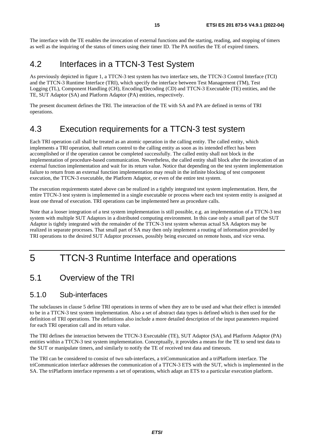<span id="page-14-0"></span>The interface with the TE enables the invocation of external functions and the starting, reading, and stopping of timers as well as the inquiring of the status of timers using their timer ID. The PA notifies the TE of expired timers.

### 4.2 Interfaces in a TTCN-3 Test System

As previously depicted in figure 1, a TTCN-3 test system has two interface sets, the TTCN-3 Control Interface (TCI) and the TTCN-3 Runtime Interface (TRI), which specify the interface between Test Management (TM), Test Logging (TL), Component Handling (CH), Encoding/Decoding (CD) and TTCN-3 Executable (TE) entities, and the TE, SUT Adaptor (SA) and Platform Adaptor (PA) entities, respectively.

The present document defines the TRI. The interaction of the TE with SA and PA are defined in terms of TRI operations.

### 4.3 Execution requirements for a TTCN-3 test system

Each TRI operation call shall be treated as an atomic operation in the calling entity. The called entity, which implements a TRI operation, shall return control to the calling entity as soon as its intended effect has been accomplished or if the operation cannot be completed successfully. The called entity shall not block in the implementation of procedure-based communication. Nevertheless, the called entity shall block after the invocation of an external function implementation and wait for its return value. Notice that depending on the test system implementation failure to return from an external function implementation may result in the infinite blocking of test component execution, the TTCN-3 executable, the Platform Adaptor, or even of the entire test system.

The execution requirements stated above can be realized in a tightly integrated test system implementation. Here, the entire TTCN-3 test system is implemented in a single executable or process where each test system entity is assigned at least one thread of execution. TRI operations can be implemented here as procedure calls.

Note that a looser integration of a test system implementation is still possible, e.g. an implementation of a TTCN-3 test system with multiple SUT Adaptors in a distributed computing environment. In this case only a small part of the SUT Adaptor is tightly integrated with the remainder of the TTCN-3 test system whereas actual SA Adaptors may be realized in separate processes. That small part of SA may then only implement a routing of information provided by TRI operations to the desired SUT Adaptor processes, possibly being executed on remote hosts, and vice versa.

# 5 TTCN-3 Runtime Interface and operations

#### 5.1 Overview of the TRI

#### 5.1.0 Sub-interfaces

The subclauses in clause 5 define TRI operations in terms of when they are to be used and what their effect is intended to be in a TTCN-3 test system implementation. Also a set of abstract data types is defined which is then used for the definition of TRI operations. The definitions also include a more detailed description of the input parameters required for each TRI operation call and its return value.

The TRI defines the interaction between the TTCN-3 Executable (TE), SUT Adaptor (SA), and Platform Adaptor (PA) entities within a TTCN-3 test system implementation. Conceptually, it provides a means for the TE to send test data to the SUT or manipulate timers, and similarly to notify the TE of received test data and timeouts.

The TRI can be considered to consist of two sub-interfaces, a triCommunication and a triPlatform interface. The triCommunication interface addresses the communication of a TTCN-3 ETS with the SUT, which is implemented in the SA. The triPlatform interface represents a set of operations, which adapt an ETS to a particular execution platform.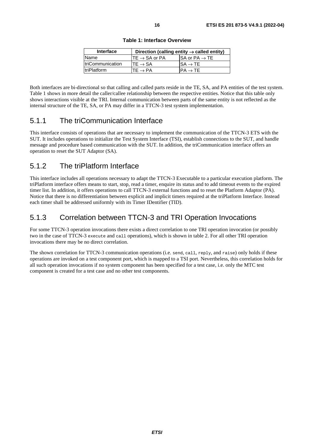| Interface           |                                      | Direction (calling entity $\rightarrow$ called entity) |
|---------------------|--------------------------------------|--------------------------------------------------------|
| <b>Name</b>         | $\mathsf{ITE} \to \mathsf{SA}$ or PA | $ISA$ or PA $\rightarrow$ TE                           |
| triCommunication    | $TE \rightarrow SA$                  | $\mathsf{ISA}\to\mathsf{TE}$                           |
| <b>ItriPlatform</b> | $\mathsf{TE}\to\mathsf{PA}$          | $PA \rightarrow TE$                                    |

**Table 1: Interface Overview** 

<span id="page-15-0"></span>Both interfaces are bi-directional so that calling and called parts reside in the TE, SA, and PA entities of the test system. Table 1 shows in more detail the caller/callee relationship between the respective entities. Notice that this table only shows interactions visible at the TRI. Internal communication between parts of the same entity is not reflected as the internal structure of the TE, SA, or PA may differ in a TTCN-3 test system implementation.

#### 5.1.1 The triCommunication Interface

This interface consists of operations that are necessary to implement the communication of the TTCN-3 ETS with the SUT. It includes operations to initialize the Test System Interface (TSI), establish connections to the SUT, and handle message and procedure based communication with the SUT. In addition, the triCommunication interface offers an operation to reset the SUT Adaptor (SA).

#### 5.1.2 The triPlatform Interface

This interface includes all operations necessary to adapt the TTCN-3 Executable to a particular execution platform. The triPlatform interface offers means to start, stop, read a timer, enquire its status and to add timeout events to the expired timer list. In addition, it offers operations to call TTCN-3 external functions and to reset the Platform Adaptor (PA). Notice that there is no differentiation between explicit and implicit timers required at the triPlatform Interface. Instead each timer shall be addressed uniformly with its Timer IDentifier (TID).

#### 5.1.3 Correlation between TTCN-3 and TRI Operation Invocations

For some TTCN-3 operation invocations there exists a direct correlation to one TRI operation invocation (or possibly two in the case of TTCN-3 execute and call operations), which is shown in table 2. For all other TRI operation invocations there may be no direct correlation.

The shown correlation for TTCN-3 communication operations (i.e. send, call, reply, and raise) only holds if these operations are invoked on a test component port, which is mapped to a TSI port. Nevertheless, this correlation holds for all such operation invocations if no system component has been specified for a test case, i.e. only the MTC test component is created for a test case and no other test components.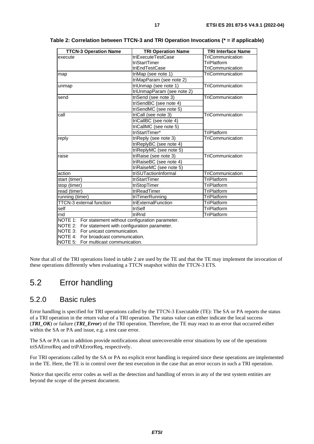| <b>TTCN-3 Operation Name</b>                           | <b>TRI Operation Name</b>  | <b>TRI Interface Name</b> |
|--------------------------------------------------------|----------------------------|---------------------------|
| execute                                                | triExecuteTestCase         | TriCommunication          |
|                                                        | triStartTimer              | TriPlatform               |
|                                                        | triEndTestCase             | TriCommunication          |
| map                                                    | triMap (see note 1)        | TriCommunication          |
|                                                        | triMapParam (see note 2)   |                           |
| unmap                                                  | triUnmap (see note 1)      | TriCommunication          |
|                                                        | triUnmapParam (see note 2) |                           |
| send                                                   | triSend (see note 3)       | TriCommunication          |
|                                                        | triSendBC (see note 4)     |                           |
|                                                        | triSendMC (see note 5)     |                           |
| call                                                   | triCall (see note 3)       | TriCommunication          |
|                                                        | triCallBC (see note 4)     |                           |
|                                                        | triCallMC (see note 5)     |                           |
|                                                        | triStartTimer*             | TriPlatform               |
| reply                                                  | triReply (see note 3)      | TriCommunication          |
|                                                        | triReplyBC (see note 4)    |                           |
|                                                        | triReplyMC (see note 5)    |                           |
| raise                                                  | triRaise (see note 3)      | TriCommunication          |
|                                                        | triRaiseBC (see note 4)    |                           |
|                                                        | triRaiseMC (see note 5)    |                           |
| action                                                 | triSUTactionInformal       | TriCommunication          |
| start (timer)                                          | triStartTimer              | TriPlatform               |
| stop (timer)                                           | triStopTimer               | TriPlatform               |
| read (timer)                                           | triReadTimer               | TriPlatform               |
| running (timer)                                        | triTimerRunning            | TriPlatform               |
| TTCN-3 external function                               | triExternalFunction        | TriPlatform               |
| self                                                   | triSelf                    | TriPlatform               |
| Irnd                                                   | triRnd                     | TriPlatform               |
| NOTE 1: For statement without configuration parameter. |                            |                           |
| NOTE 2: For statement with configuration parameter.    |                            |                           |
| NOTE 3: For unicast communication.                     |                            |                           |
| NOTE 4: For broadcast communication.                   |                            |                           |
| NOTE 5: For multicast communication.                   |                            |                           |

<span id="page-16-0"></span>**Table 2: Correlation between TTCN-3 and TRI Operation Invocations (\* = if applicable)** 

Note that all of the TRI operations listed in table 2 are used by the TE and that the TE may implement the invocation of these operations differently when evaluating a TTCN snapshot within the TTCN-3 ETS.

### 5.2 Error handling

#### 5.2.0 Basic rules

Error handling is specified for TRI operations called by the TTCN-3 Executable (TE): The SA or PA reports the status of a TRI operation in the return value of a TRI operation. The status value can either indicate the local success (*TRI\_OK*) or failure (*TRI\_Error*) of the TRI operation. Therefore, the TE may react to an error that occurred either within the SA or PA and issue, e.g. a test case error.

The SA or PA can in addition provide notifications about unrecoverable error situations by use of the operations triSAErrorReq and triPAErrorReq, respectively.

For TRI operations called by the SA or PA no explicit error handling is required since these operations are implemented in the TE. Here, the TE is in control over the test execution in the case that an error occurs in such a TRI operation.

Notice that specific error codes as well as the detection and handling of errors in any of the test system entities are beyond the scope of the present document.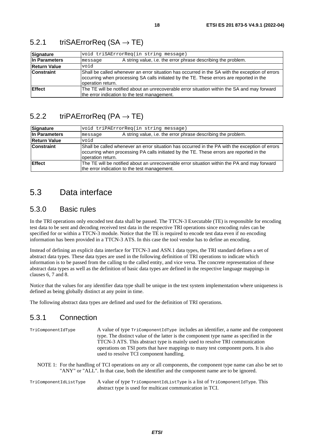| Signature           | void triSAErrorReq(in string message)                                                                                                                                                                            |  |  |
|---------------------|------------------------------------------------------------------------------------------------------------------------------------------------------------------------------------------------------------------|--|--|
| In Parameters       | A string value, i.e. the error phrase describing the problem.<br>message                                                                                                                                         |  |  |
| <b>Return Value</b> | biov                                                                                                                                                                                                             |  |  |
| <b>Constraint</b>   | Shall be called whenever an error situation has occurred in the SA with the exception of errors<br>occurring when processing SA calls initiated by the TE. These errors are reported in the<br>operation return. |  |  |
| <b>Effect</b>       | The TE will be notified about an unrecoverable error situation within the SA and may forward<br>the error indication to the test management.                                                                     |  |  |

#### <span id="page-17-0"></span>5.2.1 triSAErrorReq  $(SA \rightarrow TE)$

### 5.2.2 triPAErrorReq (PA  $\rightarrow$  TE)

| Signature           | void triPAErrorReq(in string message)                                                                                                                                                                            |  |
|---------------------|------------------------------------------------------------------------------------------------------------------------------------------------------------------------------------------------------------------|--|
| In Parameters       | A string value, i.e. the error phrase describing the problem.<br>message                                                                                                                                         |  |
| <b>Return Value</b> | biov                                                                                                                                                                                                             |  |
| <b>Constraint</b>   | Shall be called whenever an error situation has occurred in the PA with the exception of errors<br>occurring when processing PA calls initiated by the TE. These errors are reported in the<br>operation return. |  |
| Effect              | The TE will be notified about an unrecoverable error situation within the PA and may forward<br>the error indication to the test management.                                                                     |  |

### 5.3 Data interface

#### 5.3.0 Basic rules

In the TRI operations only encoded test data shall be passed. The TTCN-3 Executable (TE) is responsible for encoding test data to be sent and decoding received test data in the respective TRI operations since encoding rules can be specified for or within a TTCN-3 module. Notice that the TE is required to encode test data even if no encoding information has been provided in a TTCN-3 ATS. In this case the tool vendor has to define an encoding.

Instead of defining an explicit data interface for TTCN-3 and ASN.1 data types, the TRI standard defines a set of abstract data types. These data types are used in the following definition of TRI operations to indicate which information is to be passed from the calling to the called entity, and vice versa. The concrete representation of these abstract data types as well as the definition of basic data types are defined in the respective language mappings in clauses 6, 7 and 8.

Notice that the values for any identifier data type shall be unique in the test system implementation where uniqueness is defined as being globally distinct at any point in time.

The following abstract data types are defined and used for the definition of TRI operations.

#### 5.3.1 Connection

| TriComponentIdType | A value of type $TricomponentIdType$ includes an identifier, a name and the component                                                                                                                          |
|--------------------|----------------------------------------------------------------------------------------------------------------------------------------------------------------------------------------------------------------|
|                    | type. The distinct value of the latter is the component type name as specified in the                                                                                                                          |
|                    | TTCN-3 ATS. This abstract type is mainly used to resolve TRI communication                                                                                                                                     |
|                    | operations on TSI ports that have mappings to many test component ports. It is also                                                                                                                            |
|                    | used to resolve TCI component handling.                                                                                                                                                                        |
|                    | NOTE 1: For the handling of TCI operations on any or all components, the component type name can also be set to<br>"ANY" or "ALL". In that case, both the identifier and the component name are to be ignored. |
|                    |                                                                                                                                                                                                                |

TriComponentIdListType A value of type TriComponentIdListType is a list of TriComponentIdType. This abstract type is used for multicast communication in TCI.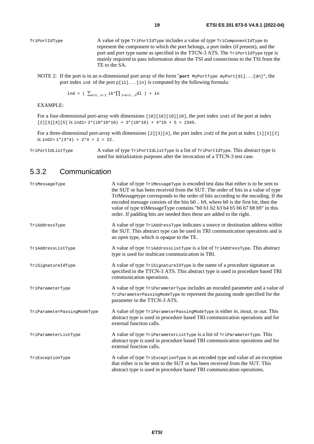- <span id="page-18-0"></span>TriPortIdType A value of type TriPortIdType includes a value of type TriComponentIdType to represent the component to which the port belongs, a port index (if present), and the port and port type name as specified in the TTCN-3 ATS. The TriPortIdType type is mainly required to pass information about the TSI and connections to the TSI from the TE to the SA.
	- NOTE 2: If the port is in an n-dimensional port array of the form "**port** MyPortType myPort[d1]...[dn]", the port index ind of the port  $p[i1]$ ...[in] is computed by the following formula:

ind = (  $\sum_{k=1..n-1} i k \cdot \prod_{1=k+1..n} dl$  ) + in

EXAMPLE:

For a four-dimensional port-array with dimensions  $[10][10][10][10]$ , the port index ind1 of the port at index  $[2][3][4][5]$  is ind1=  $2*(10*10*10) + 3*(10*10) + 4*10 + 5 = 2345$ .

For a three-dimensional port-array with dimensions [2][3][4], the port index ind2 of the port at index [1][2][2] is  $ind2=1*(3*4) + 2*4 + 2 = 22$ .

TriPortIdListType A value of type TriPortIdListType is a list of TriPortIdType. This abstract type is used for initialization purposes after the invocation of a TTCN-3 test case.

#### 5.3.2 Communication

| TriMessageType              | A value of type TriMessageType is encoded test data that either is to be sent to<br>the SUT or has been received from the SUT. The order of bits in a value of type<br>TriMessagetype corresponds to the order of bits according to the encoding. If the<br>encoded message consists of the bits b0 b9, where b0 is the first bit, then the<br>value of type triMessageType contains "b0 b1 b2 b3 b4 b5 b6 b7 b8 b9" in this<br>order. If padding bits are needed then these are added to the right. |
|-----------------------------|------------------------------------------------------------------------------------------------------------------------------------------------------------------------------------------------------------------------------------------------------------------------------------------------------------------------------------------------------------------------------------------------------------------------------------------------------------------------------------------------------|
| TriAddressType              | A value of type TriAddressType indicates a source or destination address within<br>the SUT. This abstract type can be used in TRI communication operations and is<br>an open type, which is opaque to the TE.                                                                                                                                                                                                                                                                                        |
| TriAddressListType          | A value of type TriAddressListType is a list of TriAddressType. This abstract<br>type is used for multicast communication in TRI.                                                                                                                                                                                                                                                                                                                                                                    |
| TriSignatureIdType          | A value of type TriSignatureIdType is the name of a procedure signature as<br>specified in the TTCN-3 ATS. This abstract type is used in procedure based TRI<br>communication operations.                                                                                                                                                                                                                                                                                                            |
| TriParameterType            | A value of type TriParameterType includes an encoded parameter and a value of<br>TriParameterPassingModeType to represent the passing mode specified for the<br>parameter in the TTCN-3 ATS.                                                                                                                                                                                                                                                                                                         |
| TriParameterPassingModeType | A value of type TriParameterPassingModeType is either in, inout, or out. This<br>abstract type is used in procedure based TRI communication operations and for<br>external function calls.                                                                                                                                                                                                                                                                                                           |
| TriParameterListType        | A value of type TriParameterListType is a list of TriParameterType. This<br>abstract type is used in procedure based TRI communication operations and for<br>external function calls.                                                                                                                                                                                                                                                                                                                |
| TriExceptionType            | A value of type TriExceptionType is an encoded type and value of an exception<br>that either is to be sent to the SUT or has been received from the SUT. This<br>abstract type is used in procedure based TRI communication operations.                                                                                                                                                                                                                                                              |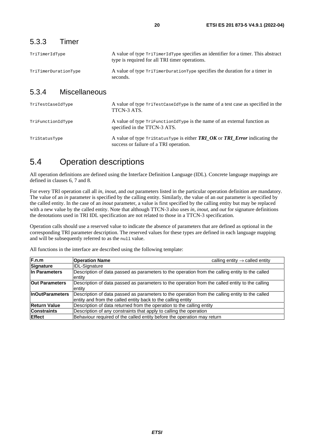<span id="page-19-0"></span>

| TriTimerIdType       | A value of type TriTimerIdType specifies an identifier for a timer. This abstract<br>type is required for all TRI timer operations. |
|----------------------|-------------------------------------------------------------------------------------------------------------------------------------|
| TriTimerDurationType | A value of type TriTimerDurationType specifies the duration for a timer in<br>seconds.                                              |

#### 5.3.4 Miscellaneous

| TriTestCaseIdType | A value of type $\text{Trimets}$ case of $\text{Trim}$ is the name of a test case as specified in the<br>TTCN-3 ATS.                        |
|-------------------|---------------------------------------------------------------------------------------------------------------------------------------------|
| TriFunctionIdType | A value of type $TrifunctionIdType$ is the name of an external function as<br>specified in the TTCN-3 ATS.                                  |
| TriStatusType     | A value of type $\text{TristatusType}$ is either <b>TRI_OK</b> or <b>TRI_Error</b> indicating the<br>success or failure of a TRI operation. |

### 5.4 Operation descriptions

All operation definitions are defined using the Interface Definition Language (IDL). Concrete language mappings are defined in clauses 6, 7 and 8.

For every TRI operation call all *in*, *inout*, and *out* parameters listed in the particular operation definition are mandatory. The value of an *in* parameter is specified by the calling entity. Similarly, the value of an *out* parameter is specified by the called entity. In the case of an *inout* parameter, a value is first specified by the calling entity but may be replaced with a new value by the called entity. Note that although TTCN-3 also uses *in*, *inout*, and *out* for signature definitions the denotations used in TRI IDL specification are not related to those in a TTCN-3 specification.

Operation calls should use a reserved value to indicate the absence of parameters that are defined as optional in the corresponding TRI parameter description. The reserved values for these types are defined in each language mapping and will be subsequently referred to as the null value.

All functions in the interface are described using the following template:

| F.n.m                  | <b>Operation Name</b>                                                                                                                                           | calling entity $\rightarrow$ called entity |
|------------------------|-----------------------------------------------------------------------------------------------------------------------------------------------------------------|--------------------------------------------|
| <b>Signature</b>       | <b>IDL-Signature</b>                                                                                                                                            |                                            |
| In Parameters          | Description of data passed as parameters to the operation from the calling entity to the called<br>entity                                                       |                                            |
| Out Parameters         | Description of data passed as parameters to the operation from the called entity to the calling<br>entity                                                       |                                            |
| <b>InOutParameters</b> | Description of data passed as parameters to the operation from the calling entity to the called<br>entity and from the called entity back to the calling entity |                                            |
| <b>Return Value</b>    | Description of data returned from the operation to the calling entity                                                                                           |                                            |
| <b>Constraints</b>     | Description of any constraints that apply to calling the operation                                                                                              |                                            |
| <b>Effect</b>          | Behaviour required of the called entity before the operation may return                                                                                         |                                            |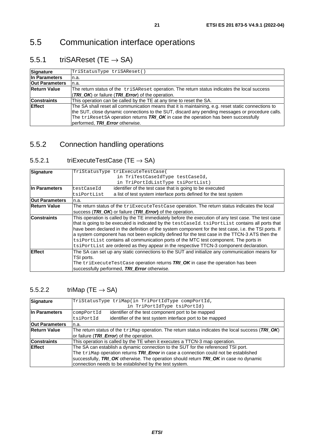### <span id="page-20-0"></span>5.5.1 triSAReset (TE  $\rightarrow$  SA)

| Signature             | TriStatusType triSAReset()                                                                                                                                                                                                                                                                                                           |
|-----------------------|--------------------------------------------------------------------------------------------------------------------------------------------------------------------------------------------------------------------------------------------------------------------------------------------------------------------------------------|
| In Parameters         | n.a.                                                                                                                                                                                                                                                                                                                                 |
| <b>Out Parameters</b> | n.a.                                                                                                                                                                                                                                                                                                                                 |
| <b>Return Value</b>   | The return status of the trisareset operation. The return status indicates the local success                                                                                                                                                                                                                                         |
|                       | (TRI_OK) or failure (TRI_Error) of the operation.                                                                                                                                                                                                                                                                                    |
| <b>Constraints</b>    | This operation can be called by the TE at any time to reset the SA.                                                                                                                                                                                                                                                                  |
| <b>Effect</b>         | The SA shall reset all communication means that it is maintaining, e.g. reset static connections to<br>the SUT, close dynamic connections to the SUT, discard any pending messages or procedure calls.<br>The $triResetSA$ operation returns $TRI$ OK in case the operation has been successfully<br>performed, TRI Error otherwise. |

### 5.5.2 Connection handling operations

#### 5.5.2.1 triExecuteTestCase (TE  $\rightarrow$  SA)

| Signature             | TriStatusType triExecuteTestCase(                                                                      |  |  |
|-----------------------|--------------------------------------------------------------------------------------------------------|--|--|
|                       | in TriTestCaseIdType testCaseId,                                                                       |  |  |
|                       | in TriPortIdListType tsiPortList)                                                                      |  |  |
| In Parameters         | identifier of the test case that is going to be executed<br>testCaseId                                 |  |  |
|                       | a list of test system interface ports defined for the test system<br>tsiPortList                       |  |  |
| <b>Out Parameters</b> | n.a.                                                                                                   |  |  |
| <b>Return Value</b>   | The return status of the triExecuteTestCase operation. The return status indicates the local           |  |  |
|                       | success (TRI_OK) or failure (TRI_Error) of the operation.                                              |  |  |
| <b>Constraints</b>    | This operation is called by the TE immediately before the execution of any test case. The test case    |  |  |
|                       | that is going to be executed is indicated by the testCaseId. tsiPortList contains all ports that       |  |  |
|                       | have been declared in the definition of the system component for the test case, i.e. the TSI ports. If |  |  |
|                       | a system component has not been explicitly defined for the test case in the TTCN-3 ATS then the        |  |  |
|                       | tsiPortList contains all communication ports of the MTC test component. The ports in                   |  |  |
|                       | tsiPortList are ordered as they appear in the respective TTCN-3 component declaration.                 |  |  |
| <b>Effect</b>         | The SA can set up any static connections to the SUT and initialize any communication means for         |  |  |
|                       | TSI ports.                                                                                             |  |  |
|                       | The $\texttt{triksecuterestCase}$ operation returns $\textit{TRI\_OK}$ in case the operation has been  |  |  |
|                       | successfully performed, TRI Error otherwise.                                                           |  |  |

#### 5.5.2.2 triMap (TE  $\rightarrow$  SA)

| <b>Signature</b>      | TriStatusType triMap(in TriPortIdType compPortId,                                                                                                                                                                                                                                      |  |
|-----------------------|----------------------------------------------------------------------------------------------------------------------------------------------------------------------------------------------------------------------------------------------------------------------------------------|--|
|                       | in TriPortIdType tsiPortId)                                                                                                                                                                                                                                                            |  |
| In Parameters         | identifier of the test component port to be mapped<br>compPortId                                                                                                                                                                                                                       |  |
|                       | identifier of the test system interface port to be mapped<br>tsiPortId                                                                                                                                                                                                                 |  |
| <b>Out Parameters</b> | n.a.                                                                                                                                                                                                                                                                                   |  |
| <b>Return Value</b>   | The return status of the $\text{trmap}$ operation. The return status indicates the local success (TRI_OK)<br>or failure (TRI_Error) of the operation.                                                                                                                                  |  |
|                       |                                                                                                                                                                                                                                                                                        |  |
| <b>Constraints</b>    | This operation is called by the TE when it executes a TTCN-3 map operation.                                                                                                                                                                                                            |  |
| <b>IEffect</b>        | The SA can establish a dynamic connection to the SUT for the referenced TSI port.<br>The $\text{trimap}$ operation returns $\textit{TRI}$ Error in case a connection could not be established<br>successfully, TRI_OK otherwise. The operation should return TRI_OK in case no dynamic |  |
|                       |                                                                                                                                                                                                                                                                                        |  |
|                       |                                                                                                                                                                                                                                                                                        |  |
|                       | connection needs to be established by the test system.                                                                                                                                                                                                                                 |  |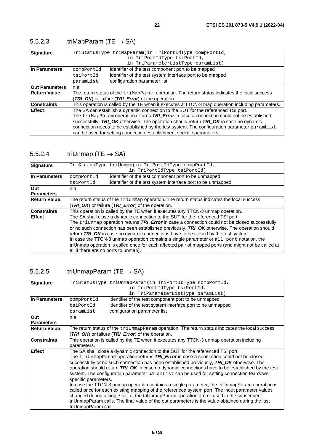| <b>Signature</b>      | TriStatusType triMapParam(in TriPortIdType compPortId,                                                                                                                             |  |  |
|-----------------------|------------------------------------------------------------------------------------------------------------------------------------------------------------------------------------|--|--|
|                       | in TriPortIdType tsiPortId,                                                                                                                                                        |  |  |
|                       | in TriParameterListType paramList)                                                                                                                                                 |  |  |
| In Parameters         | identifier of the test component port to be mapped<br>compPortId                                                                                                                   |  |  |
|                       | identifier of the test system interface port to be mapped<br>tsiPortId                                                                                                             |  |  |
|                       | configuration parameter list<br>paramList                                                                                                                                          |  |  |
| <b>Out Parameters</b> | n.a.                                                                                                                                                                               |  |  |
| <b>Return Value</b>   | The return status of the $\text{trimapParam}$ operation. The return status indicates the local success<br>(TRI OK) or failure (TRI Error) of the operation.                        |  |  |
|                       |                                                                                                                                                                                    |  |  |
| <b>Constraints</b>    | This operation is called by the TE when it executes a TTCN-3 map operation including parameters.                                                                                   |  |  |
| <b>Effect</b>         | The SA can establish a dynamic connection to the SUT for the referenced TSI port.                                                                                                  |  |  |
|                       | The triMapParam operation returns TRI_Error in case a connection could not be established<br>successfully, TRI_OK otherwise. The operation should return TRI_OK in case no dynamic |  |  |
|                       |                                                                                                                                                                                    |  |  |
|                       | connection needs to be established by the test system. The configuration parameter paramList                                                                                       |  |  |
|                       | can be used for setting connection establishment specific parameters.                                                                                                              |  |  |

### <span id="page-21-0"></span>5.5.2.3 triMapParam (TE  $\rightarrow$  SA)

#### 5.5.2.4 triUnmap (TE  $\rightarrow$  SA)

| Signature           |                                                                                                                                                                                                                                                                                                                                                                                         | TriStatusType triUnmap(in TriPortIdType compPortId,                             |  |
|---------------------|-----------------------------------------------------------------------------------------------------------------------------------------------------------------------------------------------------------------------------------------------------------------------------------------------------------------------------------------------------------------------------------------|---------------------------------------------------------------------------------|--|
|                     |                                                                                                                                                                                                                                                                                                                                                                                         | in TriPortIdType tsiPortId)                                                     |  |
| In Parameters       | compPortId                                                                                                                                                                                                                                                                                                                                                                              | identifier of the test component port to be unmapped                            |  |
|                     | tsiPortId                                                                                                                                                                                                                                                                                                                                                                               | identifier of the test system interface port to be unmapped                     |  |
| <b>Out</b>          | n.a.                                                                                                                                                                                                                                                                                                                                                                                    |                                                                                 |  |
| <b>Parameters</b>   |                                                                                                                                                                                                                                                                                                                                                                                         |                                                                                 |  |
| <b>Return Value</b> | The return status of the $\text{trid}$ map operation. The return status indicates the local success                                                                                                                                                                                                                                                                                     |                                                                                 |  |
|                     |                                                                                                                                                                                                                                                                                                                                                                                         | (TRI OK) or failure (TRI Error) of the operation.                               |  |
| <b>Constraints</b>  | This operation is called by the TE when it executes any TTCN-3 unmap operation.                                                                                                                                                                                                                                                                                                         |                                                                                 |  |
| <b>Effect</b>       |                                                                                                                                                                                                                                                                                                                                                                                         | The SA shall close a dynamic connection to the SUT for the referenced TSI port. |  |
|                     | The triUnmap operation returns TRI_Error in case a connection could not be closed successfully                                                                                                                                                                                                                                                                                          |                                                                                 |  |
|                     | or no such connection has been established previously, TRI_OK otherwise. The operation should<br>return TRI_OK in case no dynamic connections have to be closed by the test system.<br>In case the TTCN-3 unmap operation contains a single parameter or all port notation, the<br>triUnmap operation is called once for each affected pair of mapped ports (and might not be called at |                                                                                 |  |
|                     |                                                                                                                                                                                                                                                                                                                                                                                         |                                                                                 |  |
|                     |                                                                                                                                                                                                                                                                                                                                                                                         |                                                                                 |  |
|                     |                                                                                                                                                                                                                                                                                                                                                                                         |                                                                                 |  |
|                     | all if there are no ports to unmap).                                                                                                                                                                                                                                                                                                                                                    |                                                                                 |  |

### 5.5.2.5 triUnmapParam (TE  $\rightarrow$  SA)

| Signature           |                                                                                                                                                                                                                                                                                                                    | TriStatusType triUnmapParam(in TriPortIdType compPortId,                                         |  |
|---------------------|--------------------------------------------------------------------------------------------------------------------------------------------------------------------------------------------------------------------------------------------------------------------------------------------------------------------|--------------------------------------------------------------------------------------------------|--|
|                     |                                                                                                                                                                                                                                                                                                                    | in TriPortIdType tsiPortId,                                                                      |  |
|                     |                                                                                                                                                                                                                                                                                                                    | in TriParameterListType paramList)                                                               |  |
| In Parameters       | identifier of the test component port to be unmapped<br>compPortId                                                                                                                                                                                                                                                 |                                                                                                  |  |
|                     | tsiPortId                                                                                                                                                                                                                                                                                                          | identifier of the test system interface port to be unmapped                                      |  |
|                     | paramList                                                                                                                                                                                                                                                                                                          | configuration parameter list                                                                     |  |
| Out                 | n.a.                                                                                                                                                                                                                                                                                                               |                                                                                                  |  |
| <b>Parameters</b>   |                                                                                                                                                                                                                                                                                                                    |                                                                                                  |  |
| <b>Return Value</b> | The return status of the $\text{trivmmapparam}$ operation. The return status indicates the local success                                                                                                                                                                                                           |                                                                                                  |  |
|                     |                                                                                                                                                                                                                                                                                                                    | (TRI_OK) or failure (TRI_Error) of the operation.                                                |  |
| <b>Constraints</b>  | This operation is called by the TE when it executes any TTCN-3 unmap operation including                                                                                                                                                                                                                           |                                                                                                  |  |
|                     | parameters.                                                                                                                                                                                                                                                                                                        |                                                                                                  |  |
| <b>Effect</b>       | The SA shall close a dynamic connection to the SUT for the referenced TSI port.                                                                                                                                                                                                                                    |                                                                                                  |  |
|                     |                                                                                                                                                                                                                                                                                                                    | The triUnmapParam operation returns TRI_Error in case a connection could not be closed           |  |
|                     | successfully or no such connection has been established previously, TRI OK otherwise. The<br>operation should return TRI OK in case no dynamic connections have to be established by the test<br>system. The configuration parameter paramList can be used for setting connection teardown<br>specific parameters. |                                                                                                  |  |
|                     |                                                                                                                                                                                                                                                                                                                    |                                                                                                  |  |
|                     |                                                                                                                                                                                                                                                                                                                    |                                                                                                  |  |
|                     |                                                                                                                                                                                                                                                                                                                    |                                                                                                  |  |
|                     | In case the TTCN-3 unmap operation contains a single parameter, the triUnmapParam operation is                                                                                                                                                                                                                     |                                                                                                  |  |
|                     |                                                                                                                                                                                                                                                                                                                    | called once for each existing mapping of the referenced system port. The inout parameter values  |  |
|                     | changed during a single call of the triUnmapParam operation are re-used in the subsequent                                                                                                                                                                                                                          |                                                                                                  |  |
|                     |                                                                                                                                                                                                                                                                                                                    | triUnmapParam calls. The final value of the out parameters is the value obtained during the last |  |
|                     | triUnmapParam call.                                                                                                                                                                                                                                                                                                |                                                                                                  |  |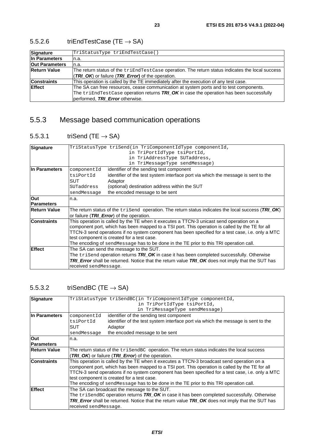| Signature             | TriStatusType triEndTestCase()                                                                              |
|-----------------------|-------------------------------------------------------------------------------------------------------------|
| In Parameters         | n.a.                                                                                                        |
| <b>Out Parameters</b> | n.a.                                                                                                        |
| <b>Return Value</b>   | The return status of the triEndTestCase operation. The return status indicates the local success            |
|                       | (TRI_OK) or failure (TRI_Error) of the operation.                                                           |
| <b>Constraints</b>    | This operation is called by the TE immediately after the execution of any test case.                        |
| <b>Effect</b>         | The SA can free resources, cease communication at system ports and to test components.                      |
|                       | The $\text{trichdTestCase}$ operation returns $\textit{TRI}$ OK in case the operation has been successfully |
|                       | performed, TRI Error otherwise.                                                                             |

### <span id="page-22-0"></span>5.5.2.6 triEndTestCase (TE  $\rightarrow$  SA)

### 5.5.3 Message based communication operations

### 5.5.3.1 triSend (TE  $\rightarrow$  SA)

| Signature           | TriStatusType triSend(in TriComponentIdType componentId,                                                                                                                                    |                                                                                                  |  |
|---------------------|---------------------------------------------------------------------------------------------------------------------------------------------------------------------------------------------|--------------------------------------------------------------------------------------------------|--|
|                     |                                                                                                                                                                                             | in TriPortIdType tsiPortId,                                                                      |  |
|                     |                                                                                                                                                                                             | in TriAddressType SUTaddress,                                                                    |  |
|                     |                                                                                                                                                                                             | in TriMessageType sendMessage)                                                                   |  |
| In Parameters       | componentId                                                                                                                                                                                 | identifier of the sending test component                                                         |  |
|                     | tsiPortId                                                                                                                                                                                   | identifier of the test system interface port via which the message is sent to the                |  |
|                     | <b>SUT</b>                                                                                                                                                                                  | Adaptor                                                                                          |  |
|                     | SUTaddress                                                                                                                                                                                  | (optional) destination address within the SUT                                                    |  |
|                     | sendMessage                                                                                                                                                                                 | the encoded message to be sent                                                                   |  |
| Out                 | n.a.                                                                                                                                                                                        |                                                                                                  |  |
| <b>Parameters</b>   |                                                                                                                                                                                             |                                                                                                  |  |
| <b>Return Value</b> | The return status of the $\text{trisend}$ operation. The return status indicates the local success (TRI_OK)                                                                                 |                                                                                                  |  |
|                     |                                                                                                                                                                                             | or failure (TRI_Error) of the operation.                                                         |  |
| <b>Constraints</b>  | This operation is called by the TE when it executes a TTCN-3 unicast send operation on a<br>component port, which has been mapped to a TSI port. This operation is called by the TE for all |                                                                                                  |  |
|                     |                                                                                                                                                                                             |                                                                                                  |  |
|                     | TTCN-3 send operations if no system component has been specified for a test case, i.e. only a MTC<br>test component is created for a test case.                                             |                                                                                                  |  |
|                     |                                                                                                                                                                                             |                                                                                                  |  |
|                     |                                                                                                                                                                                             | The encoding of sendMessage has to be done in the TE prior to this TRI operation call.           |  |
| <b>Effect</b>       |                                                                                                                                                                                             | The SA can send the message to the SUT.                                                          |  |
|                     | The triSend operation returns TRI_OK in case it has been completed successfully. Otherwise                                                                                                  |                                                                                                  |  |
|                     |                                                                                                                                                                                             | TRI_Error shall be returned. Notice that the return value TRI_OK does not imply that the SUT has |  |
|                     | received send Message.                                                                                                                                                                      |                                                                                                  |  |
|                     |                                                                                                                                                                                             |                                                                                                  |  |

### 5.5.3.2 triSendBC (TE  $\rightarrow$  SA)

| TriStatusType triSendBC(in TriComponentIdType componentId,<br>Signature                                                                                                                                             |                                                                                                                 |                                                                                                                                                 |
|---------------------------------------------------------------------------------------------------------------------------------------------------------------------------------------------------------------------|-----------------------------------------------------------------------------------------------------------------|-------------------------------------------------------------------------------------------------------------------------------------------------|
|                                                                                                                                                                                                                     | in TriPortIdType tsiPortId,                                                                                     |                                                                                                                                                 |
|                                                                                                                                                                                                                     | in TriMessageType sendMessage)                                                                                  |                                                                                                                                                 |
| identifier of the sending test component<br>componentId                                                                                                                                                             |                                                                                                                 |                                                                                                                                                 |
| tsiPortId                                                                                                                                                                                                           | identifier of the test system interface port via which the message is sent to the                               |                                                                                                                                                 |
| SUT                                                                                                                                                                                                                 | Adaptor                                                                                                         |                                                                                                                                                 |
| sendMessage                                                                                                                                                                                                         | the encoded message to be sent                                                                                  |                                                                                                                                                 |
| n.a.                                                                                                                                                                                                                |                                                                                                                 |                                                                                                                                                 |
|                                                                                                                                                                                                                     |                                                                                                                 |                                                                                                                                                 |
| The return status of the trisend BC operation. The return status indicates the local success                                                                                                                        |                                                                                                                 |                                                                                                                                                 |
|                                                                                                                                                                                                                     | (TRI_OK) or failure (TRI_Error) of the operation.                                                               |                                                                                                                                                 |
| <b>Constraints</b><br>This operation is called by the TE when it executes a TTCN-3 broadcast send operation on a<br>component port, which has been mapped to a TSI port. This operation is called by the TE for all |                                                                                                                 |                                                                                                                                                 |
|                                                                                                                                                                                                                     |                                                                                                                 | TTCN-3 send operations if no system component has been specified for a test case, i.e. only a MTC<br>test component is created for a test case. |
|                                                                                                                                                                                                                     | The encoding of send Message has to be done in the TE prior to this TRI operation call.                         |                                                                                                                                                 |
| The SA can broadcast the message to the SUT.                                                                                                                                                                        |                                                                                                                 |                                                                                                                                                 |
|                                                                                                                                                                                                                     | The $\text{trisendBC}$ operation returns $\text{TRI\_OK}$ in case it has been completed successfully. Otherwise |                                                                                                                                                 |
|                                                                                                                                                                                                                     | <b>TRI Error</b> shall be returned. Notice that the return value <b>TRI OK</b> does not imply that the SUT has  |                                                                                                                                                 |
|                                                                                                                                                                                                                     |                                                                                                                 |                                                                                                                                                 |
|                                                                                                                                                                                                                     | received sendMessage.                                                                                           |                                                                                                                                                 |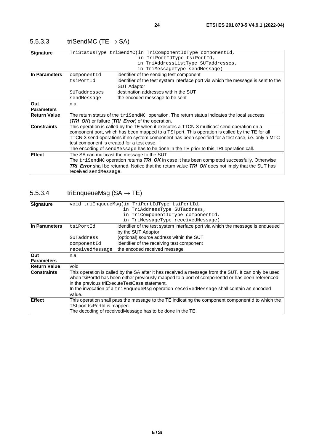| Signature           |                       | TriStatusType triSendMC(in TriComponentIdType componentId,                                                        |
|---------------------|-----------------------|-------------------------------------------------------------------------------------------------------------------|
|                     |                       | in TriPortIdType tsiPortId,                                                                                       |
|                     |                       | in TriAddressListType SUTaddresses,                                                                               |
|                     |                       | in TriMessageType sendMessage)                                                                                    |
| In Parameters       | componentId           | identifier of the sending test component                                                                          |
|                     | tsiPortId             | identifier of the test system interface port via which the message is sent to the                                 |
|                     |                       | <b>SUT Adaptor</b>                                                                                                |
|                     | SUTaddresses          | destination addresses within the SUT                                                                              |
|                     | sendMessage           | the encoded message to be sent                                                                                    |
| Out                 | n.a.                  |                                                                                                                   |
| <b>Parameters</b>   |                       |                                                                                                                   |
| <b>Return Value</b> |                       | The return status of the $tri$ SendMC operation. The return status indicates the local success                    |
|                     |                       | (TRI OK) or failure (TRI Error) of the operation.                                                                 |
| <b>Constraints</b>  |                       | This operation is called by the TE when it executes a TTCN-3 multicast send operation on a                        |
|                     |                       | component port, which has been mapped to a TSI port. This operation is called by the TE for all                   |
|                     |                       | TTCN-3 send operations if no system component has been specified for a test case, i.e. only a MTC                 |
|                     |                       | test component is created for a test case.                                                                        |
|                     |                       | The encoding of sendMessage has to be done in the TE prior to this TRI operation call.                            |
| <b>Effect</b>       |                       | The SA can multicast the message to the SUT.                                                                      |
|                     |                       | The $\text{trisendMC}$ operation returns $\textit{TRI\_OK}$ in case it has been completed successfully. Otherwise |
|                     |                       | <b>TRI_Error</b> shall be returned. Notice that the return value <b>TRI_OK</b> does not imply that the SUT has    |
|                     | received sendMessage. |                                                                                                                   |

### <span id="page-23-0"></span>5.5.3.3 triSendMC (TE  $\rightarrow$  SA)

### 5.5.3.4 triEnqueueMsg  $(SA \rightarrow TE)$

|                     |                               | void triEnqueueMsq(in TriPortIdType tsiPortId,                                                       |
|---------------------|-------------------------------|------------------------------------------------------------------------------------------------------|
| Signature           |                               |                                                                                                      |
|                     |                               | in TriAddressType SUTaddress,                                                                        |
|                     |                               | in TriComponentIdType componentId,                                                                   |
|                     |                               | in TriMessageType receivedMessage)                                                                   |
| In Parameters       | tsiPortId                     | identifier of the test system interface port via which the message is enqueued                       |
|                     |                               | by the SUT Adaptor                                                                                   |
|                     | SUTaddress                    | (optional) source address within the SUT                                                             |
|                     | componentId                   | identifier of the receiving test component                                                           |
|                     | receivedMessage               | the encoded received message                                                                         |
| Out                 | n.a.                          |                                                                                                      |
| <b>Parameters</b>   |                               |                                                                                                      |
| <b>Return Value</b> | void                          |                                                                                                      |
| <b>Constraints</b>  |                               | This operation is called by the SA after it has received a message from the SUT. It can only be used |
|                     |                               | when tsiPortId has been either previously mapped to a port of componentId or has been referenced     |
|                     |                               | in the previous triExecuteTestCase statement.                                                        |
|                     |                               | In the invocation of a triEnqueueMsg operation receivedMessage shall contain an encoded              |
|                     | value.                        |                                                                                                      |
| <b>Effect</b>       |                               | This operation shall pass the message to the TE indicating the component componentld to which the    |
|                     | TSI port tsiPortId is mapped. |                                                                                                      |
|                     |                               | The decoding of receivedMessage has to be done in the TE.                                            |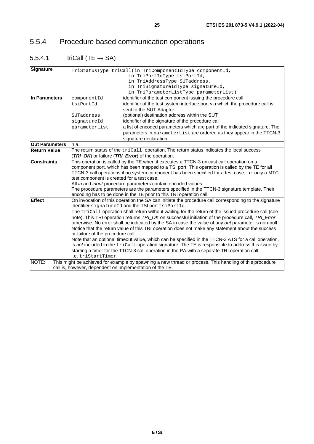## <span id="page-24-0"></span>5.5.4 Procedure based communication operations

## 5.5.4.1 triCall (TE  $\rightarrow$  SA)

| <b>Signature</b>      |                                                                                               | TriStatusType triCall(in TriComponentIdType componentId,                                                |  |
|-----------------------|-----------------------------------------------------------------------------------------------|---------------------------------------------------------------------------------------------------------|--|
|                       |                                                                                               | in TriPortIdType tsiPortId,                                                                             |  |
|                       |                                                                                               | in TriAddressType SUTaddress,                                                                           |  |
|                       |                                                                                               | in TriSignatureIdType signatureId,                                                                      |  |
|                       |                                                                                               | in TriParameterListType parameterList)                                                                  |  |
| In Parameters         | componentId                                                                                   | identifier of the test component issuing the procedure call                                             |  |
|                       | tsiPortId                                                                                     | identifier of the test system interface port via which the procedure call is                            |  |
|                       |                                                                                               | sent to the SUT Adaptor                                                                                 |  |
|                       | SUTaddress                                                                                    | (optional) destination address within the SUT                                                           |  |
|                       | signatureId                                                                                   | identifier of the signature of the procedure call                                                       |  |
|                       | parameterList                                                                                 | a list of encoded parameters which are part of the indicated signature. The                             |  |
|                       |                                                                                               | parameters in parameterList are ordered as they appear in the TTCN-3                                    |  |
|                       |                                                                                               | signature declaration                                                                                   |  |
| <b>Out Parameters</b> | n.a.                                                                                          |                                                                                                         |  |
| <b>Return Value</b>   |                                                                                               | The return status of the tricall operation. The return status indicates the local success               |  |
|                       |                                                                                               | (TRI_OK) or failure (TRI_Error) of the operation.                                                       |  |
| <b>Constraints</b>    | This operation is called by the TE when it executes a TTCN-3 unicast call operation on a      |                                                                                                         |  |
|                       |                                                                                               | component port, which has been mapped to a TSI port. This operation is called by the TE for all         |  |
|                       |                                                                                               | TTCN-3 call operations if no system component has been specified for a test case, i.e. only a MTC       |  |
|                       | test component is created for a test case.                                                    |                                                                                                         |  |
|                       |                                                                                               | All in and inout procedure parameters contain encoded values.                                           |  |
|                       | The procedure parameters are the parameters specified in the TTCN-3 signature template. Their |                                                                                                         |  |
|                       |                                                                                               | encoding has to be done in the TE prior to this TRI operation call.                                     |  |
| <b>Effect</b>         |                                                                                               | On invocation of this operation the SA can initiate the procedure call corresponding to the signature   |  |
|                       |                                                                                               | identifier signatureId and the TSI port tsiPortId.                                                      |  |
|                       |                                                                                               | The triCall operation shall return without waiting for the return of the issued procedure call (see     |  |
|                       |                                                                                               | note). This TRI operation returns TRI_OK on successful initiation of the procedure call, TRI_Error      |  |
|                       |                                                                                               | otherwise. No error shall be indicated by the SA in case the value of any out parameter is non-null.    |  |
|                       |                                                                                               | Notice that the return value of this TRI operation does not make any statement about the success        |  |
|                       | or failure of the procedure call.                                                             |                                                                                                         |  |
|                       |                                                                                               | Note that an optional timeout value, which can be specified in the TTCN-3 ATS for a call operation,     |  |
|                       |                                                                                               | is not included in the tricall operation signature. The TE is responsible to address this issue by      |  |
|                       |                                                                                               | starting a timer for the TTCN-3 call operation in the PA with a separate TRI operation call,            |  |
|                       | i.e. triStartTimer.                                                                           |                                                                                                         |  |
| NOTE:                 |                                                                                               | This might be achieved for example by spawning a new thread or process. This handling of this procedure |  |
|                       | call is, however, dependent on implementation of the TE.                                      |                                                                                                         |  |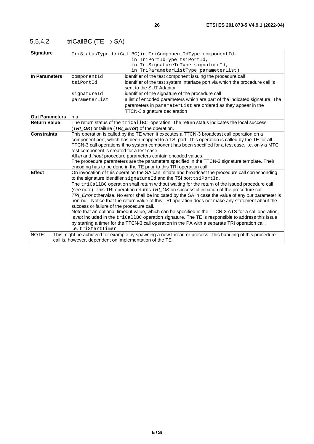<span id="page-25-0"></span>

| 5.5.4.2 | triCallBC (TE $\rightarrow$ SA) |
|---------|---------------------------------|
|         |                                 |

| <b>Signature</b>      |                                                          | TriStatusType triCallBC(in TriComponentIdType componentId,                                                                                                                |
|-----------------------|----------------------------------------------------------|---------------------------------------------------------------------------------------------------------------------------------------------------------------------------|
|                       |                                                          | in TriPortIdType tsiPortId,                                                                                                                                               |
|                       |                                                          | in TriSignatureIdType signatureId,                                                                                                                                        |
|                       |                                                          | in TriParameterListType parameterList)                                                                                                                                    |
| In Parameters         | componentId                                              | identifier of the test component issuing the procedure call                                                                                                               |
|                       | tsiPortId                                                | identifier of the test system interface port via which the procedure call is                                                                                              |
|                       |                                                          | sent to the SUT Adaptor                                                                                                                                                   |
|                       | signatureId                                              | identifier of the signature of the procedure call                                                                                                                         |
|                       | parameterList                                            | a list of encoded parameters which are part of the indicated signature. The                                                                                               |
|                       |                                                          | parameters in parameterList are ordered as they appear in the                                                                                                             |
|                       |                                                          | TTCN-3 signature declaration                                                                                                                                              |
| <b>Out Parameters</b> | n.a.                                                     |                                                                                                                                                                           |
| <b>Return Value</b>   |                                                          | The return status of the tricallBC operation. The return status indicates the local success                                                                               |
|                       | (TRI_OK) or failure (TRI_Error) of the operation.        |                                                                                                                                                                           |
| <b>Constraints</b>    |                                                          | This operation is called by the TE when it executes a TTCN-3 broadcast call operation on a                                                                                |
|                       |                                                          | component port, which has been mapped to a TSI port. This operation is called by the TE for all                                                                           |
|                       |                                                          | TTCN-3 call operations if no system component has been specified for a test case, i.e. only a MTC                                                                         |
|                       | test component is created for a test case.               |                                                                                                                                                                           |
|                       |                                                          | All in and inout procedure parameters contain encoded values.                                                                                                             |
|                       |                                                          | The procedure parameters are the parameters specified in the TTCN-3 signature template. Their                                                                             |
|                       |                                                          | encoding has to be done in the TE prior to this TRI operation call.                                                                                                       |
| <b>Effect</b>         |                                                          | On invocation of this operation the SA can initiate and broadcast the procedure call corresponding<br>to the signature identifier signatureld and the TSI port tsiPortId. |
|                       |                                                          | The tricallBC operation shall return without waiting for the return of the issued procedure call                                                                          |
|                       |                                                          | (see note). This TRI operation returns TRI_OK on successful initiation of the procedure call,                                                                             |
|                       |                                                          | TRI_Error otherwise. No error shall be indicated by the SA in case the value of any out parameter is                                                                      |
|                       |                                                          | non-null. Notice that the return value of this TRI operation does not make any statement about the                                                                        |
|                       | success or failure of the procedure call.                |                                                                                                                                                                           |
|                       |                                                          | Note that an optional timeout value, which can be specified in the TTCN-3 ATS for a call operation,                                                                       |
|                       |                                                          | is not included in the tricallBC operation signature. The TE is responsible to address this issue                                                                         |
|                       |                                                          | by starting a timer for the TTCN-3 call operation in the PA with a separate TRI operation call,                                                                           |
|                       | i.e. triStartTimer.                                      |                                                                                                                                                                           |
| NOTE:                 |                                                          | This might be achieved for example by spawning a new thread or process. This handling of this procedure                                                                   |
|                       | call is, however, dependent on implementation of the TE. |                                                                                                                                                                           |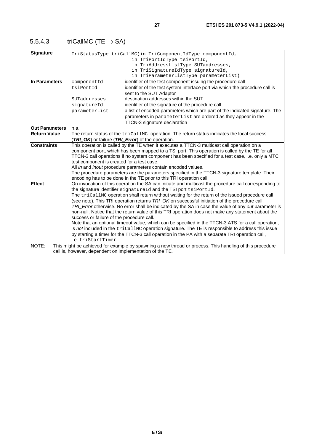<span id="page-26-0"></span>

| triCallMC (TE $\rightarrow$ SA)<br>5.5.4.3 |  |
|--------------------------------------------|--|
|--------------------------------------------|--|

| <b>Signature</b>      |                                                          | TriStatusType triCallMC(in TriComponentIdType componentId,                                              |
|-----------------------|----------------------------------------------------------|---------------------------------------------------------------------------------------------------------|
|                       |                                                          | in TriPortIdType tsiPortId,                                                                             |
|                       |                                                          | in TriAddressListType SUTaddresses,                                                                     |
|                       |                                                          | in TriSignatureIdType signatureId,                                                                      |
|                       |                                                          | in TriParameterListType parameterList)                                                                  |
| In Parameters         | componentId                                              | identifier of the test component issuing the procedure call                                             |
|                       | tsiPortId                                                | identifier of the test system interface port via which the procedure call is                            |
|                       |                                                          | sent to the SUT Adaptor                                                                                 |
|                       | SUTaddresses                                             | destination addresses within the SUT                                                                    |
|                       | signatureId                                              | identifier of the signature of the procedure call                                                       |
|                       | parameterList                                            | a list of encoded parameters which are part of the indicated signature. The                             |
|                       |                                                          | parameters in parameterList are ordered as they appear in the                                           |
|                       |                                                          | TTCN-3 signature declaration                                                                            |
| <b>Out Parameters</b> | n.a.                                                     |                                                                                                         |
| <b>Return Value</b>   |                                                          | The return status of the tricallmc operation. The return status indicates the local success             |
|                       |                                                          | (TRI_OK) or failure (TRI_Error) of the operation.                                                       |
| <b>Constraints</b>    |                                                          | This operation is called by the TE when it executes a TTCN-3 multicast call operation on a              |
|                       |                                                          | component port, which has been mapped to a TSI port. This operation is called by the TE for all         |
|                       |                                                          | TTCN-3 call operations if no system component has been specified for a test case, i.e. only a MTC       |
|                       | test component is created for a test case.               |                                                                                                         |
|                       |                                                          | All in and inout procedure parameters contain encoded values.                                           |
|                       |                                                          | The procedure parameters are the parameters specified in the TTCN-3 signature template. Their           |
|                       |                                                          | encoding has to be done in the TE prior to this TRI operation call.                                     |
| <b>Effect</b>         |                                                          | On invocation of this operation the SA can initiate and multicast the procedure call corresponding to   |
|                       |                                                          | the signature identifier signatureId and the TSI port tsiPortId.                                        |
|                       |                                                          | The tricallMC operation shall return without waiting for the return of the issued procedure call        |
|                       |                                                          | (see note). This TRI operation returns TRI_OK on successful initiation of the procedure call,           |
|                       |                                                          | TRI_Error otherwise. No error shall be indicated by the SA in case the value of any out parameter is    |
|                       |                                                          | non-null. Notice that the return value of this TRI operation does not make any statement about the      |
|                       | success or failure of the procedure call.                |                                                                                                         |
|                       |                                                          | Note that an optional timeout value, which can be specified in the TTCN-3 ATS for a call operation,     |
|                       |                                                          | is not included in the tricallMC operation signature. The TE is responsible to address this issue       |
|                       | i.e. triStartTimer.                                      | by starting a timer for the TTCN-3 call operation in the PA with a separate TRI operation call,         |
|                       |                                                          |                                                                                                         |
| NOTE:                 |                                                          | This might be achieved for example by spawning a new thread or process. This handling of this procedure |
|                       | call is, however, dependent on implementation of the TE. |                                                                                                         |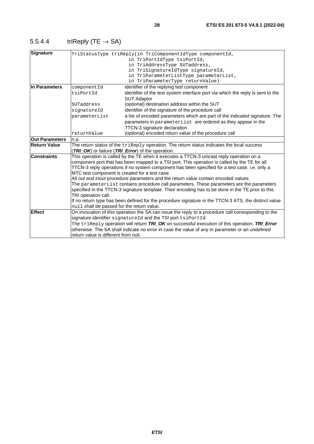| Signature             |                                                | TriStatusType triReply(in TriComponentIdType componentId,<br>in TriPortIdType tsiPortId,<br>in TriAddressType SUTaddress,<br>in TriSignatureIdType signatureId,<br>in TriParameterListType parameterList,                                                                                                                                                                           |
|-----------------------|------------------------------------------------|-------------------------------------------------------------------------------------------------------------------------------------------------------------------------------------------------------------------------------------------------------------------------------------------------------------------------------------------------------------------------------------|
|                       |                                                | in TriParameterType returnValue)                                                                                                                                                                                                                                                                                                                                                    |
| In Parameters         | componentId                                    | identifier of the replying test component                                                                                                                                                                                                                                                                                                                                           |
|                       | tsiPortId                                      | identifier of the test system interface port via which the reply is sent to the<br><b>SUT Adaptor</b>                                                                                                                                                                                                                                                                               |
|                       | SUTaddress                                     | (optional) destination address within the SUT                                                                                                                                                                                                                                                                                                                                       |
|                       | signatureId                                    | identifier of the signature of the procedure call                                                                                                                                                                                                                                                                                                                                   |
|                       | parameterList                                  | a list of encoded parameters which are part of the indicated signature. The                                                                                                                                                                                                                                                                                                         |
|                       |                                                | parameters in parameterList are ordered as they appear in the                                                                                                                                                                                                                                                                                                                       |
|                       |                                                | <b>TTCN-3</b> signature declaration                                                                                                                                                                                                                                                                                                                                                 |
|                       | returnValue                                    | (optional) encoded return value of the procedure call                                                                                                                                                                                                                                                                                                                               |
| <b>Out Parameters</b> | n.a.                                           |                                                                                                                                                                                                                                                                                                                                                                                     |
| Return Value          |                                                | The return status of the $\text{trikeply}$ operation. The return status indicates the local success                                                                                                                                                                                                                                                                                 |
|                       |                                                | (TRI_OK) or failure (TRI_Error) of the operation.                                                                                                                                                                                                                                                                                                                                   |
| <b>Constraints</b>    | MTC test component is created for a test case. | This operation is called by the TE when it executes a TTCN-3 unicast reply operation on a<br>component port that has been mapped to a TSI port. This operation is called by the TE for all<br>TTCN-3 reply operations if no system component has been specified for a test case, i.e. only a<br>All out and inout procedure parameters and the return value contain encoded values. |
|                       |                                                | The parameterList contains procedure call parameters. These parameters are the parameters                                                                                                                                                                                                                                                                                           |
|                       |                                                | specified in the TTCN-3 signature template. Their encoding has to be done in the TE prior to this                                                                                                                                                                                                                                                                                   |
|                       | TRI operation call.                            |                                                                                                                                                                                                                                                                                                                                                                                     |
|                       | null shall be passed for the return value.     | If no return type has been defined for the procedure signature in the TTCN-3 ATS, the distinct value                                                                                                                                                                                                                                                                                |
| <b>Effect</b>         |                                                | On invocation of this operation the SA can issue the reply to a procedure call corresponding to the                                                                                                                                                                                                                                                                                 |
|                       |                                                | signature identifier signatureId and the TSI port tsiPortId.                                                                                                                                                                                                                                                                                                                        |
|                       |                                                | The triReply operation will return TRI_OK on successful execution of this operation, TRI_Error                                                                                                                                                                                                                                                                                      |
|                       |                                                | otherwise. The SA shall indicate no error in case the value of any in parameter or an undefined                                                                                                                                                                                                                                                                                     |

return value is different from null.

### <span id="page-27-0"></span>5.5.4.4 triReply (TE  $\rightarrow$  SA)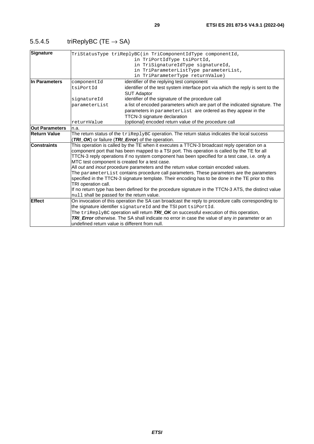<span id="page-28-0"></span>

| 5.5.4.5 | triReplyBC (TE $\rightarrow$ SA) |
|---------|----------------------------------|
|---------|----------------------------------|

| Signature             |                                                                                                   | TriStatusType triReplyBC(in TriComponentIdType componentId,<br>in TriPortIdType tsiPortId,<br>in TriSignatureIdType signatureId,<br>in TriParameterListType parameterList,<br>in TriParameterType returnValue) |  |
|-----------------------|---------------------------------------------------------------------------------------------------|----------------------------------------------------------------------------------------------------------------------------------------------------------------------------------------------------------------|--|
| In Parameters         | componentId                                                                                       | identifier of the replying test component                                                                                                                                                                      |  |
|                       | tsiPortId                                                                                         | identifier of the test system interface port via which the reply is sent to the<br><b>SUT Adaptor</b>                                                                                                          |  |
|                       | signatureId                                                                                       | identifier of the signature of the procedure call                                                                                                                                                              |  |
|                       | parameterList                                                                                     | a list of encoded parameters which are part of the indicated signature. The                                                                                                                                    |  |
|                       |                                                                                                   | parameters in parameterList are ordered as they appear in the                                                                                                                                                  |  |
|                       |                                                                                                   | TTCN-3 signature declaration                                                                                                                                                                                   |  |
|                       | returnValue                                                                                       | (optional) encoded return value of the procedure call                                                                                                                                                          |  |
| <b>Out Parameters</b> | n.a.                                                                                              |                                                                                                                                                                                                                |  |
| <b>Return Value</b>   |                                                                                                   | The return status of the $\text{trikeplyBC}$ operation. The return status indicates the local success                                                                                                          |  |
|                       |                                                                                                   | (TRI_OK) or failure (TRI_Error) of the operation.                                                                                                                                                              |  |
| <b>Constraints</b>    |                                                                                                   | This operation is called by the TE when it executes a TTCN-3 broadcast reply operation on a<br>component port that has been mapped to a TSI port. This operation is called by the TE for all                   |  |
|                       |                                                                                                   |                                                                                                                                                                                                                |  |
|                       |                                                                                                   | TTCN-3 reply operations if no system component has been specified for a test case, i.e. only a<br>MTC test component is created for a test case.                                                               |  |
|                       | All out and inout procedure parameters and the return value contain encoded values.               |                                                                                                                                                                                                                |  |
|                       | The parameterList contains procedure call parameters. These parameters are the parameters         |                                                                                                                                                                                                                |  |
|                       | specified in the TTCN-3 signature template. Their encoding has to be done in the TE prior to this |                                                                                                                                                                                                                |  |
|                       | TRI operation call.                                                                               |                                                                                                                                                                                                                |  |
|                       |                                                                                                   | If no return type has been defined for the procedure signature in the TTCN-3 ATS, the distinct value                                                                                                           |  |
|                       | null shall be passed for the return value.                                                        |                                                                                                                                                                                                                |  |
| <b>Effect</b>         |                                                                                                   | On invocation of this operation the SA can broadcast the reply to procedure calls corresponding to                                                                                                             |  |
|                       | the signature identifier signatureId and the TSI port tsiPortId.                                  |                                                                                                                                                                                                                |  |
|                       |                                                                                                   | The $\text{trikeplyBC}$ operation will return $\textit{TRI\_OK}$ on successful execution of this operation,                                                                                                    |  |
|                       |                                                                                                   | TRI_Error otherwise. The SA shall indicate no error in case the value of any in parameter or an                                                                                                                |  |
|                       | undefined return value is different from null.                                                    |                                                                                                                                                                                                                |  |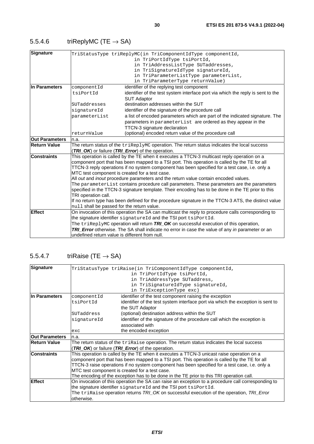<span id="page-29-0"></span>

| triReplyMC (TE $\rightarrow$ SA)<br>5.5.4.6 |
|---------------------------------------------|
|                                             |

| <b>Signature</b>      |                                                                                                                     | TriStatusType triReplyMC(in TriComponentIdType componentId,<br>in TriPortIdType tsiPortId,<br>in TriAddressListType SUTaddresses,<br>in TriSignatureIdType signatureId,<br>in TriParameterListType parameterList,<br>in TriParameterType returnValue)                                                                                                                                                                                                                                                                                                                                                                                                                                           |
|-----------------------|---------------------------------------------------------------------------------------------------------------------|-------------------------------------------------------------------------------------------------------------------------------------------------------------------------------------------------------------------------------------------------------------------------------------------------------------------------------------------------------------------------------------------------------------------------------------------------------------------------------------------------------------------------------------------------------------------------------------------------------------------------------------------------------------------------------------------------|
| In Parameters         | componentId                                                                                                         | identifier of the replying test component                                                                                                                                                                                                                                                                                                                                                                                                                                                                                                                                                                                                                                                       |
|                       | tsiPortId                                                                                                           | identifier of the test system interface port via which the reply is sent to the                                                                                                                                                                                                                                                                                                                                                                                                                                                                                                                                                                                                                 |
|                       |                                                                                                                     | <b>SUT Adaptor</b>                                                                                                                                                                                                                                                                                                                                                                                                                                                                                                                                                                                                                                                                              |
|                       | SUTaddresses                                                                                                        | destination addresses within the SUT                                                                                                                                                                                                                                                                                                                                                                                                                                                                                                                                                                                                                                                            |
|                       | signatureId                                                                                                         | identifier of the signature of the procedure call                                                                                                                                                                                                                                                                                                                                                                                                                                                                                                                                                                                                                                               |
|                       | parameterList                                                                                                       | a list of encoded parameters which are part of the indicated signature. The                                                                                                                                                                                                                                                                                                                                                                                                                                                                                                                                                                                                                     |
|                       |                                                                                                                     | parameters in parameterList are ordered as they appear in the                                                                                                                                                                                                                                                                                                                                                                                                                                                                                                                                                                                                                                   |
|                       |                                                                                                                     | TTCN-3 signature declaration                                                                                                                                                                                                                                                                                                                                                                                                                                                                                                                                                                                                                                                                    |
|                       | returnValue                                                                                                         | (optional) encoded return value of the procedure call                                                                                                                                                                                                                                                                                                                                                                                                                                                                                                                                                                                                                                           |
| <b>Out Parameters</b> | n.a.                                                                                                                |                                                                                                                                                                                                                                                                                                                                                                                                                                                                                                                                                                                                                                                                                                 |
| Return Value          |                                                                                                                     | The return status of the $\text{trikeplyMC}$ operation. The return status indicates the local success<br>(TRI_OK) or failure (TRI_Error) of the operation.                                                                                                                                                                                                                                                                                                                                                                                                                                                                                                                                      |
| <b>Constraints</b>    | MTC test component is created for a test case.<br>TRI operation call.<br>null shall be passed for the return value. | This operation is called by the TE when it executes a TTCN-3 multicast reply operation on a<br>component port that has been mapped to a TSI port. This operation is called by the TE for all<br>TTCN-3 reply operations if no system component has been specified for a test case, i.e. only a<br>All out and inout procedure parameters and the return value contain encoded values.<br>The parameterList contains procedure call parameters. These parameters are the parameters<br>specified in the TTCN-3 signature template. Their encoding has to be done in the TE prior to this<br>If no return type has been defined for the procedure signature in the TTCN-3 ATS, the distinct value |
| <b>Effect</b>         | undefined return value is different from null.                                                                      | On invocation of this operation the SA can multicast the reply to procedure calls corresponding to<br>the signature identifier signatureId and the TSI port tsiPortId.<br>The triReplyMC operation will return TRI_OK on successful execution of this operation,<br>TRI_Error otherwise. The SA shall indicate no error in case the value of any in parameter or an                                                                                                                                                                                                                                                                                                                             |

#### 5.5.4.7 triRaise (TE  $\rightarrow$  SA)

| Signature             |             | TriStatusType triRaise(in TriComponentIdType componentId,<br>in TriPortIdType tsiPortId,<br>in TriAddressType SUTaddress,<br>in TriSignatureIdType signatureId,<br>in TriExceptionType exc) |
|-----------------------|-------------|---------------------------------------------------------------------------------------------------------------------------------------------------------------------------------------------|
| In Parameters         | componentId | identifier of the test component raising the exception                                                                                                                                      |
|                       | tsiPortId   | identifier of the test system interface port via which the exception is sent to                                                                                                             |
|                       |             | the SUT Adaptor                                                                                                                                                                             |
|                       | SUTaddress  | (optional) destination address within the SUT                                                                                                                                               |
|                       | signatureId | identifier of the signature of the procedure call which the exception is                                                                                                                    |
|                       |             | associated with                                                                                                                                                                             |
|                       | exc         | the encoded exception                                                                                                                                                                       |
| <b>Out Parameters</b> | n.a.        |                                                                                                                                                                                             |
| <b>Return Value</b>   |             | The return status of the $\text{trikaise operation}$ . The return status indicates the local success                                                                                        |
|                       |             | <b>TRI OK</b> ) or failure (TRI Error) of the operation.                                                                                                                                    |
| <b>Constraints</b>    |             | This operation is called by the TE when it executes a TTCN-3 unicast raise operation on a                                                                                                   |
|                       |             | component port that has been mapped to a TSI port. This operation is called by the TE for all                                                                                               |
|                       |             | TTCN-3 raise operations if no system component has been specified for a test case, i.e. only a                                                                                              |
|                       |             | MTC test component is created for a test case.                                                                                                                                              |
|                       |             | The encoding of the exception has to be done in the TE prior to this TRI operation call.                                                                                                    |
| <b>Effect</b>         |             | On invocation of this operation the SA can raise an exception to a procedure call corresponding to                                                                                          |
|                       |             | the signature identifier signatureId and the TSI port tsiPortId.                                                                                                                            |
|                       |             | The triRaise operation returns TRI_OK on successful execution of the operation, TRI_Error                                                                                                   |
|                       | otherwise.  |                                                                                                                                                                                             |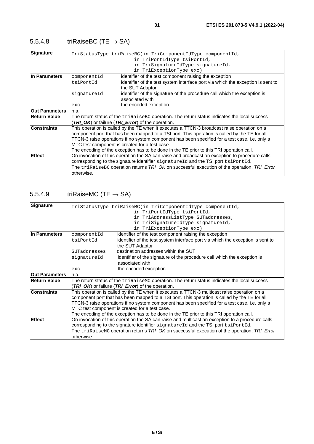### <span id="page-30-0"></span>5.5.4.8 triRaiseBC (TE  $\rightarrow$  SA)

| Signature             |             | TriStatusType triRaiseBC(in TriComponentIdType componentId,                                           |
|-----------------------|-------------|-------------------------------------------------------------------------------------------------------|
|                       |             | in TriPortIdType tsiPortId,                                                                           |
|                       |             | in TriSignatureIdType signatureId,                                                                    |
|                       |             | in TriExceptionType exc)                                                                              |
| IIn Parameters        | componentId | identifier of the test component raising the exception                                                |
|                       | tsiPortId   | identifier of the test system interface port via which the exception is sent to                       |
|                       |             | the SUT Adaptor                                                                                       |
|                       | signatureId | identifier of the signature of the procedure call which the exception is                              |
|                       |             | associated with                                                                                       |
|                       | exc         | the encoded exception                                                                                 |
| <b>Out Parameters</b> | n.a.        |                                                                                                       |
| <b>Return Value</b>   |             | The return status of the $\text{trikaiseBC}$ operation. The return status indicates the local success |
|                       |             | (TRI_OK) or failure (TRI_Error) of the operation.                                                     |
| <b>Constraints</b>    |             | This operation is called by the TE when it executes a TTCN-3 broadcast raise operation on a           |
|                       |             | component port that has been mapped to a TSI port. This operation is called by the TE for all         |
|                       |             | TTCN-3 raise operations if no system component has been specified for a test case, i.e. only a        |
|                       |             | MTC test component is created for a test case.                                                        |
|                       |             | The encoding of the exception has to be done in the TE prior to this TRI operation call.              |
| Effect                |             | On invocation of this operation the SA can raise and broadcast an exception to procedure calls        |
|                       |             | corresponding to the signature identifier signatureId and the TSI port tsiPortId.                     |
|                       |             | The triRaiseBC operation returns TRI_OK on successful execution of the operation, TRI_Error           |
|                       | otherwise.  |                                                                                                       |

### 5.5.4.9 triRaiseMC (TE  $\rightarrow$  SA)

| Signature             |              | TriStatusType triRaiseMC(in TriComponentIdType componentId,                                           |
|-----------------------|--------------|-------------------------------------------------------------------------------------------------------|
|                       |              | in TriPortIdType tsiPortId,                                                                           |
|                       |              | in TriAddressListType SUTaddresses,                                                                   |
|                       |              | in TriSignatureIdType signatureId,                                                                    |
|                       |              | in TriExceptionType exc)                                                                              |
| In Parameters         | componentId  | identifier of the test component raising the exception                                                |
|                       | tsiPortId    | identifier of the test system interface port via which the exception is sent to                       |
|                       |              | the SUT Adaptor                                                                                       |
|                       | SUTaddresses | destination addresses within the SUT                                                                  |
|                       | signatureId  | identifier of the signature of the procedure call which the exception is                              |
|                       |              | associated with                                                                                       |
|                       | exc          | the encoded exception                                                                                 |
| <b>Out Parameters</b> | n.a.         |                                                                                                       |
| <b>Return Value</b>   |              | The return status of the $\text{trikaiseMC}$ operation. The return status indicates the local success |
|                       |              | (TRI_OK) or failure (TRI_Error) of the operation.                                                     |
| <b>Constraints</b>    |              | This operation is called by the TE when it executes a TTCN-3 multicast raise operation on a           |
|                       |              | component port that has been mapped to a TSI port. This operation is called by the TE for all         |
|                       |              | TTCN-3 raise operations if no system component has been specified for a test case, i.e. only a        |
|                       |              | MTC test component is created for a test case.                                                        |
|                       |              | The encoding of the exception has to be done in the TE prior to this TRI operation call.              |
| <b>Effect</b>         |              | On invocation of this operation the SA can raise and multicast an exception to a procedure calls      |
|                       |              | corresponding to the signature identifier signatureId and the TSI port tsiPortId.                     |
|                       |              | The triRaiseMC operation returns TRI_OK on successful execution of the operation, TRI_Error           |
|                       | otherwise.   |                                                                                                       |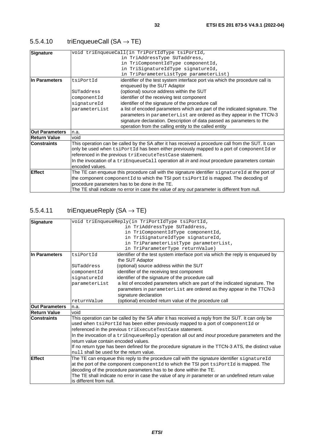### <span id="page-31-0"></span>5.5.4.10  $triEnqueueCall(SA \rightarrow TE)$

| <b>Signature</b>      |                 | void triEnqueueCall(in TriPortIdType tsiPortId,                                                    |
|-----------------------|-----------------|----------------------------------------------------------------------------------------------------|
|                       |                 | in TriAddressType SUTaddress,                                                                      |
|                       |                 | in TriComponentIdType componentId,                                                                 |
|                       |                 | in TriSignatureIdType signatureId,                                                                 |
|                       |                 | in TriParameterListType parameterList)                                                             |
| In Parameters         | tsiPortId       | identifier of the test system interface port via which the procedure call is                       |
|                       |                 | enqueued by the SUT Adaptor                                                                        |
|                       | SUTaddress      | (optional) source address within the SUT                                                           |
|                       | componentId     | identifier of the receiving test component                                                         |
|                       | signatureId     | identifier of the signature of the procedure call                                                  |
|                       | parameterList   | a list of encoded parameters which are part of the indicated signature. The                        |
|                       |                 | parameters in parameterList are ordered as they appear in the TTCN-3                               |
|                       |                 | signature declaration. Description of data passed as parameters to the                             |
|                       |                 | operation from the calling entity to the called entity                                             |
| <b>Out Parameters</b> | n.a.            |                                                                                                    |
| <b>Return Value</b>   | void            |                                                                                                    |
| <b>Constraints</b>    |                 | This operation can be called by the SA after it has received a procedure call from the SUT. It can |
|                       |                 | only be used when tsiPortId has been either previously mapped to a port of componentId or          |
|                       |                 | referenced in the previous triExecuteTestCase statement.                                           |
|                       |                 | In the invocation of a triEnqueueCall operation all in and inout procedure parameters contain      |
|                       | encoded values. |                                                                                                    |
| <b>Effect</b>         |                 | The TE can enqueue this procedure call with the signature identifier signatureId at the port of    |
|                       |                 | the component componentid to which the TSI port tsiPortid is mapped. The decoding of               |
|                       |                 | procedure parameters has to be done in the TE.                                                     |
|                       |                 | The TE shall indicate no error in case the value of any out parameter is different from null.      |

### 5.5.4.11 triEnqueueReply  $(SA \rightarrow TE)$

| Signature             |                                          | void triEnqueueReply(in TriPortIdType tsiPortId,                                                     |  |  |
|-----------------------|------------------------------------------|------------------------------------------------------------------------------------------------------|--|--|
|                       |                                          | in TriAddressType SUTaddress,                                                                        |  |  |
|                       | in TriComponentIdType componentId,       |                                                                                                      |  |  |
|                       | in TriSignatureIdType signatureId,       |                                                                                                      |  |  |
|                       |                                          | in TriParameterListType parameterList,                                                               |  |  |
|                       |                                          | in TriParameterType returnValue)                                                                     |  |  |
| In Parameters         | tsiPortId                                | identifier of the test system interface port via which the reply is enqueued by                      |  |  |
|                       |                                          | the SUT Adaptor                                                                                      |  |  |
|                       | SUTaddress                               | (optional) source address within the SUT                                                             |  |  |
|                       | componentId                              | identifier of the receiving test component                                                           |  |  |
|                       | signatureId                              | identifier of the signature of the procedure call                                                    |  |  |
|                       | parameterList                            | a list of encoded parameters which are part of the indicated signature. The                          |  |  |
|                       |                                          | parameters in parameterList are ordered as they appear in the TTCN-3                                 |  |  |
|                       |                                          | signature declaration                                                                                |  |  |
|                       | returnValue                              | (optional) encoded return value of the procedure call                                                |  |  |
| <b>Out Parameters</b> | n.a.                                     |                                                                                                      |  |  |
| Return Value          | void                                     |                                                                                                      |  |  |
| <b>Constraints</b>    |                                          | This operation can be called by the SA after it has received a reply from the SUT. It can only be    |  |  |
|                       |                                          | used when $tsiportid$ has been either previously mapped to a port of $componentid$ or                |  |  |
|                       |                                          | referenced in the previous triExecuteTestCase statement.                                             |  |  |
|                       |                                          | In the invocation of a triEnqueueReply operation all out and inout procedure parameters and the      |  |  |
|                       | return value contain encoded values.     |                                                                                                      |  |  |
|                       |                                          | If no return type has been defined for the procedure signature in the TTCN-3 ATS, the distinct value |  |  |
|                       | null shall be used for the return value. |                                                                                                      |  |  |
| <b>Effect</b>         |                                          | The TE can enqueue this reply to the procedure call with the signature identifier signatureId        |  |  |
|                       |                                          | at the port of the component componentid to which the TSI port tsiPortid is mapped. The              |  |  |
|                       |                                          | decoding of the procedure parameters has to be done within the TE.                                   |  |  |
|                       |                                          | The TE shall indicate no error in case the value of any in parameter or an undefined return value    |  |  |
|                       | is different from null.                  |                                                                                                      |  |  |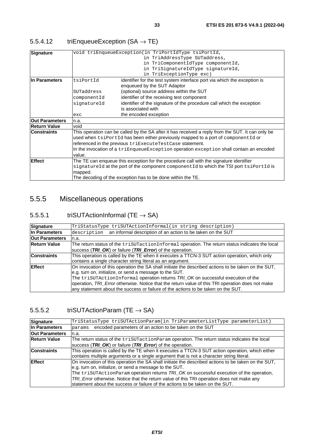#### <span id="page-32-0"></span>5.5.4.12  $triEnqueueException (SA \rightarrow TE)$

| Signature             |             | void triEnqueueException(in TriPortIdType tsiPortId,                                              |
|-----------------------|-------------|---------------------------------------------------------------------------------------------------|
|                       |             | in TriAddressType SUTaddress,                                                                     |
|                       |             | in TriComponentIdType componentId,                                                                |
|                       |             | in TriSignatureIdType signatureId,                                                                |
|                       |             | in TriExceptionType exc)                                                                          |
| In Parameters         | tsiPortId   | identifier for the test system interface port via which the exception is                          |
|                       |             | enqueued by the SUT Adaptor                                                                       |
|                       | SUTaddress  | (optional) source address within the SUT                                                          |
|                       | componentId | identifier of the receiving test component                                                        |
|                       | signatureId | identifier of the signature of the procedure call which the exception                             |
|                       |             | is associated with                                                                                |
|                       | exc         | the encoded exception                                                                             |
| <b>Out Parameters</b> | n.a.        |                                                                                                   |
| <b>Return Value</b>   | void        |                                                                                                   |
| <b>Constraints</b>    |             | This operation can be called by the SA after it has received a reply from the SUT. It can only be |
|                       |             | used when tsiPortId has been either previously mapped to a port of componentId or                 |
|                       |             | referenced in the previous triExecuteTestCase statement.                                          |
|                       |             | In the invocation of a triEnqueueException operation exception shall contain an encoded           |
|                       | value.      |                                                                                                   |
| <b>Effect</b>         |             | The TE can enqueue this exception for the procedure call with the signature identifier            |
|                       |             | signatureId at the port of the component componentId to which the TSI port tsiPortId is           |
|                       | mapped.     |                                                                                                   |
|                       |             | The decoding of the exception has to be done within the TE.                                       |
|                       |             |                                                                                                   |

### 5.5.5 Miscellaneous operations

#### 5.5.5.1 triSUTActionInformal (TE  $\rightarrow$  SA)

| <b>Signature</b>      | TriStatusType triSUTActionInformal(in string description)                                           |
|-----------------------|-----------------------------------------------------------------------------------------------------|
| In Parameters         | an informal description of an action to be taken on the SUT<br>description                          |
| <b>Out Parameters</b> | n.a.                                                                                                |
| <b>Return Value</b>   | The return status of the trisutactionInformal operation. The return status indicates the local      |
|                       | success (TRI_OK) or failure (TRI_Error) of the operation.                                           |
| <b>Constraints</b>    | This operation is called by the TE when it executes a TTCN-3 SUT action operation, which only       |
|                       | contains a single character string literal as an argument.                                          |
| <b>Effect</b>         | On invocation of this operation the SA shall initiate the described actions to be taken on the SUT, |
|                       | e.g. turn on, initialize, or send a message to the SUT.                                             |
|                       | The trisuractionInformal operation returns TRL OK on successful execution of the                    |
|                       | operation, TRI_Error otherwise. Notice that the return value of this TRI operation does not make    |
|                       | any statement about the success or failure of the actions to be taken on the SUT.                   |

#### 5.5.5.2 triSUTActionParam (TE  $\rightarrow$  SA)

| Signature             | TriStatusType triSUTActionParam(in TriParameterListType parameterList)                              |
|-----------------------|-----------------------------------------------------------------------------------------------------|
| In Parameters         | encoded parameters of an action to be taken on the SUT<br>params                                    |
| <b>Out Parameters</b> | n.a.                                                                                                |
| <b>Return Value</b>   | The return status of the triSUTactionParam operation. The return status indicates the local         |
|                       | success (TRI_OK) or failure (TRI_Error) of the operation.                                           |
| <b>Constraints</b>    | This operation is called by the TE when it executes a TTCN-3 SUT action operation, which either     |
|                       | contains multiple arguments or a single argument that is not a character string literal.            |
| <b>Effect</b>         | On invocation of this operation the SA shall initiate the described actions to be taken on the SUT, |
|                       | e.g. turn on, initialize, or send a message to the SUT.                                             |
|                       | The trisUTActionParam operation returns TRI_OK on successful execution of the operation,            |
|                       | TRI_Error otherwise. Notice that the return value of this TRI operation does not make any           |
|                       | statement about the success or failure of the actions to be taken on the SUT.                       |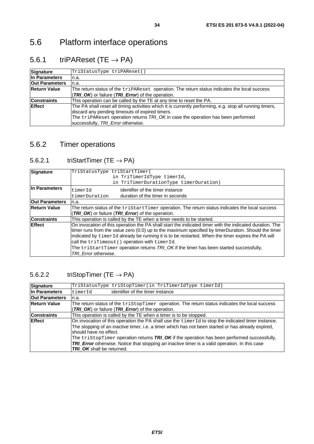# <span id="page-33-0"></span>5.6 Platform interface operations

### 5.6.1 triPAReset (TE  $\rightarrow$  PA)

| Signature             | TriStatusType triPAReset()                                                                                                                                                                                                                      |
|-----------------------|-------------------------------------------------------------------------------------------------------------------------------------------------------------------------------------------------------------------------------------------------|
| In Parameters         | ın.a.                                                                                                                                                                                                                                           |
| <b>Out Parameters</b> | n.a.                                                                                                                                                                                                                                            |
| <b>Return Value</b>   | The return status of the tripareset operation. The return status indicates the local success                                                                                                                                                    |
|                       | <b>TRI_OK</b> ) or failure (TRI_Error) of the operation.                                                                                                                                                                                        |
| <b>Constraints</b>    | This operation can be called by the TE at any time to reset the PA.                                                                                                                                                                             |
| <b>Effect</b>         | The PA shall reset all timing activities which it is currently performing, e.g. stop all running timers,<br>discard any pending timeouts of expired timers.<br>The triPAReset operation returns TRI_OK in case the operation has been performed |
|                       | successfully, TRI_Error otherwise.                                                                                                                                                                                                              |

### 5.6.2 Timer operations

### 5.6.2.1 triStartTimer (TE  $\rightarrow$  PA)

| Signature             | TriStatusType triStartTimer( |                                                                                                           |
|-----------------------|------------------------------|-----------------------------------------------------------------------------------------------------------|
|                       |                              | in TriTimerIdType timerId,                                                                                |
|                       |                              | in TriTimerDurationType timerDuration)                                                                    |
| In Parameters         |                              |                                                                                                           |
|                       | timerId                      | identifier of the timer instance                                                                          |
|                       | timerDuration                | duration of the timer in seconds                                                                          |
| <b>Out Parameters</b> | n.a.                         |                                                                                                           |
| <b>Return Value</b>   |                              | The return status of the $\text{tristartTimer}$ operation. The return status indicates the local success  |
|                       |                              | <b>TRI_OK</b> ) or failure (TRI_Error) of the operation.                                                  |
| <b>Constraints</b>    |                              | This operation is called by the TE when a timer needs to be started.                                      |
| <b>Effect</b>         |                              | On invocation of this operation the PA shall start the indicated timer with the indicated duration. The   |
|                       |                              | timer runs from the value zero (0.0) up to the maximum specified by timerDuration. Should the timer       |
|                       |                              | indicated by timerId already be running it is to be restarted. When the timer expires the PA will         |
|                       |                              | call the triTimeout () operation with timerId.                                                            |
|                       |                              | The $\text{tristartTimer}$ operation returns $\text{TRI\_OK}$ if the timer has been started successfully, |
|                       | TRI Error otherwise.         |                                                                                                           |

#### 5.6.2.2 triStopTimer (TE  $\rightarrow$  PA)

| Signature             | TriStatusType triStopTimer(in TriTimerIdType timerId)                                                                         |
|-----------------------|-------------------------------------------------------------------------------------------------------------------------------|
| In Parameters         | identifier of the timer instance<br>timerId                                                                                   |
| <b>Out Parameters</b> | n.a.                                                                                                                          |
| <b>Return Value</b>   | The return status of the $\text{tristopTimer}$ operation. The return status indicates the local success                       |
|                       | (TRI OK) or failure (TRI Error) of the operation.                                                                             |
| <b>Constraints</b>    | This operation is called by the TE when a timer is to be stopped.                                                             |
| <b>IEffect</b>        | On invocation of this operation the PA shall use the timerId to stop the indicated timer instance.                            |
|                       | The stopping of an inactive timer, i.e. a timer which has not been started or has already expired,<br>Ishould have no effect. |
|                       | The $\text{tristopTime}$ operation returns $\text{TRI}_\text{D}\text{OK}$ if the operation has been performed successfully,   |
|                       | <b>TRI_Error</b> otherwise. Notice that stopping an inactive timer is a valid operation. In this case                         |
|                       | <b>TRI OK</b> shall be returned.                                                                                              |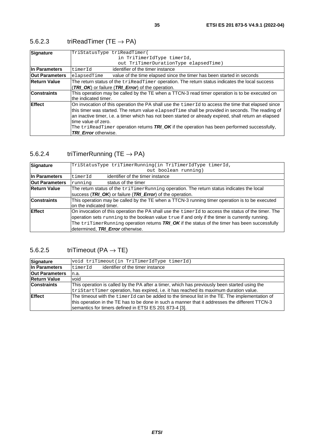### <span id="page-34-0"></span>5.6.2.3 triReadTimer (TE  $\rightarrow$  PA)

| <b>Signature</b>      | TriStatusType triReadTimer(                                                                                     |  |  |  |
|-----------------------|-----------------------------------------------------------------------------------------------------------------|--|--|--|
|                       | in TriTimerIdType timerId,                                                                                      |  |  |  |
|                       | out TriTimerDurationType elapsedTime)                                                                           |  |  |  |
| In Parameters         | identifier of the timer instance<br>timerId                                                                     |  |  |  |
| <b>Out Parameters</b> | value of the time elapsed since the timer has been started in seconds<br>elapsedTime                            |  |  |  |
| <b>Return Value</b>   | The return status of the triReadTimer operation. The return status indicates the local success                  |  |  |  |
|                       | (TRI OK) or failure (TRI Error) of the operation.                                                               |  |  |  |
| <b>Constraints</b>    | This operation may be called by the TE when a TTCN-3 read timer operation is to be executed on                  |  |  |  |
|                       | the indicated timer.                                                                                            |  |  |  |
| <b>Effect</b>         | On invocation of this operation the PA shall use the timerId to access the time that elapsed since              |  |  |  |
|                       | this timer was started. The return value elapsed Time shall be provided in seconds. The reading of              |  |  |  |
|                       | an inactive timer, i.e. a timer which has not been started or already expired, shall return an elapsed          |  |  |  |
|                       | time value of zero.                                                                                             |  |  |  |
|                       | The $\text{trikeadTime}$ operation returns $\textit{TRI\_OK}$ if the operation has been performed successfully, |  |  |  |
|                       | <b>TRI Error</b> otherwise.                                                                                     |  |  |  |

#### 5.6.2.4 triTimerRunning (TE  $\rightarrow$  PA)

| Signature             | TriStatusType triTimerRunning(in TriTimerIdType timerId,                                                                |  |  |  |  |
|-----------------------|-------------------------------------------------------------------------------------------------------------------------|--|--|--|--|
|                       | out boolean running)                                                                                                    |  |  |  |  |
| In Parameters         | identifier of the timer instance<br>timerId                                                                             |  |  |  |  |
| <b>Out Parameters</b> | status of the timer<br>running                                                                                          |  |  |  |  |
| <b>Return Value</b>   | The return status of the triTimerRunning operation. The return status indicates the local                               |  |  |  |  |
|                       | success (TRI_OK) or failure (TRI_Error) of the operation.                                                               |  |  |  |  |
| <b>Constraints</b>    | This operation may be called by the TE when a TTCN-3 running timer operation is to be executed                          |  |  |  |  |
|                       | on the indicated timer.                                                                                                 |  |  |  |  |
| <b>Effect</b>         | On invocation of this operation the PA shall use the $\text{timerid}$ to access the status of the timer. The            |  |  |  |  |
|                       | operation sets running to the boolean value true if and only if the timer is currently running.                         |  |  |  |  |
|                       | The $\text{trilinearRunning operation returns}$ ration $\text{TRI}$ OK if the status of the timer has been successfully |  |  |  |  |
|                       | determined, TRI Error otherwise.                                                                                        |  |  |  |  |

#### 5.6.2.5 triTimeout (PA  $\rightarrow$  TE)

| <b>Signature</b>      | void triTimeout(in TriTimerIdType timerId)                                                                                                                                                                                                                  |  |  |
|-----------------------|-------------------------------------------------------------------------------------------------------------------------------------------------------------------------------------------------------------------------------------------------------------|--|--|
| In Parameters         | identifier of the timer instance<br>timerId                                                                                                                                                                                                                 |  |  |
| <b>Out Parameters</b> | n.a.                                                                                                                                                                                                                                                        |  |  |
| <b>Return Value</b>   | void                                                                                                                                                                                                                                                        |  |  |
| <b>Constraints</b>    | This operation is called by the PA after a timer, which has previously been started using the<br>$tristartTimer operation, has expired, i.e. it has reached its maximum duration value.$                                                                    |  |  |
| <b>Effect</b>         | The timeout with the timerId can be added to the timeout list in the TE. The implementation of<br>this operation in the TE has to be done in such a manner that it addresses the different TTCN-3<br>semantics for timers defined in ETSI ES 201 873-4 [3]. |  |  |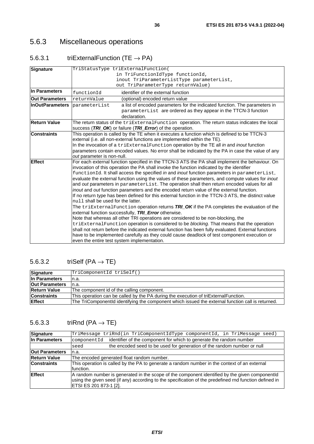### <span id="page-35-0"></span>5.6.3 Miscellaneous operations

### 5.6.3.1 triExternalFunction (TE  $\rightarrow$  PA)

| <b>Signature</b>       | TriStatusType triExternalFunction(                                                                                                                                                               |  |  |  |  |
|------------------------|--------------------------------------------------------------------------------------------------------------------------------------------------------------------------------------------------|--|--|--|--|
|                        | in TriFunctionIdType functionId,                                                                                                                                                                 |  |  |  |  |
|                        | inout TriParameterListType parameterList,                                                                                                                                                        |  |  |  |  |
|                        | out TriParameterType returnValue)                                                                                                                                                                |  |  |  |  |
| In Parameters          | identifier of the external function<br>functionId                                                                                                                                                |  |  |  |  |
| <b>Out Parameters</b>  | returnValue<br>(optional) encoded return value                                                                                                                                                   |  |  |  |  |
| <b>InOutParameters</b> | a list of encoded parameters for the indicated function. The parameters in<br>parameterList                                                                                                      |  |  |  |  |
|                        | parameterList are ordered as they appear in the TTCN-3 function                                                                                                                                  |  |  |  |  |
|                        | declaration.                                                                                                                                                                                     |  |  |  |  |
| <b>Return Value</b>    | The return status of the triExternalFunction operation. The return status indicates the local                                                                                                    |  |  |  |  |
|                        | success (TRI_OK) or failure (TRI_Error) of the operation.                                                                                                                                        |  |  |  |  |
| <b>Constraints</b>     | This operation is called by the TE when it executes a function which is defined to be TTCN-3                                                                                                     |  |  |  |  |
|                        | external (i.e. all non-external functions are implemented within the TE).                                                                                                                        |  |  |  |  |
|                        | In the invocation of a triExternalFunction operation by the TE all in and inout function                                                                                                         |  |  |  |  |
|                        | parameters contain encoded values. No error shall be indicated by the PA in case the value of any                                                                                                |  |  |  |  |
|                        | out parameter is non-null.                                                                                                                                                                       |  |  |  |  |
| <b>Effect</b>          | For each external function specified in the TTCN-3 ATS the PA shall implement the behaviour. On<br>invocation of this operation the PA shall invoke the function indicated by the identifier     |  |  |  |  |
|                        | functionId. It shall access the specified in and inout function parameters in parameterList,                                                                                                     |  |  |  |  |
|                        | evaluate the external function using the values of these parameters, and compute values for inout<br>and out parameters in parameterList. The operation shall then return encoded values for all |  |  |  |  |
|                        | <i>inout</i> and <i>out</i> function parameters and the encoded return value of the external function.                                                                                           |  |  |  |  |
|                        | If no return type has been defined for this external function in the TTCN-3 ATS, the distinct value                                                                                              |  |  |  |  |
|                        | null shall be used for the latter.                                                                                                                                                               |  |  |  |  |
|                        | The triExternalFunction operation returns TRI_OK if the PA completes the evaluation of the                                                                                                       |  |  |  |  |
|                        | external function successfully, TRI_Error otherwise.                                                                                                                                             |  |  |  |  |
|                        | Note that whereas all other TRI operations are considered to be non-blocking, the                                                                                                                |  |  |  |  |
|                        | triExternalFunction operation is considered to be blocking. That means that the operation                                                                                                        |  |  |  |  |
|                        | shall not return before the indicated external function has been fully evaluated. External functions                                                                                             |  |  |  |  |
|                        | have to be implemented carefully as they could cause deadlock of test component execution or                                                                                                     |  |  |  |  |
|                        | even the entire test system implementation.                                                                                                                                                      |  |  |  |  |

#### 5.6.3.2 triSelf  $(PA \rightarrow TE)$

| Signature             | TriComponentId triSelf()                                                                          |  |
|-----------------------|---------------------------------------------------------------------------------------------------|--|
| In Parameters         | In.a.                                                                                             |  |
| <b>Out Parameters</b> | In.a.                                                                                             |  |
| <b>Return Value</b>   | The component id of the calling component.                                                        |  |
| <b>Constraints</b>    | This operation can be called by the PA during the execution of triExternalFunction.               |  |
| <b>Effect</b>         | The TriComponentId identifying the component which issued the external function call is returned. |  |

### 5.6.3.3 triRnd (PA  $\rightarrow$  TE)

| <b>Signature</b>      | TriMessage triRnd(in TriComponentIdType componentId, in TriMessage seed)                                                                                                                                                            |                                                                         |  |
|-----------------------|-------------------------------------------------------------------------------------------------------------------------------------------------------------------------------------------------------------------------------------|-------------------------------------------------------------------------|--|
| In Parameters         | componentId                                                                                                                                                                                                                         | identifier of the component for which to generate the random number     |  |
|                       | seed                                                                                                                                                                                                                                | the encoded seed to be used for generation of the random number or null |  |
| <b>Out Parameters</b> | n.a.                                                                                                                                                                                                                                |                                                                         |  |
| <b>Return Value</b>   | The encoded generated float random number.                                                                                                                                                                                          |                                                                         |  |
| <b>Constraints</b>    | This operation is called by the PA to generate a random number in the context of an external<br>function.                                                                                                                           |                                                                         |  |
| <b>Effect</b>         | A random number is generated in the scope of the component identified by the given componentid<br>using the given seed (if any) according to the specification of the predefined rnd function defined in<br> ETSI ES 201 873-1 [2]. |                                                                         |  |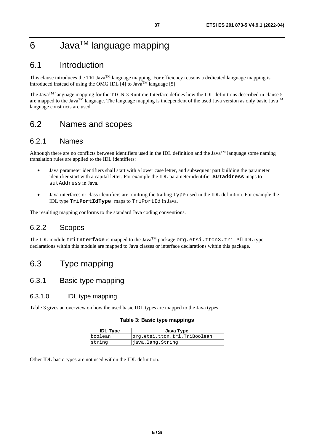# 6 Java<sup>™</sup> language mapping

## 6.1 Introduction

This clause introduces the TRI Java<sup>TM</sup> language mapping. For efficiency reasons a dedicated language mapping is introduced instead of using the OMG IDL [[4\]](#page-8-0) to Java<sup>TM</sup> language [[5\]](#page-9-0).

The Java<sup>TM</sup> language mapping for the TTCN-3 Runtime Interface defines how the IDL definitions described in clause 5 are mapped to the Java<sup>TM</sup> language. The language mapping is independent of the used Java version as only basic Java<sup>TM</sup> language constructs are used.

## 6.2 Names and scopes

### 6.2.1 Names

Although there are no conflicts between identifiers used in the IDL definition and the Java<sup>TM</sup> language some naming translation rules are applied to the IDL identifiers:

- Java parameter identifiers shall start with a lower case letter, and subsequent part building the parameter identifier start with a capital letter. For example the IDL parameter identifier **SUTaddress** maps to sutAddress in Java.
- Java interfaces or class identifiers are omitting the trailing Type used in the IDL definition. For example the IDL type **TriPortIdType** maps to TriPortId in Java.

The resulting mapping conforms to the standard Java coding conventions.

### 6.2.2 Scopes

The IDL module **triInterface** is mapped to the Java<sup>TM</sup> package org.etsi.ttcn3.tri. All IDL type declarations within this module are mapped to Java classes or interface declarations within this package.

## 6.3 Type mapping

### 6.3.1 Basic type mapping

#### 6.3.1.0 IDL type mapping

Table 3 gives an overview on how the used basic IDL types are mapped to the Java types.

#### **Table 3: Basic type mappings**

| <b>IDL Type</b> | Java Type                    |
|-----------------|------------------------------|
| boolean         | org.etsi.ttcn.tri.TriBoolean |
| string          | java.lang.String             |

Other IDL basic types are not used within the IDL definition.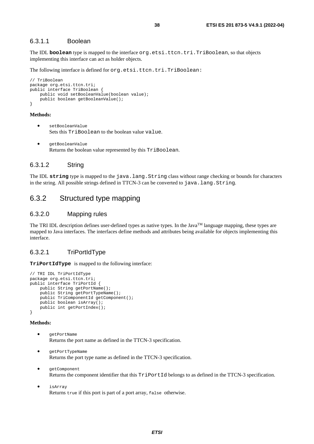#### 6.3.1.1 Boolean

The IDL **boolean** type is mapped to the interface org.etsi.ttcn.tri.TriBoolean, so that objects implementing this interface can act as holder objects.

The following interface is defined for org.etsi.ttcn.tri.TriBoolean:

```
// TriBoolean 
package org.etsi.ttcn.tri; 
public interface TriBoolean { 
     public void setBooleanValue(boolean value); 
     public boolean getBooleanValue(); 
}
```
#### **Methods:**

- setBooleanValue Sets this TriBoolean to the boolean value value.
- getBooleanValue Returns the boolean value represented by this TriBoolean.

### 6.3.1.2 String

The IDL string type is mapped to the java.lang.String class without range checking or bounds for characters in the string. All possible strings defined in TTCN-3 can be converted to java.lang.String.

### 6.3.2 Structured type mapping

#### 6.3.2.0 Mapping rules

The TRI IDL description defines user-defined types as native types. In the Java<sup>TM</sup> language mapping, these types are mapped to Java interfaces. The interfaces define methods and attributes being available for objects implementing this interface.

### 6.3.2.1 TriPortIdType

**TriPortIdType** is mapped to the following interface:

```
// TRI IDL TriPortIdType 
package org.etsi.ttcn.tri;
public interface TriPortId { 
     public String getPortName(); 
     public String getPortTypeName(); 
    public TriComponentId getComponent();
     public boolean isArray(); 
     public int getPortIndex(); 
}
```
- getPortName Returns the port name as defined in the TTCN-3 specification.
- getPortTypeName Returns the port type name as defined in the TTCN-3 specification.
- getComponent Returns the component identifier that this  $TriPortId$  belongs to as defined in the TTCN-3 specification.
- isArray Returns true if this port is part of a port array, false otherwise.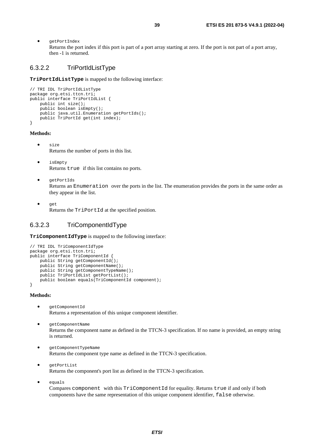• getPortIndex

Returns the port index if this port is part of a port array starting at zero. If the port is not part of a port array, then -1 is returned.

### 6.3.2.2 TriPortIdListType

**TriPortIdListType** is mapped to the following interface:

```
// TRI IDL TriPortIdListType 
package org.etsi.ttcn.tri; 
public interface TriPortIdList { 
     public int size(); 
     public boolean isEmpty(); 
     public java.util.Enumeration getPortIds(); 
     public TriPortId get(int index); 
}
```
#### **Methods:**

- size Returns the number of ports in this list.
- isEmpty Returns true if this list contains no ports.
- getPortIds Returns an Enumeration over the ports in the list. The enumeration provides the ports in the same order as they appear in the list.
- get Returns the TriPortId at the specified position.

### 6.3.2.3 TriComponentIdType

**TriComponentIdType** is mapped to the following interface:

```
// TRI IDL TriComponentIdType 
package org.etsi.ttcn.tri; 
public interface TriComponentId { 
    public String getComponentId();
     public String getComponentName(); 
    public String getComponentTypeName(); 
    public TriPortIdList getPortList();
    public boolean equals(TriComponentId component);
}
```
#### **Methods:**

- getComponentId Returns a representation of this unique component identifier.
- getComponentName Returns the component name as defined in the TTCN-3 specification. If no name is provided, an empty string is returned.
- getComponentTypeName Returns the component type name as defined in the TTCN-3 specification.
- getPortList Returns the component's port list as defined in the TTCN-3 specification.
- equals

Compares component with this TriComponentId for equality. Returns true if and only if both components have the same representation of this unique component identifier, false otherwise.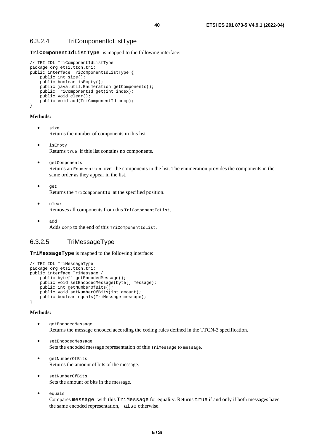**TriComponentIdListType** is mapped to the following interface:

```
// TRI IDL TriComponentIdListType 
package org.etsi.ttcn.tri; 
public interface TriComponentIdListType { 
     public int size(); 
     public boolean isEmpty(); 
     public java.util.Enumeration getComponents(); 
     public TriComponentId get(int index); 
     public void clear(); 
     public void add(TriComponentId comp); 
}
```
#### **Methods:**

- size Returns the number of components in this list.
	- isEmpty Returns true if this list contains no components.
- getComponents Returns an Enumeration over the components in the list. The enumeration provides the components in the same order as they appear in the list.
- get

Returns the TriComponentId at the specified position.

- clear Removes all components from this TriComponentIdList.
- add Adds comp to the end of this TriComponentIdList.

### 6.3.2.5 TriMessageType

**TriMessageType** is mapped to the following interface:

```
// TRI IDL TriMessageType 
package org.etsi.ttcn.tri; 
public interface TriMessage { 
     public byte[] getEncodedMessage(); 
     public void setEncodedMessage(byte[] message); 
   public int getNumberOfBits();
     public void setNumberOfBits(int amount); 
     public boolean equals(TriMessage message); 
}
```
#### **Methods:**

- getEncodedMessage Returns the message encoded according the coding rules defined in the TTCN-3 specification.
- setEncodedMessage Sets the encoded message representation of this TriMessage to message.
- getNumberOfBits Returns the amount of bits of the message.
- setNumberOfBits Sets the amount of bits in the message.
- equals

Compares message with this TriMessage for equality. Returns true if and only if both messages have the same encoded representation, false otherwise.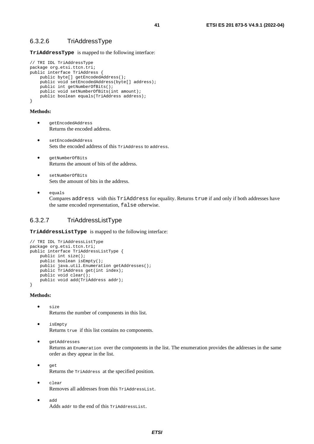**TriAddressType** is mapped to the following interface:

```
// TRI IDL TriAddressType 
package org.etsi.ttcn.tri; 
public interface TriAddress { 
    public byte[] getEncodedAddress();
     public void setEncodedAddress(byte[] address); 
     public int getNumberOfBits(); 
     public void setNumberOfBits(int amount); 
    public boolean equals(TriAddress address);
}
```
#### **Methods:**

- getEncodedAddress Returns the encoded address.
- setEncodedAddress Sets the encoded address of this TriAddress to address.
- getNumberOfBits Returns the amount of bits of the address.
- setNumberOfBits Sets the amount of bits in the address.
- equals

Compares address with this TriAddress for equality. Returns true if and only if both addresses have the same encoded representation, false otherwise.

#### 6.3.2.7 TriAddressListType

**TriAddressListType** is mapped to the following interface:

```
// TRI IDL TriAddressListType 
package org.etsi.ttcn.tri; 
public interface TriAddressListType { 
     public int size(); 
     public boolean isEmpty(); 
    public java.util.Enumeration getAddresses();
     public TriAddress get(int index); 
     public void clear(); 
     public void add(TriAddress addr); 
}
```
- size Returns the number of components in this list.
- isEmpty Returns true if this list contains no components.
- getAddresses Returns an Enumeration over the components in the list. The enumeration provides the addresses in the same order as they appear in the list.
- get Returns the TriAddress at the specified position.
- clear Removes all addresses from this TriAddressList.
- add Adds addr to the end of this TriAddressList.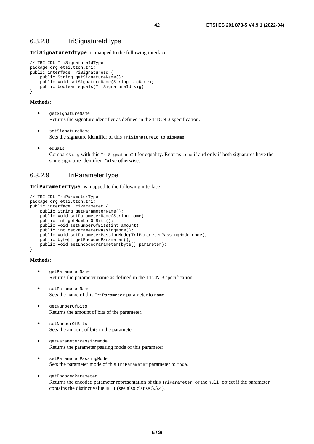**TriSignatureIdType** is mapped to the following interface:

```
// TRI IDL TriSignatureIdType 
package org.etsi.ttcn.tri; 
public interface TriSignatureId { 
     public String getSignatureName(); 
     public void setSignatureName(String sigName); 
     public boolean equals(TriSignatureId sig); 
}
```
#### **Methods:**

- getSignatureName Returns the signature identifier as defined in the TTCN-3 specification.
- setSignatureName Sets the signature identifier of this TriSignatureId to sigName.
- equals

Compares sig with this TriSignatureId for equality. Returns true if and only if both signatures have the same signature identifier, false otherwise.

### 6.3.2.9 TriParameterType

**TriParameterType** is mapped to the following interface:

```
// TRI IDL TriParameterType 
package org.etsi.ttcn.tri;
public interface TriParameter { 
     public String getParameterName(); 
     public void setParameterName(String name); 
    public int getNumberOfBits(); 
     public void setNumberOfBits(int amount); 
     public int getParameterPassingMode(); 
     public void setParameterPassingMode(TriParameterPassingMode mode); 
    public byte[] getEncodedParameter();
     public void setEncodedParameter(byte[] parameter); 
}
```
- getParameterName Returns the parameter name as defined in the TTCN-3 specification.
- setParameterName Sets the name of this TriParameter parameter to name.
- getNumberOfBits Returns the amount of bits of the parameter.
- setNumberOfBits Sets the amount of bits in the parameter.
- getParameterPassingMode Returns the parameter passing mode of this parameter.
- setParameterPassingMode Sets the parameter mode of this TriParameter parameter to mode.
- getEncodedParameter Returns the encoded parameter representation of this TriParameter, or the null object if the parameter contains the distinct value null (see also clause 5.5.4).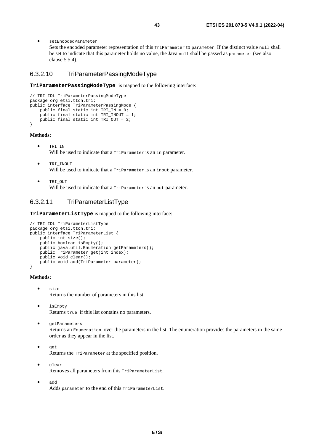• setEncodedParameter

Sets the encoded parameter representation of this TriParameter to parameter. If the distinct value null shall be set to indicate that this parameter holds no value, the Java null shall be passed as parameter (see also clause 5.5.4).

#### 6.3.2.10 TriParameterPassingModeType

**TriParameterPassingModeType** is mapped to the following interface:

```
// TRI IDL TriParameterPassingModeType 
package org.etsi.ttcn.tri; 
public interface TriParameterPassingMode { 
     public final static int TRI_IN = 0; 
     public final static int TRI_INOUT = 1; 
     public final static int TRI_OUT = 2; 
}
```
#### **Methods:**

- TRI\_IN Will be used to indicate that a TriParameter is an in parameter.
- TRI\_INOUT Will be used to indicate that a TriParameter is an inout parameter.
- TRI\_OUT Will be used to indicate that a TriParameter is an out parameter.

#### 6.3.2.11 TriParameterListType

**TriParameterListType** is mapped to the following interface:

```
// TRI IDL TriParameterListType 
package org.etsi.ttcn.tri; 
public interface TriParameterList { 
     public int size(); 
     public boolean isEmpty(); 
     public java.util.Enumeration getParameters(); 
     public TriParameter get(int index); 
     public void clear(); 
     public void add(TriParameter parameter); 
}
```
- size Returns the number of parameters in this list.
- isEmpty Returns true if this list contains no parameters.
- getParameters Returns an Enumeration over the parameters in the list. The enumeration provides the parameters in the same order as they appear in the list.
- get Returns the TriParameter at the specified position.
- clear Removes all parameters from this TriParameterList.
- add Adds parameter to the end of this TriParameterList.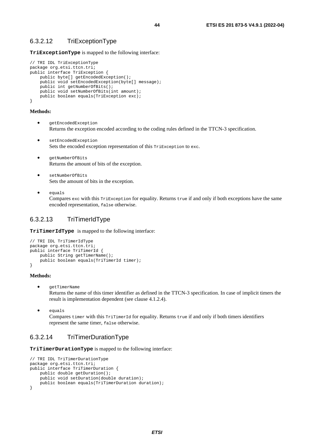**TriExceptionType** is mapped to the following interface:

```
// TRI IDL TriExceptionType 
package org.etsi.ttcn.tri; 
public interface TriException { 
     public byte[] getEncodedException(); 
     public void setEncodedException(byte[] message); 
     public int getNumberOfBits(); 
     public void setNumberOfBits(int amount); 
     public boolean equals(TriException exc); 
}
```
#### **Methods:**

- getEncodedException Returns the exception encoded according to the coding rules defined in the TTCN-3 specification.
- setEncodedException Sets the encoded exception representation of this TriException to exc.
- getNumberOfBits Returns the amount of bits of the exception.
- setNumberOfBits Sets the amount of bits in the exception.
- equals Compares exc with this TriException for equality. Returns true if and only if both exceptions have the same encoded representation, false otherwise.

### 6.3.2.13 TriTimerIdType

**TriTimerIdType** is mapped to the following interface:

```
// TRI IDL TriTimerIdType 
package org.etsi.ttcn.tri; 
public interface TriTimerId { 
     public String getTimerName(); 
     public boolean equals(TriTimerId timer); 
}
```
#### **Methods:**

• getTimerName

Returns the name of this timer identifier as defined in the TTCN-3 specification. In case of implicit timers the result is implementation dependent (see clause 4.1.2.4).

• equals

Compares timer with this TriTimerId for equality. Returns true if and only if both timers identifiers represent the same timer, false otherwise.

### 6.3.2.14 TriTimerDurationType

**TriTimerDurationType** is mapped to the following interface:

```
// TRI IDL TriTimerDurationType 
package org.etsi.ttcn.tri; 
public interface TriTimerDuration { 
     public double getDuration(); 
     public void setDuration(double duration); 
     public boolean equals(TriTimerDuration duration); 
}
```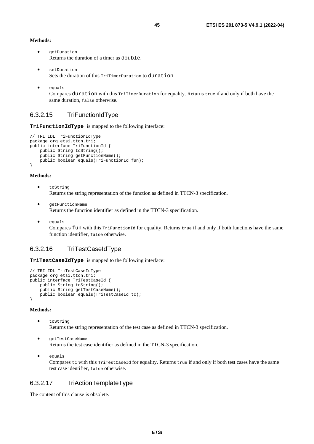#### **Methods:**

- getDuration Returns the duration of a timer as double.
- setDuration Sets the duration of this TriTimerDuration to duration.
- equals

Compares duration with this TriTimerDuration for equality. Returns true if and only if both have the same duration, false otherwise.

### 6.3.2.15 TriFunctionIdType

**TriFunctionIdType** is mapped to the following interface:

```
// TRI IDL TriFunctionIdType 
package org.etsi.ttcn.tri;
public interface TriFunctionId { 
     public String toString(); 
     public String getFunctionName(); 
     public boolean equals(TriFunctionId fun); 
}
```
#### **Methods:**

- toString Returns the string representation of the function as defined in TTCN-3 specification.
- getFunctionName Returns the function identifier as defined in the TTCN-3 specification.
- equals

Compares fun with this TriFunctionId for equality. Returns true if and only if both functions have the same function identifier, false otherwise.

#### 6.3.2.16 TriTestCaseIdType

**TriTestCaseIdType** is mapped to the following interface:

```
// TRI IDL TriTestCaseIdType 
package org.etsi.ttcn.tri; 
public interface TriTestCaseId { 
     public String toString(); 
     public String getTestCaseName(); 
     public boolean equals(TriTestCaseId tc); 
}
```
#### **Methods:**

- toString Returns the string representation of the test case as defined in TTCN-3 specification.
- getTestCaseName Returns the test case identifier as defined in the TTCN-3 specification.
- equals Compares tc with this TriTestCaseId for equality. Returns true if and only if both test cases have the same test case identifier, false otherwise.

### 6.3.2.17 TriActionTemplateType

The content of this clause is obsolete.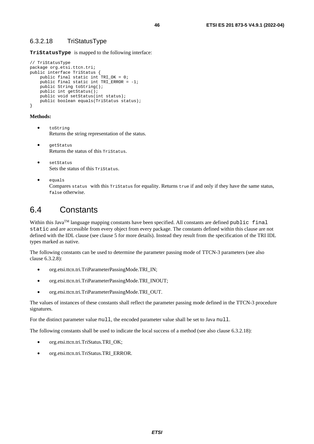### 6.3.2.18 TriStatusType

**TriStatusType** is mapped to the following interface:

```
// TriStatusType 
package org.etsi.ttcn.tri; 
public interface TriStatus { 
    public final static int TRI_OK = 0;
    public final static int TRI ERROR = -1;
    public String toString(); 
     public int getStatus(); 
   public void setStatus(int status);
     public boolean equals(TriStatus status); 
}
```
#### **Methods:**

- toString Returns the string representation of the status.
- getStatus Returns the status of this TriStatus.
- setStatus Sets the status of this TriStatus.
- equals Compares status with this TriStatus for equality. Returns true if and only if they have the same status, false otherwise.

## 6.4 Constants

Within this Java<sup>TM</sup> language mapping constants have been specified. All constants are defined public final static and are accessible from every object from every package. The constants defined within this clause are not defined with the IDL clause (see clause 5 for more details). Instead they result from the specification of the TRI IDL types marked as native.

The following constants can be used to determine the parameter passing mode of TTCN-3 parameters (see also clause 6.3.2.8):

- org.etsi.ttcn.tri.TriParameterPassingMode.TRI\_IN;
- org.etsi.ttcn.tri.TriParameterPassingMode.TRI\_INOUT;
- org.etsi.ttcn.tri.TriParameterPassingMode.TRI\_OUT.

The values of instances of these constants shall reflect the parameter passing mode defined in the TTCN-3 procedure signatures.

For the distinct parameter value null, the encoded parameter value shall be set to Java null.

The following constants shall be used to indicate the local success of a method (see also clause 6.3.2.18):

- org.etsi.ttcn.tri.TriStatus.TRI\_OK;
- org.etsi.ttcn.tri.TriStatus.TRI\_ERROR.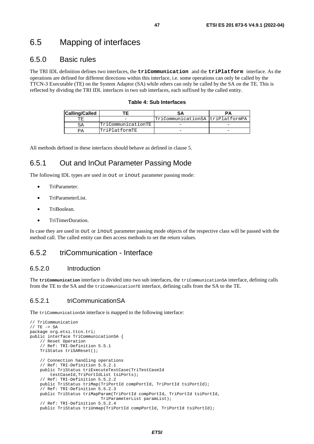## 6.5 Mapping of interfaces

### 6.5.0 Basic rules

The TRI IDL definition defines two interfaces, the **triCommunication** and the **triPlatform** interface. As the operations are defined for different directions within this interface, i.e. some operations can only be called by the TTCN-3 Executable (TE) on the System Adaptor (SA) while others can only be called by the SA on the TE. This is reflected by dividing the TRI IDL interfaces in two sub interfaces, each suffixed by the called entity.

#### **Table 4: Sub Interfaces**

| <b>Calling/Called</b> |                    |                                  |  |
|-----------------------|--------------------|----------------------------------|--|
|                       |                    | TriCommunicationSA triPlatformPA |  |
| SΑ                    | TriCommunicationTE |                                  |  |
|                       | TriPlatformTE      |                                  |  |

All methods defined in these interfaces should behave as defined in clause 5.

## 6.5.1 Out and InOut Parameter Passing Mode

The following IDL types are used in out or inout parameter passing mode:

- TriParameter.
- TriParameterList.
- TriBoolean.
- TriTimerDuration.

In case they are used in out or inout parameter passing mode objects of the respective class will be passed with the method call. The called entity can then access methods to set the return values.

### 6.5.2 triCommunication - Interface

### 6.5.2.0 Introduction

The **triCommunication** interface is divided into two sub interfaces, the triCommunicationSA interface, defining calls from the TE to the SA and the triCommunicationTE interface, defining calls from the SA to the TE.

### 6.5.2.1 triCommunicationSA

The triCommunicationSA interface is mapped to the following interface:

```
// TriCommunication 
// TE -> SA 
package org.etsi.ttcn.tri; 
public interface TriCommunicationSA { 
     // Reset Operation 
     // Ref: TRI-Definition 5.5.1 
     TriStatus triSAReset(); 
     // Connection handling operations 
     // Ref: TRI-Definition 5.5.2.1 
     public TriStatus triExecuteTestCase(TriTestCaseId 
         testCaseId,TriPortIdList tsiPorts); 
     // Ref: TRI-Definition 5.5.2.2 
     public TriStatus triMap(TriPortId compPortId, TriPortId tsiPortId); 
     // Ref: TRI-Definition 5.5.2.3 
     public TriStatus triMapParam(TriPortId compPortId, TriPortId tsiPortId, 
                              TriParameterList paramList); 
     // Ref: TRI-Definition 5.5.2.4 
     public TriStatus triUnmap(TriPortId compPortId, TriPortId tsiPortId);
```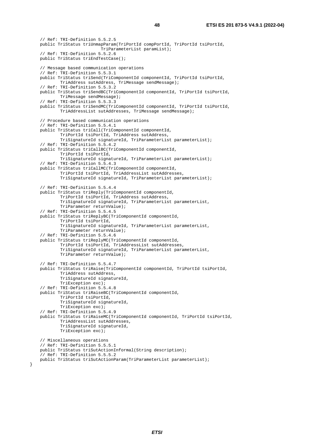// Ref: TRI-Definition 5.5.2.5 public TriStatus triUnmapParam(TriPortId compPortId, TriPortId tsiPortId, TriParameterList paramList); // Ref: TRI-Definition 5.5.2.6 public TriStatus triEndTestCase(); // Message based communication operations // Ref: TRI-Definition 5.5.3.1 public TriStatus triSend(TriComponentId componentId, TriPortId tsiPortId, TriAddress sutAddress, TriMessage sendMessage); // Ref: TRI-Definition 5.5.3.2 public TriStatus triSendBC(TriComponentId componentId, TriPortId tsiPortId, TriMessage sendMessage); // Ref: TRI-Definition 5.5.3.3 public TriStatus triSendMC(TriComponentId componentId, TriPortId tsiPortId, TriAddressList sutAddresses, TriMessage sendMessage); // Procedure based communication operations // Ref: TRI-Definition 5.5.4.1 public TriStatus triCall(TriComponentId componentId, TriPortId tsiPortId, TriAddress sutAddress, TriSignatureId signatureId, TriParameterList parameterList); // Ref: TRI-Definition 5.5.4.2 public TriStatus triCallBC(TriComponentId componentId, TriPortId tsiPortId, TriSignatureId signatureId, TriParameterList parameterList); // Ref: TRI-Definition 5.5.4.3 public TriStatus triCallMC(TriComponentId componentId, TriPortId tsiPortId, TriAddressList sutAddresses, TriSignatureId signatureId, TriParameterList parameterList); // Ref: TRI-Definition 5.5.4.4 public TriStatus triReply(TriComponentId componentId, TriPortId tsiPortId, TriAddress sutAddress, TriSignatureId signatureId, TriParameterList parameterList, TriParameter returnValue); // Ref: TRI-Definition 5.5.4.5 public TriStatus triReplyBC(TriComponentId componentId, TriPortId tsiPortId, TriSignatureId signatureId, TriParameterList parameterList, TriParameter returnValue); // Ref: TRI-Definition 5.5.4.6 public TriStatus triReplyMC(TriComponentId componentId, TriPortId tsiPortId, TriAddressList sutAddresses, TriSignatureId signatureId, TriParameterList parameterList, TriParameter returnValue); // Ref: TRI-Definition 5.5.4.7 public TriStatus triRaise(TriComponentId componentId, TriPortId tsiPortId, TriAddress sutAddress, TriSignatureId signatureId, TriException exc); // Ref: TRI-Definition 5.5.4.8 public TriStatus triRaiseBC(TriComponentId componentId, TriPortId tsiPortId, TriSignatureId signatureId, TriException exc); // Ref: TRI-Definition 5.5.4.9 public TriStatus triRaiseMC(TriComponentId componentId, TriPortId tsiPortId, TriAddressList sutAddresses, TriSignatureId signatureId, TriException exc); // Miscellaneous operations // Ref: TRI-Definition 5.5.5.1 public TriStatus triSutActionInformal(String description); // Ref: TRI-Definition 5.5.5.2 public TriStatus triSutActionParam(TriParameterList parameterList);

}

*ETSI*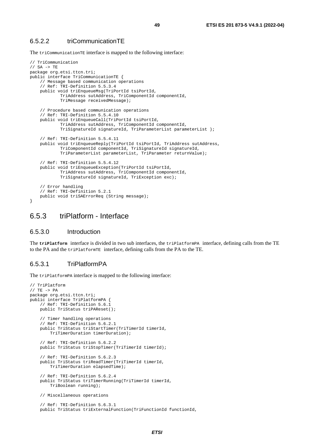#### 6.5.2.2 triCommunicationTE

The triCommunicationTE interface is mapped to the following interface:

```
// TriCommunication 
// SA -> TE 
package org.etsi.ttcn.tri; 
public interface TriCommunicationTE { 
     // Message based communication operations 
     // Ref: TRI-Definition 5.5.3.4 
     public void triEnqueueMsg(TriPortId tsiPortId, 
             TriAddress sutAddress, TriComponentId componentId, 
             TriMessage receivedMessage); 
     // Procedure based communication operations 
     // Ref: TRI-Definition 5.5.4.10 
     public void triEnqueueCall(TriPortId tsiPortId, 
             TriAddress sutAddress, TriComponentId componentId, 
             TriSignatureId signatureId, TriParameterList parameterList ); 
     // Ref: TRI-Definition 5.5.4.11 
     public void triEnqueueReply(TriPortId tsiPortId, TriAddress sutAddress, 
             TriComponentId componentId, TriSignatureId signatureId, 
             TriParameterList parameterList, TriParameter returnValue); 
     // Ref: TRI-Definition 5.5.4.12 
     public void triEnqueueException(TriPortId tsiPortId, 
             TriAddress sutAddress, TriComponentId componentId, 
             TriSignatureId signatureId, TriException exc); 
     // Error handling 
     // Ref: TRI-Definition 5.2.1 
     public void triSAErrorReq (String message); 
}
```
### 6.5.3 triPlatform - Interface

#### 6.5.3.0 Introduction

The **triPlatform** interface is divided in two sub interfaces, the triPlatformPA interface, defining calls from the TE to the PA and the triPlatformTE interface, defining calls from the PA to the TE.

### 6.5.3.1 TriPlatformPA

The triPlatformPA interface is mapped to the following interface:

```
// TriPlatform 
// TE -> PApackage org.etsi.ttcn.tri; 
public interface TriPlatformPA { 
     // Ref: TRI-Definition 5.6.1 
     public TriStatus triPAReset(); 
     // Timer handling operations 
     // Ref: TRI-Definition 5.6.2.1 
     public TriStatus triStartTimer(TriTimerId timerId, 
         TriTimerDuration timerDuration); 
     // Ref: TRI-Definition 5.6.2.2 
     public TriStatus triStopTimer(TriTimerId timerId); 
     // Ref: TRI-Definition 5.6.2.3 
     public TriStatus triReadTimer(TriTimerId timerId, 
         TriTimerDuration elapsedTime); 
     // Ref: TRI-Definition 5.6.2.4 
     public TriStatus triTimerRunning(TriTimerId timerId, 
         TriBoolean running); 
     // Miscellaneous operations 
     // Ref: TRI-Definition 5.6.3.1 
     public TriStatus triExternalFunction(TriFunctionId functionId,
```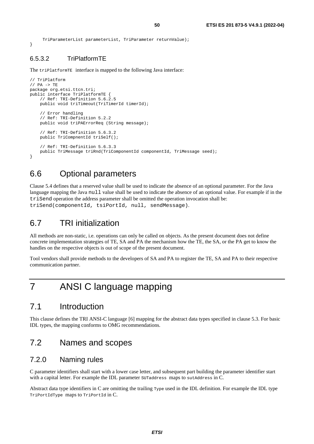```
 TriParameterList parameterList, TriParameter returnValue);
```
### 6.5.3.2 TriPlatformTE

}

The triPlatformTE interface is mapped to the following Java interface:

```
// TriPlatform 
// PA -> TE 
package org.etsi.ttcn.tri; 
public interface TriPlatformTE { 
     // Ref: TRI-Definition 5.6.2.5 
     public void triTimeout(TriTimerId timerId); 
     // Error handling 
     // Ref: TRI-Definition 5.2.2 
     public void triPAErrorReq (String message); 
     // Ref: TRI-Definition 5.6.3.2 
     public TriCompnentId triSelf(); 
     // Ref: TRI-Definition 5.6.3.3 
     public TriMessage triRnd(TriComponentId componentId, TriMessage seed); 
}
```
## 6.6 Optional parameters

Clause 5.4 defines that a reserved value shall be used to indicate the absence of an optional parameter. For the Java language mapping the Java null value shall be used to indicate the absence of an optional value. For example if in the triSend operation the address parameter shall be omitted the operation invocation shall be: triSend(componentId, tsiPortId, null, sendMessage).

## 6.7 TRI initialization

All methods are non-static, i.e. operations can only be called on objects. As the present document does not define concrete implementation strategies of TE, SA and PA the mechanism how the TE, the SA, or the PA get to know the handles on the respective objects is out of scope of the present document.

Tool vendors shall provide methods to the developers of SA and PA to register the TE, SA and PA to their respective communication partner.

## 7 ANSI C language mapping

## 7.1 Introduction

This clause defines the TRI ANSI-C language [[6\]](#page-9-0) mapping for the abstract data types specified in clause 5.3. For basic IDL types, the mapping conforms to OMG recommendations.

## 7.2 Names and scopes

### 7.2.0 Naming rules

C parameter identifiers shall start with a lower case letter, and subsequent part building the parameter identifier start with a capital letter. For example the IDL parameter suraddress maps to sutaddress in C.

Abstract data type identifiers in C are omitting the trailing Type used in the IDL definition. For example the IDL type TriPortIdType maps to TriPortId in C.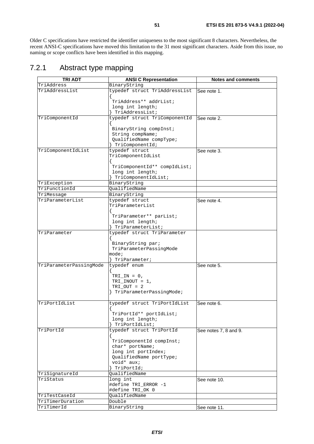Older C specifications have restricted the identifier uniqueness to the most significant 8 characters. Nevertheless, the recent ANSI-C specifications have moved this limitation to the 31 most significant characters. Aside from this issue, no naming or scope conflicts have been identified in this mapping.

## 7.2.1 Abstract type mapping

| <b>TRI ADT</b>          | <b>ANSI C Representation</b>        | <b>Notes and comments</b> |
|-------------------------|-------------------------------------|---------------------------|
| TriAddress              | BinaryString                        |                           |
| TriAddressList          | typedef struct TriAddressList       | See note 1.               |
|                         |                                     |                           |
|                         | TriAddress** addrList;              |                           |
|                         | long int length;                    |                           |
|                         | TriAddressList;                     |                           |
| TriComponentId          | typedef struct TriComponentId       | See note 2.               |
|                         | BinaryString compInst;              |                           |
|                         | String compName;                    |                           |
|                         | QualifiedName compType;             |                           |
|                         | TriComponentId;                     |                           |
| TriComponentIdList      | typedef struct                      | See note 3.               |
|                         | TriComponentIdList                  |                           |
|                         |                                     |                           |
|                         | TriComponentId** compIdList;        |                           |
|                         | long int length;                    |                           |
| TriException            | TriComponentIdList;<br>BinaryString |                           |
| TriFunctionId           | QualifiedName                       |                           |
| TriMessage              | BinaryString                        |                           |
| TriParameterList        | typedef struct                      | See note 4.               |
|                         | TriParameterList                    |                           |
|                         |                                     |                           |
|                         | TriParameter** parList;             |                           |
|                         | long int length;                    |                           |
|                         | TriParameterList;                   |                           |
| TriParameter            | typedef struct TriParameter         |                           |
|                         |                                     |                           |
|                         | BinaryString par;                   |                           |
|                         | TriParameterPassingMode<br>mode;    |                           |
|                         | TriParameter;                       |                           |
| TriParameterPassingMode | typedef enum                        | See note 5.               |
|                         |                                     |                           |
|                         | $TRI IN = 0$ ,                      |                           |
|                         | $TRI\_INOUT = 1,$                   |                           |
|                         | $TRI_OUT = 2$                       |                           |
|                         | TriParameterPassingMode;            |                           |
|                         |                                     |                           |
| TriPortIdList           | typedef struct TriPortIdList        | See note 6.               |
|                         | TriPortId** portIdList;             |                           |
|                         | long int length;                    |                           |
|                         | TriPortIdList;                      |                           |
| TriPortId               | typedef struct TriPortId            | See notes 7, 8 and 9.     |
|                         |                                     |                           |
|                         | TriComponentId compInst;            |                           |
|                         | char* portName;                     |                           |
|                         | long int portIndex;                 |                           |
|                         | QualifiedName portType;             |                           |
|                         | void* aux;                          |                           |
|                         | TriPortId;                          |                           |
| TriSignatureId          | QualifiedName                       |                           |
| TriStatus               | long int<br>#define TRI_ERROR -1    | See note 10.              |
|                         | #define TRI_OK 0                    |                           |
| TriTestCaseId           | QualifiedName                       |                           |
| TriTimerDuration        | Double                              |                           |
| TriTimerId              | BinaryString                        | See note 11.              |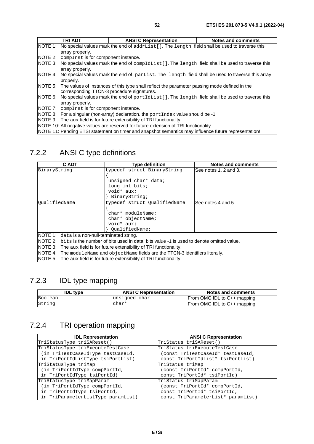| TRI ADT                                                                                                      | <b>ANSI C Representation</b> | Notes and comments |
|--------------------------------------------------------------------------------------------------------------|------------------------------|--------------------|
| NOTE 1: No special values mark the end of addrList []. The length field shall be used to traverse this       |                              |                    |
| array properly.                                                                                              |                              |                    |
| NOTE 2: compinst is for component instance.                                                                  |                              |                    |
| NOTE 3: No special values mark the end of compIdList []. The length field shall be used to traverse this     |                              |                    |
| array properly.                                                                                              |                              |                    |
| NOTE 4: No special values mark the end of $partlist$ . The length field shall be used to traverse this array |                              |                    |
| properly.                                                                                                    |                              |                    |
| NOTE 5: The values of instances of this type shall reflect the parameter passing mode defined in the         |                              |                    |
| corresponding TTCN-3 procedure signatures.                                                                   |                              |                    |
| NOTE 6: No special values mark the end of portIdList []. The length field shall be used to traverse this     |                              |                    |
| array properly.                                                                                              |                              |                    |
| NOTE 7: compinst is for component instance.                                                                  |                              |                    |
| NOTE 8: For a singular (non-array) declaration, the port Index value should be -1.                           |                              |                    |
| NOTE 9: The aux field is for future extensibility of TRI functionality.                                      |                              |                    |
|                                                                                                              |                              |                    |

NOTE 10: All negative values are reserved for future extension of TRI functionality.

NOTE 11: Pending ETSI statement on timer and snapshot semantics may influence future representation!

## 7.2.2 ANSI C type definitions

| C ADT                                                                                           | <b>Type definition</b>       | <b>Notes and comments</b> |
|-------------------------------------------------------------------------------------------------|------------------------------|---------------------------|
| BinaryString                                                                                    | typedef struct BinaryString  | See notes 1, 2 and 3.     |
|                                                                                                 |                              |                           |
|                                                                                                 | unsigned char* data;         |                           |
|                                                                                                 | long int bits;               |                           |
|                                                                                                 | void* aux;                   |                           |
|                                                                                                 | BinaryString;                |                           |
| OualifiedName                                                                                   | typedef struct QualifiedName | See notes 4 and 5.        |
|                                                                                                 |                              |                           |
|                                                                                                 | char* moduleName;            |                           |
|                                                                                                 | char* objectName;            |                           |
|                                                                                                 | void* aux;                   |                           |
| OualifiedName;                                                                                  |                              |                           |
| <b>NOTE 1:</b> data is a non-null-terminated string.                                            |                              |                           |
| NOTE 2: bits is the number of bits used in data, bits value -1 is used to denote omitted value. |                              |                           |
| NOTE 3: The aux field is for future extensibility of TRI functionality.                         |                              |                           |
| NOTE 4: The moduleName and objectName fields are the TTCN-3 identifiers literally.              |                              |                           |

NOTE 5: The aux field is for future extensibility of TRI functionality.

## 7.2.3 IDL type mapping

| <b>IDL</b> type | <b>ANSI C Representation</b> | Notes and comments          |
|-----------------|------------------------------|-----------------------------|
| Boolean         | unsigned char                | From OMG IDL to C++ mapping |
| String          | char*                        | From OMG IDL to C++ mapping |

## 7.2.4 TRI operation mapping

| <b>IDL Representation</b>          | <b>ANSI C Representation</b>       |
|------------------------------------|------------------------------------|
| TriStatusType triSAReset()         | TriStatus triSAReset()             |
| TriStatusType triExecuteTestCase   | TriStatus triExecuteTestCase       |
| (in TriTestCaseIdType testCaseId,  | (const TriTestCaseId* testCaseId,  |
| in TriPortIdListType tsiPortList)  | const TriPortIdList* tsiPortList)  |
| TriStatusType triMap               | TriStatus triMap                   |
| (in TriPortIdType compPortId,      | (const TriPortId* compPortId,      |
| in TriPortIdType tsiPortId)        | const TriPortId* tsiPortId)        |
| TriStatusType triMapParam          | TriStatus triMapParam              |
| (in TriPortIdType compPortId,      | (const TriPortId* compPortId,      |
| in TriPortIdType tsiPortId,        | const TriPortId* tsiPortId,        |
| in TriParameterListType paramList) | const TriParameterList* paramList) |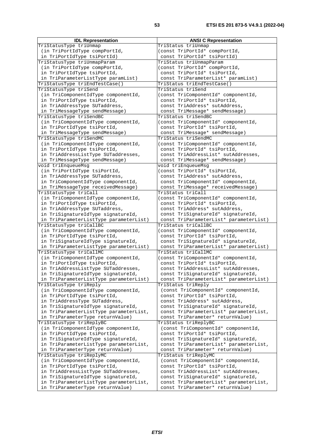| <b>IDL Representation</b>              | ANOI U Representation                  |
|----------------------------------------|----------------------------------------|
| TriStatusType triUnmap                 | TriStatus triUnmap                     |
| (in TriPortIdType compPortId,          | (const TriPortId* compPortId,          |
| in TriPortIdType tsiPortId)            | const TriPortId* tsiPortId)            |
|                                        |                                        |
| TriStatusType triUnmapParam            | TriStatus triUnmapParam                |
| (in TriPortIdType compPortId,          | (const TriPortId* compPortId,          |
| in TriPortIdType tsiPortId,            | const TriPortId* tsiPortId,            |
| in TriParameterListType paramList)     | const TriParameterList* paramList)     |
|                                        |                                        |
| TriStatusType triEndTestCase()         | TriStatus triEndTestCase()             |
| TriStatusType triSend                  | TriStatus triSend                      |
| (in TriComponentIdType componentId,    | (const TriComponentId* componentId,    |
| in TriPortIdType tsiPortId,            | const TriPortId* tsiPortId,            |
|                                        |                                        |
| in TriAddressType SUTaddress,          | const TriAddress* sutAddress,          |
| in TriMessageType sendMessage)         | const TriMessage* sendMessage)         |
| TriStatusType triSendBC                | TriStatus triSendBC                    |
| (in TriComponentIdType componentId,    | (const TriComponentId* componentId,    |
|                                        | const TriPortId* tsiPortId,            |
| in TriPortIdType tsiPortId,            |                                        |
| in TriMessageType sendMessage)         | const TriMessage* sendMessage)         |
| TriStatusType triSendMC                | TriStatus triSendMC                    |
| (in TriComponentIdType componentId,    | (const TriComponentId* componentId,    |
| in TriPortIdType tsiPortId,            | const TriPortId* tsiPortId,            |
|                                        |                                        |
| in TriAddressListType SUTaddresses,    | const TriAddressList* sutAddresses,    |
| in TriMessageType sendMessage)         | const TriMessage* sendMessage)         |
| void triEnqueueMsq                     | void triEnqueueMsq                     |
| (in TriPortIdType tsiPortId,           | (const TriPortId* tsiPortId,           |
|                                        |                                        |
| in TriAddressType SUTaddress,          | const TriAddress* sutAddress,          |
| in TriComponentIdType componentId,     | const TriComponentId* componentId,     |
| in TriMessageType receivedMessage)     | const TriMessage* receivedMessage)     |
| TriStatusType triCall                  | TriStatus triCall                      |
|                                        |                                        |
| (in TriComponentIdType componentId,    | (const TriComponentId* componentId,    |
| in TriPortIdType tsiPortId,            | const TriPortId* tsiPortId,            |
| in TriAddressType SUTaddress,          | const TriAddress* sutAddress,          |
| in TriSignatureIdType signatureId,     | const TriSignatureId* signatureId,     |
| in TriParameterListType parameterList) | const TriParameterList* parameterList) |
|                                        |                                        |
| TriStatusType triCallBC                | TriStatus triCallBC                    |
| (in TriComponentIdType componentId,    | (const TriComponentId* componentId,    |
| in TriPortIdType tsiPortId,            | const TriPortId* tsiPortId,            |
| in TriSignatureIdType signatureId,     | const TriSignatureId* signatureId,     |
| in TriParameterListType parameterList) | const TriParameterList* parameterList) |
|                                        |                                        |
| TriStatusType triCallMC                | TriStatus triCallMC                    |
| (in TriComponentIdType componentId,    | (const TriComponentId* componentId,    |
| in TriPortIdType tsiPortId,            | const TriPortId* tsiPortId,            |
| in TriAddressListType SUTaddresses,    | const TriAddressList* sutAddresses,    |
| in TriSignatureIdType signatureId,     | const TriSignatureId* signatureId,     |
|                                        |                                        |
| in TriParameterListType parameterList) | const TriParameterList* parameterList) |
| TriStatusType triReply                 | TriStatus triReply                     |
| (in TriComponentIdType componentId,    | (const TriComponentId* componentId,    |
| in TriPortIdType tsiPortId,            | const TriPortId* tsiPortId,            |
|                                        |                                        |
| in TriAddressType SUTaddress,          | const TriAddress* sutAddress,          |
| in TriSignatureIdType signatureId,     | const TriSignatureId* signatureId,     |
| in TriParameterListType parameterList, | const TriParameterList* parameterList, |
| in TriParameterType returnValue)       | const TriParameter* returnValue)       |
| TriStatusType triReplyBC               | TriStatus triReplyBC                   |
|                                        |                                        |
| (in TriComponentIdType componentId,    | (const TriComponentId* componentId,    |
| in TriPortIdType tsiPortId,            | const TriPortId* tsiPortId,            |
| in TriSignatureIdType signatureId,     | const TriSignatureId* signatureId,     |
| in TriParameterListType parameterList, | const TriParameterList* parameterList, |
| in TriParameterType returnValue)       | const TriParameter* returnValue)       |
|                                        |                                        |
| TriStatusType triReplyMC               | TriStatus triReplyMC                   |
| (in TriComponentIdType componentId,    | (const TriComponentId* componentId,    |
| in TriPortIdType tsiPortId,            | const TriPortId* tsiPortId,            |
| in TriAddressListType SUTaddresses,    | const TriAddressList* sutAddresses,    |
| in TriSignatureIdType signatureId,     | const TriSignatureId* signatureId,     |
| in TriParameterListType parameterList, | const TriParameterList* parameterList, |
|                                        |                                        |
| in TriParameterType returnValue)       | const TriParameter* returnValue)       |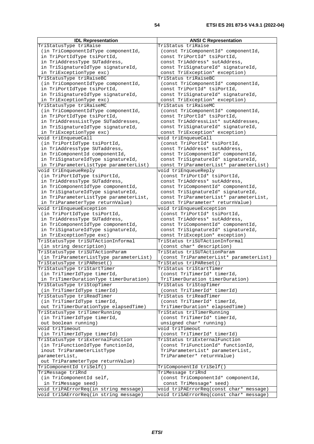| <b>IDL Representation</b>                                                  | <b>ANSI C Representation</b>                                      |
|----------------------------------------------------------------------------|-------------------------------------------------------------------|
| TriStatusType triRaise                                                     | TriStatus triRaise                                                |
| (in TriComponentIdType componentId,                                        | (const TriComponentId* componentId,                               |
| in TriPortIdType tsiPortId,                                                | const TriPortId* tsiPortId,                                       |
| in TriAddressType SUTaddress,                                              | const TriAddress* sutAddress,                                     |
| in TriSignatureIdType signatureId,                                         | const TriSignatureId* signatureId,                                |
| in TriExceptionType exc)                                                   | const TriException* exception)                                    |
| TriStatusType triRaiseBC                                                   | TriStatus triRaiseBC                                              |
| (in TriComponentIdType componentId,                                        | (const TriComponentId* componentId,                               |
| in TriPortIdType tsiPortId,                                                | const TriPortId* tsiPortId,                                       |
| in TriSignatureIdType signatureId,                                         | const TriSignatureId* signatureId,                                |
| in TriExceptionType exc)                                                   | const TriException* exception)                                    |
| TriStatusType triRaiseMC                                                   | TriStatus triRaiseMC                                              |
| (in TriComponentIdType componentId,                                        | (const TriComponentId* componentId,                               |
| in TriPortIdType tsiPortId,                                                | const TriPortId* tsiPortId,                                       |
| in TriAddressListType SUTaddresses,                                        | const TriAddressList* sutAddresses,                               |
| in TriSignatureIdType signatureId,                                         | const TriSignatureId* signatureId,                                |
| in TriExceptionType exc)                                                   | const TriException* exception)                                    |
| void triEnqueueCall                                                        | void triEnqueueCall                                               |
| (in TriPortIdType tsiPortId,                                               | (const TriPortId* tsiPortId,                                      |
| in TriAddressType SUTaddress,                                              | const TriAddress* sutAddress,                                     |
| in TriComponentId componentId,                                             | const TriComponentId* componentId,                                |
| in TriSignatureIdType signatureId,                                         | const TriSignatureId* signatureId,                                |
| in TriParameterListType parameterList)                                     | const TriParameterList* parameterList)                            |
| void triEnqueueReply                                                       | void triEnqueueReply                                              |
| (in TriPortIdType tsiPortId,                                               | (const TriPortId* tsiPortId,                                      |
| in TriAddressType SUTaddress,                                              | const TriAddress* sutAddress,                                     |
| in TriComponentIdType componentId,                                         | const TriComponentId* componentId,                                |
| in TriSignatureIdType signatureId,                                         | const TriSignatureId* signatureId,                                |
| in TriParameterListType parameterList,                                     | const TriParameterList* parameterList,                            |
| in TriParameterType returnValue)                                           | const TriParameter* returnValue)                                  |
| void triEnqueueException                                                   | void triEnqueueException                                          |
| (in TriPortIdType tsiPortId,                                               | (const TriPortId* tsiPortId,                                      |
| in TriAddressType SUTaddress,                                              | const TriAddress* sutAddress,                                     |
| in TriComponentIdType componentId,                                         | const TriComponentId* componentId,                                |
| in TriSignatureIdType signatureId,                                         | const TriSignatureId* signatureId,                                |
| in TriExceptionType exc)                                                   | const TriException* exception)                                    |
| TriStatusType triSUTActionInformal                                         | TriStatus triSUTActionInformal                                    |
| (in string description)                                                    | (const char* description)<br>TriStatus triSUTActionParam          |
| TriStatusType triSUTActionParam<br>(in TriParameterListType parameterList) |                                                                   |
|                                                                            | (const TriParameterList* parameterList)<br>TriStatus triPAReset() |
| TriStatusType triPAReset()                                                 | TriStatus triStartTimer                                           |
| TriStatusType triStartTimer<br>(in TriTimerIdType timerId,                 | (const TriTimerId* timerId,                                       |
|                                                                            | TriTimerDuration timerDuration)                                   |
| in TriTimerDurationType timerDuration)<br>TriStatusType triStopTimer       | TriStatus triStopTimer                                            |
| (in TriTimerIdType timerId)                                                | (const TriTimerId* timerId)                                       |
| TriStatusType triReadTimer                                                 | TriStatus triReadTimer                                            |
| (in TriTimerIdType timerId,                                                | (const TriTimerId* timerId,                                       |
| out TriTimerDurationType elapsedTime)                                      | TriTimerDuration* elapsedTime)                                    |
| TriStatusType triTimerRunning                                              | TriStatus triTimerRunning                                         |
| (in TriTimerIdType timerId,                                                | (const TriTimerId* timerId,                                       |
| out boolean running)                                                       | unsigned char* running)                                           |
| void triTimeout                                                            | void triTimeout                                                   |
| (in TriTimerIdType timerId)                                                | (const TriTimerId* timerId)                                       |
| TriStatusType triExternalFunction                                          | TriStatus triExternalFunction                                     |
| (in TriFunctionIdType functionId,                                          | (const TriFunctionId* functionId,                                 |
| inout TriParameterListType                                                 | TriParameterList* parameterList,                                  |
| parameterList,                                                             | TriParameter* returnValue)                                        |
| out TriParameterType returnValue)                                          |                                                                   |
| TriComponentId triSelf()                                                   | TriComponentId triSelf()                                          |
| TriMessage triRnd                                                          | TriMessage triRnd                                                 |
| (in TriComponentId self,                                                   | (const TriComponentId* componentId,                               |
| in TriMessage seed)                                                        | const TriMessage* seed)                                           |
| void triPAErrorReq(in string message)                                      | void triPAErrorReq(const char* message)                           |
| void triSAErrorReq(in string message)                                      | void triSAErrorReq(const char* message)                           |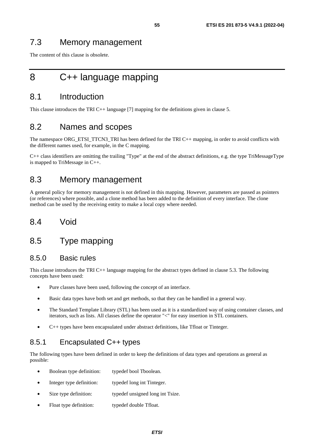The content of this clause is obsolete.

## 8 C++ language mapping

## 8.1 Introduction

This clause introduces the TRI C++ language [\[7](#page-9-0)] mapping for the definitions given in clause 5.

## 8.2 Names and scopes

The namespace ORG\_ETSI\_TTCN3\_TRI has been defined for the TRI C++ mapping, in order to avoid conflicts with the different names used, for example, in the C mapping.

C++ class identifiers are omitting the trailing "Type" at the end of the abstract definitions, e.g. the type TriMessageType is mapped to TriMessage in C++.

## 8.3 Memory management

A general policy for memory management is not defined in this mapping. However, parameters are passed as pointers (or references) where possible, and a clone method has been added to the definition of every interface. The clone method can be used by the receiving entity to make a local copy where needed.

## 8.4 Void

## 8.5 Type mapping

### 8.5.0 Basic rules

This clause introduces the TRI C++ language mapping for the abstract types defined in clause 5.3. The following concepts have been used:

- Pure classes have been used, following the concept of an interface.
- Basic data types have both set and get methods, so that they can be handled in a general way.
- The Standard Template Library (STL) has been used as it is a standardized way of using container classes, and iterators, such as lists. All classes define the operator "<" for easy insertion in STL containers.
- $C_{++}$  types have been encapsulated under abstract definitions, like Tfloat or Tinteger.

## 8.5.1 Encapsulated C++ types

The following types have been defined in order to keep the definitions of data types and operations as general as possible:

- Boolean type definition: typedef bool Tboolean.
- Integer type definition: typedef long int Tinteger.
- Size type definition: typedef unsigned long int Tsize.
- Float type definition: typedef double Tfloat.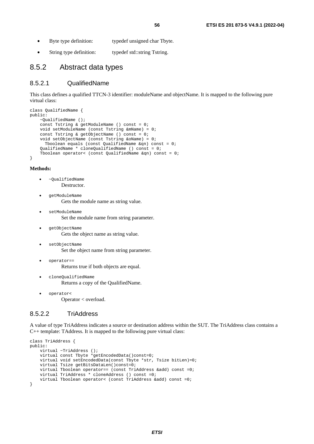- Byte type definition: typedef unsigned char Tbyte.
- String type definition: typedef std::string Tstring.

### 8.5.2 Abstract data types

#### 8.5.2.1 QualifiedName

This class defines a qualified TTCN-3 identifier: moduleName and objectName. It is mapped to the following pure virtual class:

```
class QualifiedName { 
public: 
     ~QualifiedName (); 
     const Tstring & getModuleName () const = 0; 
     void setModuleName (const Tstring &mName) = 0; 
     const Tstring & getObjectName () const = 0; 
     void setObjectName (const Tstring &oName) = 0; 
       Tboolean equals (const QualifiedName &qn) const = 0; 
    OualifiedName * cloneOualifiedName () const = 0;
     Tboolean operator< (const QualifiedName &qn) const = 0; 
}
```
#### **Methods:**

- ~QualifiedName Destructor.
- getModuleName Gets the module name as string value.
- setModuleName Set the module name from string parameter.
- getObjectName Gets the object name as string value.
- setObjectName Set the object name from string parameter.
- operator==

Returns true if both objects are equal.

- Returns a copy of the QualifiedName.
- operator< Operator < overload.

• cloneQualifiedName

#### 8.5.2.2 TriAddress

A value of type TriAddress indicates a source or destination address within the SUT. The TriAddress class contains a C++ template: TAddress. It is mapped to the following pure virtual class:

```
class TriAddress { 
public: 
    virtual ~TriAddress ();
     virtual const Tbyte *getEncodedData()const=0; 
     virtual void setEncodedData(const Tbyte *str, Tsize bitLen)=0; 
     virtual Tsize getBitsDataLen()const=0; 
     virtual Tboolean operator== (const TriAddress &add) const =0; 
     virtual TriAddress * cloneAddress () const =0; 
     virtual Tboolean operator< (const TriAddress &add) const =0; 
}
```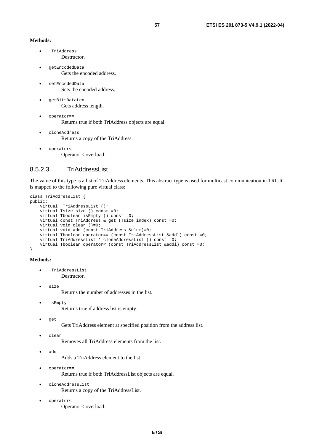#### **Methods:**

- ~TriAddress Destructor.
- getEncodedData Gets the encoded address.
- setEncodedData Sets the encoded address.
- getBitsDataLen Gets address length.
- operator== Returns true if both TriAddress objects are equal.
- cloneAddress Returns a copy of the TriAddress.
- operator< Operator < overload.

### 8.5.2.3 TriAddressList

The value of this type is a list of TriAddress elements. This abstract type is used for multicast communication in TRI. It is mapped to the following pure virtual class:

```
class TriAddressList { 
public: 
    virtual ~TriAddressList ();
     virtual Tsize size () const =0; 
     virtual Tboolean isEmpty () const =0; 
     virtual const TriAddress & get (Tsize index) const =0; 
     virtual void clear ()=0; 
     virtual void add (const TriAddress &elem)=0; 
     virtual Tboolean operator== (const TriAddressList &addl) const =0; 
     virtual TriAddressList * cloneAddressList () const =0; 
     virtual Tboolean operator< (const TriAddressList &addl) const =0; 
}
```
#### **Methods:**

- ~TriAddressList Destructor.
- size

Returns the number of addresses in the list.

• isEmpty

Returns true if address list is empty.

• get

Gets TriAddress element at specified position from the address list.

• clear

Removes all TriAddress elements from the list.

• add

Adds a TriAddress element to the list.

- operator== Returns true if both TriAddressList objects are equal.
- cloneAddressList Returns a copy of the TriAddressList.
- operator< Operator < overload.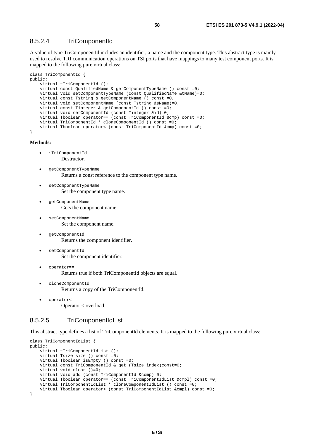### 8.5.2.4 TriComponentId

A value of type TriComponentId includes an identifier, a name and the component type. This abstract type is mainly used to resolve TRI communication operations on TSI ports that have mappings to many test component ports. It is mapped to the following pure virtual class:

```
class TriComponentId { 
public: 
     virtual ~TriComponentId (); 
     virtual const QualifiedName & getComponentTypeName () const =0; 
     virtual void setComponentTypeName (const QualifiedName &tName)=0; 
     virtual const Tstring & getComponentName () const =0; 
     virtual void setComponentName (const Tstring &sName)=0; 
     virtual const Tinteger & getComponentId () const =0; 
     virtual void setComponentId (const Tinteger &id)=0; 
     virtual Tboolean operator== (const TriComponentId &cmp) const =0; 
     virtual TriComponentId * cloneComponentId () const =0; 
     virtual Tboolean operator< (const TriComponentId &cmp) const =0; 
}
```
**Methods:** 

- ~TriComponentId Destructor.
- getComponentTypeName Returns a const reference to the component type name.
- setComponentTypeName Set the component type name.
- getComponentName Gets the component name.
- setComponentName Set the component name.
- getComponentId Returns the component identifier.
- setComponentId Set the component identifier.
- operator==

Returns true if both TriComponentId objects are equal.

- cloneComponentId Returns a copy of the TriComponentId.
- operator< Operator < overload.

### 8.5.2.5 TriComponentIdList

This abstract type defines a list of TriComponentId elements. It is mapped to the following pure virtual class:

```
class TriComponentIdList { 
public: 
     virtual ~TriComponentIdList (); 
     virtual Tsize size () const =0; 
     virtual Tboolean isEmpty () const =0; 
    virtual const TriComponentId & get (Tsize index)const=0;
     virtual void clear ()=0; 
     virtual void add (const TriComponentId &comp)=0; 
     virtual Tboolean operator== (const TriComponentIdList &cmpl) const =0; 
     virtual TriComponentIdList * cloneComponentIdList () const =0; 
     virtual Tboolean operator< (const TriComponentIdList &cmpl) const =0; 
}
```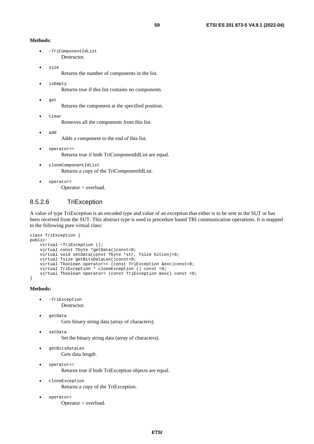#### **Methods:**

- ~TriComponentIdList Destructor.
- size

Returns the number of components in the list.

- isEmpty Returns true if this list contains no components.
- get

Returns the component at the specified position.

• clear

Removes all the components from this list.

• add

Adds a component to the end of this list.

- operator== Returns true if both TriComponentIdList are equal.
- cloneComponentIdList Returns a copy of the TriComponentIdList.
- operator< Operator < overload.

### 8.5.2.6 TriException

A value of type TriException is an encoded type and value of an exception that either is to be sent to the SUT or has been received from the SUT. This abstract type is used in procedure based TRI communication operations. It is mapped to the following pure virtual class:

```
class TriException { 
public: 
     virtual ~TriException (); 
     virtual const Tbyte *getData()const=0; 
     virtual void setData(const Tbyte *str, Tsize bitLen)=0; 
     virtual Tsize getBitsDataLen()const=0; 
     virtual Tboolean operator== (const TriException &exc)const=0; 
     virtual TriException * cloneException () const =0; 
     virtual Tboolean operator< (const TriException &exc) const =0; 
}
```
- ~TriException Destructor.
- getData Gets binary string data (array of characters).
	- setData
		- Set the binary string data (array of characters).
- getBitsDataLen Gets data length.
- operator== Returns true if both TriException objects are equal.
- cloneException Returns a copy of the TriException.
- operator< Operator < overload.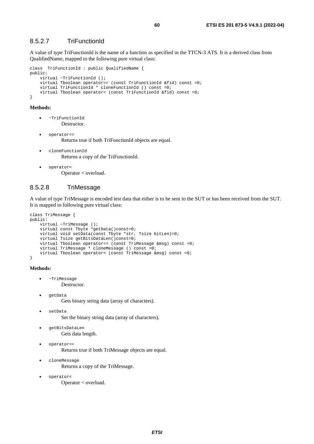### 8.5.2.7 TriFunctionId

A value of type TriFunctionId is the name of a function as specified in the TTCN-3 ATS. It is a derived class from QualifiedName, mapped to the following pure virtual class:

```
class TriFunctionId : public QualifiedName { 
public: 
     virtual ~TriFunctionId (); 
     virtual Tboolean operator== (const TriFunctionId &fid) const =0; 
     virtual TriFunctionId * cloneFunctionId () const =0; 
     virtual Tboolean operator< (const TriFunctionId &fid) const =0; 
}
```
#### **Methods:**

- ~TriFunctionId Destructor.
- operator== Returns true if both TriFunctionId objects are equal.
- cloneFunctionId Returns a copy of the TriFunctionId.
- operator< Operator < overload.

### 8.5.2.8 TriMessage

A value of type TriMessage is encoded test data that either is to be sent to the SUT or has been received from the SUT. It is mapped to following pure virtual class:

```
class TriMessage { 
public: 
     virtual ~TriMessage (); 
     virtual const Tbyte *getData()const=0; 
     virtual void setData(const Tbyte *str, Tsize bitLen)=0; 
     virtual Tsize getBitsDataLen()const=0; 
     virtual Tboolean operator== (const TriMessage &msg) const =0; 
     virtual TriMessage * cloneMessage () const =0; 
     virtual Tboolean operator< (const TriMessage &msg) const =0; 
}
```
#### **Methods:**

• ~TriMessage

Destructor.

• getData

Gets binary string data (array of characters).

- setData Set the binary string data (array of characters).
- getBitsDataLen Gets data length.
- operator==

Returns true if both TriMessage objects are equal.

- cloneMessage Returns a copy of the TriMessage.
- operator< Operator < overload.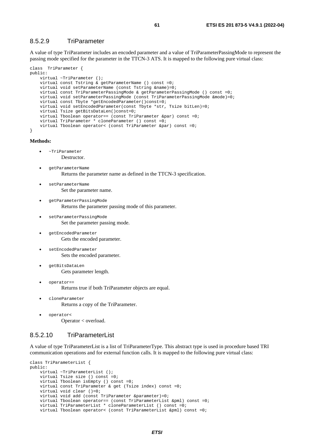### 8.5.2.9 TriParameter

A value of type TriParameter includes an encoded parameter and a value of TriParameterPassingMode to represent the passing mode specified for the parameter in the TTCN-3 ATS. It is mapped to the following pure virtual class:

```
class TriParameter { 
public: 
     virtual ~TriParameter (); 
     virtual const Tstring & getParameterName () const =0; 
     virtual void setParameterName (const Tstring &name)=0; 
     virtual const TriParameterPassingMode & getParameterPassingMode () const =0; 
     virtual void setParameterPassingMode (const TriParameterPassingMode &mode)=0; 
    virtual const Tbyte *getEncodedParameter()const=0;
     virtual void setEncodedParameter(const Tbyte *str, Tsize bitLen)=0; 
     virtual Tsize getBitsDataLen()const=0; 
     virtual Tboolean operator== (const TriParameter &par) const =0; 
     virtual TriParameter * cloneParameter () const =0; 
     virtual Tboolean operator< (const TriParameter &par) const =0; 
}
```
**Methods:** 

- ~TriParameter Destructor.
- getParameterName Returns the parameter name as defined in the TTCN-3 specification.
- setParameterName Set the parameter name.
- getParameterPassingMode Returns the parameter passing mode of this parameter.
- setParameterPassingMode Set the parameter passing mode.
- getEncodedParameter Gets the encoded parameter.
- setEncodedParameter Sets the encoded parameter.
- getBitsDataLen Gets parameter length.
- operator== Returns true if both TriParameter objects are equal.
- cloneParameter Returns a copy of the TriParameter.
- operator< Operator < overload.

### 8.5.2.10 TriParameterList

A value of type TriParameterList is a list of TriParameterType. This abstract type is used in procedure based TRI communication operations and for external function calls. It is mapped to the following pure virtual class:

```
class TriParameterList { 
public: 
     virtual ~TriParameterList (); 
     virtual Tsize size () const =0; 
     virtual Tboolean isEmpty () const =0; 
     virtual const TriParameter & get (Tsize index) const =0; 
     virtual void clear ()=0; 
    virtual void add (const TriParameter & parameter) = 0; virtual Tboolean operator== (const TriParameterList &pml) const =0; 
     virtual TriParameterList * cloneParameterList () const =0; 
     virtual Tboolean operator< (const TriParameterList &pml) const =0;
```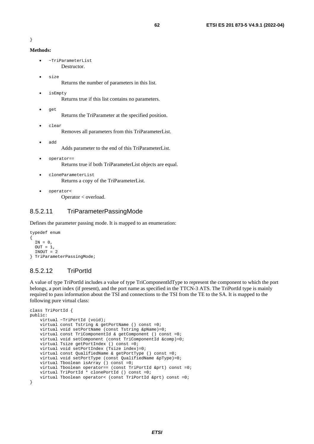```
}
```

```
Methods:
```
- ~TriParameterList Destructor.
- size

Returns the number of parameters in this list.

• isEmpty Returns true if this list contains no parameters.

Returns the TriParameter at the specified position.

• clear

• get

Removes all parameters from this TriParameterList.

• add

Adds parameter to the end of this TriParameterList.

- operator== Returns true if both TriParameterList objects are equal.
- cloneParameterList Returns a copy of the TriParameterList.
- operator< Operator < overload.

### 8.5.2.11 TriParameterPassingMode

Defines the parameter passing mode. It is mapped to an enumeration:

```
typedef enum 
{ 
  IN = 0.
  OUT = 1,INOUT = 2} TriParameterPassingMode;
```
### 8.5.2.12 TriPortId

A value of type TriPortId includes a value of type TriComponentIdType to represent the component to which the port belongs, a port index (if present), and the port name as specified in the TTCN-3 ATS. The TriPortId type is mainly required to pass information about the TSI and connections to the TSI from the TE to the SA. It is mapped to the following pure virtual class:

```
class TriPortId { 
public: 
     virtual ~TriPortId (void); 
     virtual const Tstring & getPortName () const =0; 
     virtual void setPortName (const Tstring &pName)=0; 
     virtual const TriComponentId & getComponent () const =0; 
     virtual void setComponent (const TriComponentId &comp)=0; 
     virtual Tsize getPortIndex () const =0; 
     virtual void setPortIndex (Tsize index)=0; 
     virtual const QualifiedName & getPortType () const =0; 
     virtual void setPortType (const QualifiedName &pType)=0; 
    virtual Tboolean isArray () const =0;
     virtual Tboolean operator== (const TriPortId &prt) const =0; 
     virtual TriPortId * clonePortId () const =0; 
     virtual Tboolean operator< (const TriPortId &prt) const =0; 
}
```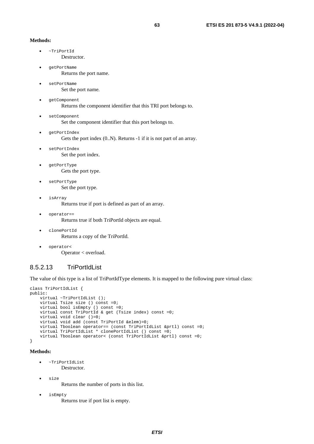#### **Methods:**

- ~TriPortId Destructor.
- getPortName Returns the port name.
- setPortName Set the port name.
- getComponent Returns the component identifier that this TRI port belongs to.
- setComponent Set the component identifier that this port belongs to.
- getPortIndex Gets the port index  $(0..N)$ . Returns -1 if it is not part of an array.
- setPortIndex
	- Set the port index.
	- getPortType Gets the port type.
- setPortType Set the port type.
- isArray

Returns true if port is defined as part of an array.

• operator==

Returns true if both TriPortId objects are equal.

- clonePortId Returns a copy of the TriPortId.
- operator< Operator < overload.

#### 8.5.2.13 TriPortIdList

The value of this type is a list of TriPortIdType elements. It is mapped to the following pure virtual class:

```
class TriPortIdList { 
public: 
     virtual ~TriPortIdList (); 
     virtual Tsize size () const =0; 
     virtual bool isEmpty () const =0; 
     virtual const TriPortId & get (Tsize index) const =0; 
     virtual void clear ()=0; 
     virtual void add (const TriPortId &elem)=0; 
     virtual Tboolean operator== (const TriPortIdList &prtl) const =0; 
     virtual TriPortIdList * clonePortIdList () const =0; 
     virtual Tboolean operator< (const TriPortIdList &prtl) const =0; 
}
```
#### **Methods:**

- ~TriPortIdList Destructor.
- size

Returns the number of ports in this list.

• isEmpty

Returns true if port list is empty.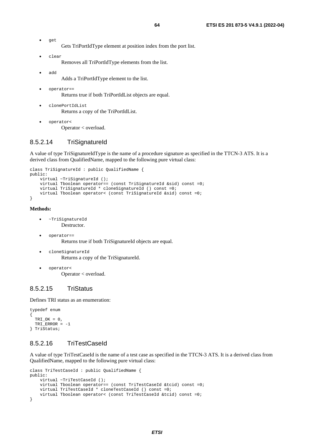• get

Gets TriPortIdType element at position index from the port list.

• clear

Removes all TriPortIdType elements from the list.

• add

Adds a TriPortIdType element to the list.

- operator== Returns true if both TriPortIdList objects are equal.
- clonePortIdList Returns a copy of the TriPortIdList.
- operator< Operator < overload.

### 8.5.2.14 TriSignatureId

A value of type TriSignatureIdType is the name of a procedure signature as specified in the TTCN-3 ATS. It is a derived class from QualifiedName, mapped to the following pure virtual class:

```
class TriSignatureId : public QualifiedName { 
public: 
     virtual ~TriSignatureId (); 
    virtual Tboolean operator== (const TriSignatureId &sid) const =0;
     virtual TriSignatureId * cloneSignatureId () const =0; 
     virtual Tboolean operator< (const TriSignatureId &sid) const =0; 
}
```
**Methods:** 

- ~TriSignatureId Destructor.
	- operator== Returns true if both TriSignatureId objects are equal.
- cloneSignatureId Returns a copy of the TriSignatureId.
- operator< Operator < overload.

### 8.5.2.15 TriStatus

Defines TRI status as an enumeration:

```
typedef enum 
{ 
  TRI_OK = 0,TRI ERROR = -1} TriStatus;
```
### 8.5.2.16 TriTestCaseId

A value of type TriTestCaseId is the name of a test case as specified in the TTCN-3 ATS. It is a derived class from QualifiedName, mapped to the following pure virtual class:

```
class TriTestCaseId : public QualifiedName { 
public: 
     virtual ~TriTestCaseId (); 
     virtual Tboolean operator== (const TriTestCaseId &tcid) const =0; 
     virtual TriTestCaseId * cloneTestCaseId () const =0; 
     virtual Tboolean operator< (const TriTestCaseId &tcid) const =0; 
}
```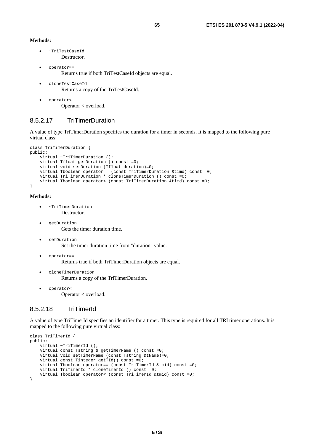#### **Methods:**

- ~TriTestCaseId **Destructor**
- operator== Returns true if both TriTestCaseId objects are equal.
- cloneTestCaseId Returns a copy of the TriTestCaseId.
- operator< Operator < overload.

### 8.5.2.17 TriTimerDuration

A value of type TriTimerDuration specifies the duration for a timer in seconds. It is mapped to the following pure virtual class:

```
class TriTimerDuration { 
public: 
    virtual ~TriTimerDuration ();
    virtual Tfloat getDuration () const =0;
     virtual void setDuration (Tfloat duration)=0; 
     virtual Tboolean operator== (const TriTimerDuration &timd) const =0; 
     virtual TriTimerDuration * cloneTimerDuration () const =0; 
     virtual Tboolean operator< (const TriTimerDuration &timd) const =0; 
}
```
#### **Methods:**

- ~TriTimerDuration Destructor.
- getDuration Gets the timer duration time.
	- setDuration Set the timer duration time from "duration" value.
	- operator== Returns true if both TriTimerDuration objects are equal.
- cloneTimerDuration Returns a copy of the TriTimerDuration.
	- operator<

Operator < overload.

### 8.5.2.18 TriTimerId

A value of type TriTimerId specifies an identifier for a timer. This type is required for all TRI timer operations. It is mapped to the following pure virtual class:

```
class TriTimerId { 
public: 
     virtual ~TriTimerId (); 
     virtual const Tstring & getTimerName () const =0; 
     virtual void setTimerName (const Tstring &tName)=0; 
    virtual const Tinteger getTId() const =0;
 virtual Tboolean operator== (const TriTimerId &tmid) const =0; 
 virtual TriTimerId * cloneTimerId () const =0; 
     virtual Tboolean operator< (const TriTimerId &tmid) const =0; 
}
```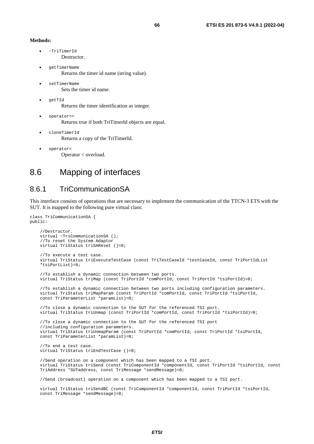#### **Methods:**

- ~TriTimerId Destructor.
- getTimerName Returns the timer id name (string value).
- setTimerName Sets the timer id name.
- getTId Returns the timer identification as integer.
- operator== Returns true if both TriTimerId objects are equal.
- cloneTimerId Returns a copy of the TriTimerId.
- operator< Operator < overload.

## 8.6 Mapping of interfaces

## 8.6.1 TriCommunicationSA

This interface consists of operations that are necessary to implement the communication of the TTCN-3 ETS with the SUT. It is mapped to the following pure virtual class:

```
class TriCommunicationSA { 
public: 
     //Destructor. 
    virtual ~TriCommunicationSA (); 
     //To reset the System Adaptor 
     virtual TriStatus triSAReset ()=0; 
     //To execute a test case. 
     virtual TriStatus triExecuteTestCase (const TriTestCaseId *testCaseId, const TriPortIdList 
     *tsiPortList)=0; 
     //To establish a dynamic connection between two ports. 
     virtual TriStatus triMap (const TriPortId *comPortId, const TriPortId *tsiPortId)=0; 
     //To establish a dynamic connection between two ports including configuration parameters. 
     virtual TriStatus triMapParam (const TriPortId *comPortId, const TriPortId *tsiPortId, 
     const TriParameterList *paramList)=0; 
     //To close a dynamic connection to the SUT for the referenced TSI port. 
     virtual TriStatus triUnmap (const TriPortId *comPortId, const TriPortId *tsiPortId)=0; 
     //To close a dynamic connection to the SUT for the referenced TSI port 
     //including configuration parameters. 
     virtual TriStatus triUnmapParam (const TriPortId *comPortId, const TriPortId *tsiPortId, 
     const TriParameterList *paramList)=0; 
     //To end a test case. 
     virtual TriStatus triEndTestCase ()=0; 
     //Send operation on a component which has been mapped to a TSI port. 
     virtual TriStatus triSend (const TriComponentId *componentId, const TriPortId *tsiPortId, const 
     TriAddress *SUTaddress, const TriMessage *sendMessage)=0; 
     //Send (broadcast) operation on a component which has been mapped to a TSI port. 
     virtual TriStatus triSendBC (const TriComponentId *componentId, const TriPortId *tsiPortId, 
     const TriMessage *sendMessage)=0;
```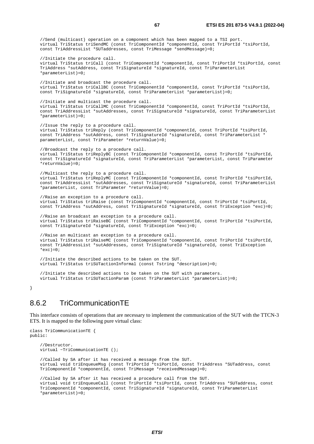//Send (multicast) operation on a component which has been mapped to a TSI port. virtual TriStatus triSendMC (const TriComponentId \*componentId, const TriPortId \*tsiPortId, const TriAddressList \*SUTaddresses, const TriMessage \*sendMessage)=0; //Initiate the procedure call. virtual TriStatus triCall (const TriComponentId \*componentId, const TriPortId \*tsiPortId, const TriAddress \*sutAddress, const TriSignatureId \*signatureId, const TriParameterList \*parameterList)=0; //Initiate and broadcast the procedure call. virtual TriStatus triCallBC (const TriComponentId \*componentId, const TriPortId \*tsiPortId, const TriSignatureId \*signatureId, const TriParameterList \*parameterList)=0; //Initiate and multicast the procedure call. virtual TriStatus triCallMC (const TriComponentId \*componentId, const TriPortId \*tsiPortId, const TriAddressList \*sutAddresses, const TriSignatureId \*signatureId, const TriParameterList \*parameterList)=0; //Issue the reply to a procedure call. virtual TriStatus triReply (const TriComponentId \*componentId, const TriPortId \*tsiPortId, const TriAddress \*sutAddress, const TriSignatureId \*signatureId, const TriParameterList \* parameterList, const TriParameter \*returnValue)=0; //Broadcast the reply to a procedure call. virtual TriStatus triReplyBC (const TriComponentId \*componentId, const TriPortId \*tsiPortId, const TriSignatureId \*signatureId, const TriParameterList \*parameterList, const TriParameter \*returnValue)=0; //Multicast the reply to a procedure call. virtual TriStatus triReplyMC (const TriComponentId \*componentId, const TriPortId \*tsiPortId, const TriAddressList \*sutAddresses, const TriSignatureId \*signatureId, const TriParameterList \*parameterList, const TriParameter \*returnValue)=0; //Raise an exception to a procedure call. virtual TriStatus triRaise (const TriComponentId \*componentId, const TriPortId \*tsiPortId, const TriAddress \*sutAddress, const TriSignatureId \*signatureId, const TriException \*exc)=0; //Raise an broadcast an exception to a procedure call. virtual TriStatus triRaiseBC (const TriComponentId \*componentId, const TriPortId \*tsiPortId, const TriSignatureId \*signatureId, const TriException \*exc)=0; //Raise an multicast an exception to a procedure call. virtual TriStatus triRaiseMC (const TriComponentId \*componentId, const TriPortId \*tsiPortId, const TriAddressList \*sutAddresses, const TriSignatureId \*signatureId, const TriException \*exc) =  $0;$  //Initiate the described actions to be taken on the SUT. virtual TriStatus triSUTactionInformal (const Tstring \*description)=0; //Initiate the described actions to be taken on the SUT with parameters. virtual TriStatus triSUTactionParam (const TriParameterList \*parameterList)=0;

}

### 8.6.2 TriCommunicationTE

This interface consists of operations that are necessary to implement the communication of the SUT with the TTCN-3 ETS. It is mapped to the following pure virtual class:

```
class TriCommunicationTE { 
public: 
     //Destructor. 
     virtual ~TriCommunicationTE (); 
     //Called by SA after it has received a message from the SUT. 
     virtual void triEnqueueMsg (const TriPortId *tsiPortId, const TriAddress *SUTaddress, const 
     TriComponentId *componentId, const TriMessage *receivedMessage)=0; 
     //Called by SA after it has received a procedure call from the SUT. 
     virtual void triEnqueueCall (const TriPortId *tsiPortId, const TriAddress *SUTaddress, const 
     TriComponentId *componentId, const TriSignatureId *signatureId, const TriParameterList 
     *parameterList)=0;
```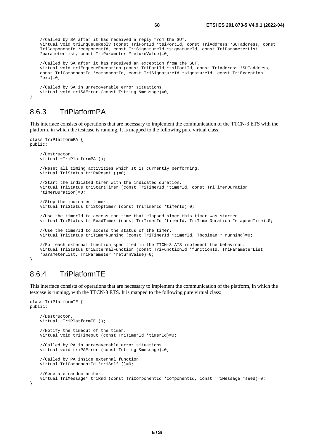```
 //Called by SA after it has received a reply from the SUT. 
 virtual void triEnqueueReply (const TriPortId *tsiPortId, const TriAddress *SUTaddress, const 
 TriComponentId *componentId, const TriSignatureId *signatureId, const TriParameterList 
 *parameterList, const TriParameter *returnValue)=0; 
 //Called by SA after it has received an exception from the SUT. 
 virtual void triEnqueueException (const TriPortId *tsiPortId, const TriAddress *SUTaddress, 
 const TriComponentId *componentId, const TriSignatureId *signatureId, const TriException 
*exc)=0;
 //Called by SA in unrecoverable error situations. 
 virtual void triSAError (const Tstring &message)=0;
```
### 8.6.3 TriPlatformPA

}

This interface consists of operations that are necessary to implement the communication of the TTCN-3 ETS with the platform, in which the testcase is running. It is mapped to the following pure virtual class:

```
class TriPlatformPA { 
public: 
     //Destructor. 
     virtual ~TriPlatformPA (); 
     //Reset all timing activities which It is currently performing. 
     virtual TriStatus triPAReset ()=0; 
     //Start the indicated timer with the indicated duration. 
     virtual TriStatus triStartTimer (const TriTimerId *timerId, const TriTimerDuration 
     *timerDuration)=0; 
     //Stop the indicated timer. 
     virtual TriStatus triStopTimer (const TriTimerId *timerId)=0; 
     //Use the timerId to access the time that elapsed since this timer was started. 
     virtual TriStatus triReadTimer (const TriTimerId *timerId, TriTimerDuration *elapsedTime)=0; 
     //Use the timerId to access the status of the timer. 
     virtual TriStatus triTimerRunning (const TriTimerId *timerId, Tboolean * running)=0; 
     //For each external function specified in the TTCN-3 ATS implement the behaviour. 
     virtual TriStatus triExternalFunction (const TriFunctionId *functionId, TriParameterList 
     *parameterList, TriParameter *returnValue)=0; 
}
```
## 8.6.4 TriPlatformTE

This interface consists of operations that are necessary to implement the communication of the platform, in which the testcase is running, with the TTCN-3 ETS. It is mapped to the following pure virtual class:

```
class TriPlatformTE { 
public: 
     //Destructor. 
    virtual ~TriPlatformTE ();
     //Notify the timeout of the timer. 
     virtual void triTimeout (const TriTimerId *timerId)=0; 
     //Called by PA in unrecoverable error situations. 
     virtual void triPAError (const Tstring &message)=0; 
     //Called by PA inside external function 
     virtual TriComponentId *triSelf ()=0; 
     //Generate random number. 
     virtual TriMessage* triRnd (const TriComponentId *componentId, const TriMessage *seed)=0; 
}
```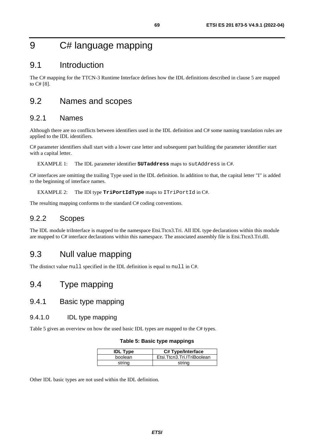## 9 C# language mapping

## 9.1 Introduction

The C# mapping for the TTCN-3 Runtime Interface defines how the IDL definitions described in clause 5 are mapped to C# [\[8](#page-9-0)].

## 9.2 Names and scopes

### 9.2.1 Names

Although there are no conflicts between identifiers used in the IDL definition and C# some naming translation rules are applied to the IDL identifiers.

C# parameter identifiers shall start with a lower case letter and subsequent part building the parameter identifier start with a capital letter.

EXAMPLE 1: The IDL parameter identifier **SUTaddress** maps to sutAddress in C#.

C# interfaces are omitting the trailing Type used in the IDL definition. In addition to that, the capital letter "I" is added to the beginning of interface names.

EXAMPLE 2: The IDl type **TriPortIdType** maps to ITriPortId in C#.

The resulting mapping conforms to the standard C# coding conventions.

### 9.2.2 Scopes

The IDL module triInterface is mapped to the namespace Etsi.Ttcn3.Tri. All IDL type declarations within this module are mapped to C# interface declarations within this namespace. The associated assembly file is Etsi.Ttcn3.Tri.dll.

## 9.3 Null value mapping

The distinct value null specified in the IDL definition is equal to null in C#.

## 9.4 Type mapping

### 9.4.1 Basic type mapping

### 9.4.1.0 IDL type mapping

Table 5 gives an overview on how the used basic IDL types are mapped to the C# types.

#### **Table 5: Basic type mappings**

| <b>IDL Type</b> | C# Type/Interface          |
|-----------------|----------------------------|
| boolean         | Etsi.Ttcn3.Tri.ITriBoolean |
| strina          | string                     |

Other IDL basic types are not used within the IDL definition.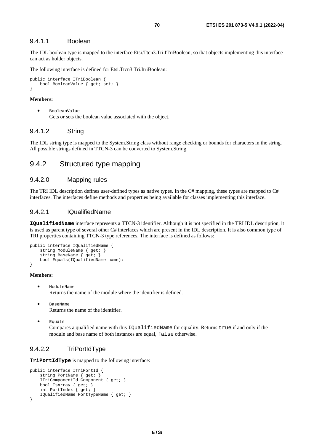#### 9.4.1.1 Boolean

The IDL boolean type is mapped to the interface Etsi.Ttcn3.Tri.ITriBoolean, so that objects implementing this interface can act as holder objects.

The following interface is defined for Etsi.Ttcn3.Tri.ItriBoolean:

```
public interface ITriBoolean { 
     bool BooleanValue { get; set; } 
}
```
#### **Members:**

• BooleanValue Gets or sets the boolean value associated with the object.

#### 9.4.1.2 String

The IDL string type is mapped to the System.String class without range checking or bounds for characters in the string. All possible strings defined in TTCN-3 can be converted to System.String.

### 9.4.2 Structured type mapping

### 9.4.2.0 Mapping rules

The TRI IDL description defines user-defined types as native types. In the C# mapping, these types are mapped to C# interfaces. The interfaces define methods and properties being available for classes implementing this interface.

#### 9.4.2.1 IQualifiedName

**IQualifiedName** interface represents a TTCN-3 identifier. Although it is not specified in the TRI IDL description, it is used as parent type of several other C# interfaces which are present in the IDL description. It is also common type of TRI properties containing TTCN-3 type references. The interface is defined as follows:

```
public interface IQualifiedName { 
     string ModuleName { get; } 
     string BaseName { get; } 
     bool Equals(IQualifiedName name); 
}
```
#### **Members:**

- ModuleName Returns the name of the module where the identifier is defined.
- BaseName Returns the name of the identifier.
- Equals

Compares a qualified name with this IQualifiedName for equality. Returns true if and only if the module and base name of both instances are equal, false otherwise.

### 9.4.2.2 TriPortIdType

**TriPortIdType** is mapped to the following interface:

```
public interface ITriPortId { 
     string PortName { get; } 
     ITriComponentId Component { get; } 
     bool IsArray { get; } 
     int PortIndex { get; } 
     IQualifiedName PortTypeName { get; } 
}
```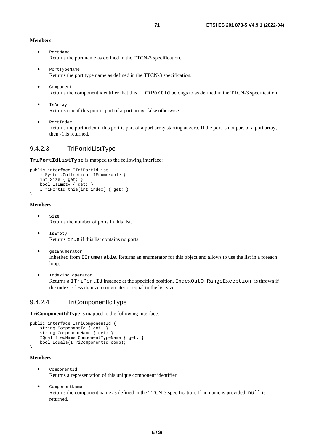#### **Members:**

- PortName Returns the port name as defined in the TTCN-3 specification.
- PortTypeName Returns the port type name as defined in the TTCN-3 specification.
- Component Returns the component identifier that this ITriPortId belongs to as defined in the TTCN-3 specification.
- IsArray Returns true if this port is part of a port array, false otherwise.
- PortIndex

Returns the port index if this port is part of a port array starting at zero. If the port is not part of a port array, then -1 is returned.

### 9.4.2.3 TriPortIdListType

**TriPortIdListType** is mapped to the following interface:

```
public interface ITriPortIdList 
     : System.Collections.IEnumerable { 
     int Size { get; } 
     bool IsEmpty { get; } 
     ITriPortId this[int index] { get; } 
}
```
#### **Members:**

- Size Returns the number of ports in this list.
- IsEmpty Returns true if this list contains no ports.
- getEnumerator Inherited from IEnumerable. Returns an enumerator for this object and allows to use the list in a foreach loop.
- Indexing operator Returns a ITriPortId instance at the specified position. IndexOutOfRangeException is thrown if the index is less than zero or greater or equal to the list size.

### 9.4.2.4 TriComponentIdType

**TriComponentIdType** is mapped to the following interface:

```
public interface ITriComponentId { 
     string ComponentId { get; } 
    string ComponentName { get; }
     IQualifiedName ComponentTypeName { get; } 
     bool Equals(ITriComponentId comp); 
}
```
#### **Members:**

- ComponentId Returns a representation of this unique component identifier.
- ComponentName Returns the component name as defined in the TTCN-3 specification. If no name is provided, null is returned.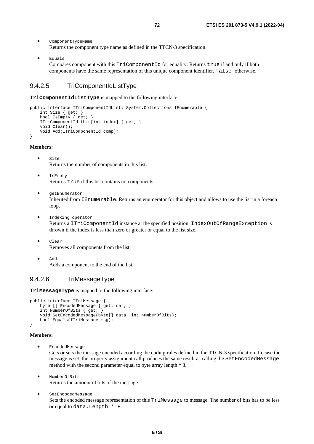- ComponentTypeName Returns the component type name as defined in the TTCN-3 specification.
- Equals Compares component with this TriComponentId for equality. Returns true if and only if both components have the same representation of this unique component identifier, false otherwise.

### 9.4.2.5 TriComponentIdListType

**TriComponentIdListType** is mapped to the following interface:

```
public interface ITriComponentIdList: System.Collections.IEnumerable { 
     int Size { get; } 
     bool IsEmpty { get; } 
     ITriComponentId this[int index] { get; } 
     void Clear(); 
     void Add(ITriComponentId comp); 
}
```
#### **Members:**

- Size Returns the number of components in this list.
- IsEmpty Returns true if this list contains no components.
- getEnumerator Inherited from IEnumerable. Returns an enumerator for this object and allows to use the list in a foreach loop.
- Indexing operator

Returns a ITriComponentId instance at the specified position. IndexOutOfRangeException is thrown if the index is less than zero or greater or equal to the list size.

- Clear Removes all components from the list.
- Add Adds a component to the end of the list.

### 9.4.2.6 TriMessageType

**TriMessageType** is mapped to the following interface:

```
public interface ITriMessage { 
    byte [] EncodedMessage { get; set; }
     int NumberOfBits { get; } 
     void SetEncodedMessage(byte[] data, int numberOfBits); 
     bool Equals(ITriMessage msg); 
}
```
#### **Members:**

• EncodedMessage

Gets or sets the message encoded according the coding rules defined in the TTCN-3 specification. In case the message is set, the property assignment call produces the same result as calling the SetEncodedMessage method with the second parameter equal to byte array length \* 8.

- NumberOfBits Returns the amount of bits of the message.
- SetEncodedMessage Sets the encoded message representation of this TriMessage to message. The number of bits has to be less or equal to data.Length \* 8.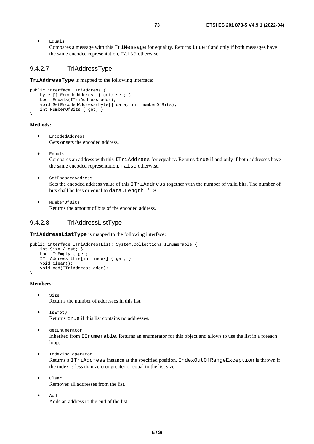• Equals

Compares a message with this TriMessage for equality. Returns true if and only if both messages have the same encoded representation, false otherwise.

#### 9.4.2.7 TriAddressType

**TriAddressType** is mapped to the following interface:

```
public interface ITriAddress { 
    byte [] EncodedAddress { get; set; }
     bool Equals(ITriAddress addr); 
     void SetEncodedAddress(byte[] data, int numberOfBits); 
     int NumberOfBits { get; } 
\mathbf{I}
```
#### **Methods:**

- EncodedAddress Gets or sets the encoded address.
- Equals

Compares an address with this ITriAddress for equality. Returns true if and only if both addresses have the same encoded representation, false otherwise.

- SetEncodedAddress Sets the encoded address value of this ITriAddress together with the number of valid bits. The number of bits shall be less or equal to data.Length \* 8.
- NumberOfBits Returns the amount of bits of the encoded address.

### 9.4.2.8 TriAddressListType

**TriAddressListType** is mapped to the following interface:

```
public interface ITriAddressList: System.Collections.IEnumerable { 
     int Size { get; } 
     bool IsEmpty { get; } 
     ITriAddress this[int index] { get; } 
     void Clear(); 
    void Add(ITriAddress addr);
}
```
#### **Members:**

- Size Returns the number of addresses in this list.
- IsEmpty Returns true if this list contains no addresses.
- getEnumerator Inherited from IEnumerable. Returns an enumerator for this object and allows to use the list in a foreach loop.
- Indexing operator

Returns a ITriAddress instance at the specified position. IndexOutOfRangeException is thrown if the index is less than zero or greater or equal to the list size.

- Clear Removes all addresses from the list.
- Add Adds an address to the end of the list.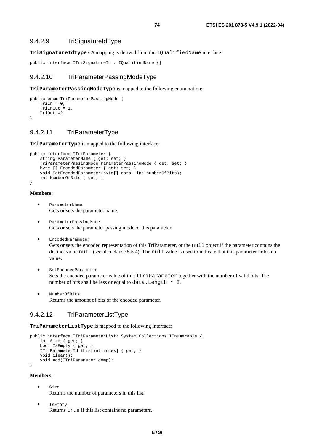**TriSignatureIdType** C# mapping is derived from the IQualifiedName interface:

```
public interface ITriSignatureId : IQualifiedName {}
```
#### 9.4.2.10 TriParameterPassingModeType

**TriParameterPassingModeType** is mapped to the following enumeration:

```
public enum TriParameterPassingMode { 
    TriIn = 0,
    TriInOut = 1.
     TriOut =2 
}
```
### 9.4.2.11 TriParameterType

**TriParameterType** is mapped to the following interface:

```
public interface ITriParameter { 
    string ParameterName { get; set; }
     TriParameterPassingMode ParameterPassingMode { get; set; } 
    byte [] EncodedParameter { get; set; }
     void SetEncodedParameter(byte[] data, int numberOfBits); 
     int NumberOfBits { get; } 
}
```
#### **Members:**

- ParameterName Gets or sets the parameter name.
- ParameterPassingMode Gets or sets the parameter passing mode of this parameter.
- EncodedParameter Gets or sets the encoded representation of this TriParameter, or the null object if the parameter contains the distinct value null (see also clause 5.5.4). The null value is used to indicate that this parameter holds no value.
- SetEncodedParameter Sets the encoded parameter value of this ITriParameter together with the number of valid bits. The number of bits shall be less or equal to data.Length \* 8.
- NumberOfBits Returns the amount of bits of the encoded parameter.

### 9.4.2.12 TriParameterListType

**TriParameterListType** is mapped to the following interface:

```
public interface ITriParameterList: System.Collections.IEnumerable { 
     int Size { get; } 
     bool IsEmpty { get; } 
     ITriParameterId this[int index] { get; } 
     void Clear(); 
     void Add(ITriParameter comp); 
}
```
#### **Members:**

- $S170$ Returns the number of parameters in this list.
- IsEmpty Returns true if this list contains no parameters.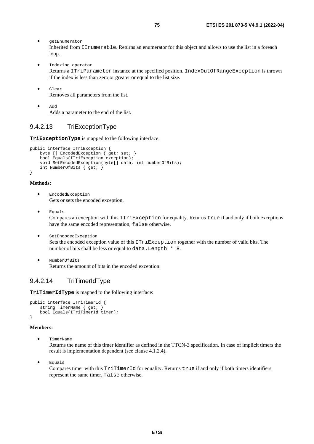- getEnumerator Inherited from IEnumerable. Returns an enumerator for this object and allows to use the list in a foreach loop.
- Indexing operator Returns a ITriParameter instance at the specified position. IndexOutOfRangeException is thrown if the index is less than zero or greater or equal to the list size.
- Clear Removes all parameters from the list.
- Add Adds a parameter to the end of the list.

### 9.4.2.13 TriExceptionType

**TriExceptionType** is mapped to the following interface:

```
public interface ITriException { 
    byte [] EncodedException { get; set; }
     bool Equals(ITriException exception); 
     void SetEncodedException(byte[] data, int numberOfBits); 
     int NumberOfBits { get; } 
}
```
#### **Methods:**

- EncodedException Gets or sets the encoded exception.
- Equals Compares an exception with this ITriException for equality. Returns true if and only if both exceptions have the same encoded representation, false otherwise.
- SetEncodedException Sets the encoded exception value of this ITriException together with the number of valid bits. The number of bits shall be less or equal to data. Length  $* 8$ .
- NumberOfBits Returns the amount of bits in the encoded exception.

## 9.4.2.14 TriTimerIdType

**TriTimerIdType** is mapped to the following interface:

```
public interface ITriTimerId { 
     string TimerName { get; } 
     bool Equals(ITriTimerId timer); 
}
```
#### **Members:**

• TimerName

Returns the name of this timer identifier as defined in the TTCN-3 specification. In case of implicit timers the result is implementation dependent (see clause 4.1.2.4).

• Equals

Compares timer with this TriTimerId for equality. Returns true if and only if both timers identifiers represent the same timer, false otherwise.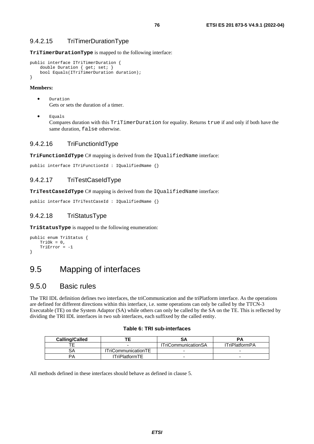#### 9.4.2.15 TriTimerDurationType

**TriTimerDurationType** is mapped to the following interface:

```
public interface ITriTimerDuration { 
    double Duration \{ get\; i \; set\; i \} bool Equals(ITriTimerDuration duration); 
}
```
#### **Members:**

- Duration Gets or sets the duration of a timer.
- Equals Compares duration with this TriTimerDuration for equality. Returns true if and only if both have the same duration, false otherwise.

#### 9.4.2.16 TriFunctionIdType

**TriFunctionIdType** C# mapping is derived from the IQualifiedName interface:

```
public interface ITriFunctionId : IQualifiedName {}
```
#### 9.4.2.17 TriTestCaseIdType

**TriTestCaseIdType** C# mapping is derived from the IQualifiedName interface:

```
public interface ITriTestCaseId : IQualifiedName {}
```
### 9.4.2.18 TriStatusType

**TriStatusType** is mapped to the following enumeration:

```
public enum TriStatus { 
     TriOk = 0, 
     TriError = -1 
}
```
## 9.5 Mapping of interfaces

## 9.5.0 Basic rules

The TRI IDL definition defines two interfaces, the triCommunication and the triPlatform interface. As the operations are defined for different directions within this interface, i.e. some operations can only be called by the TTCN-3 Executable (TE) on the System Adaptor (SA) while others can only be called by the SA on the TE. This is reflected by dividing the TRI IDL interfaces in two sub interfaces, each suffixed by the called entity.

#### **Table 6: TRI sub-interfaces**

| <b>Calling/Called</b> |                            | SΑ                         |                       |
|-----------------------|----------------------------|----------------------------|-----------------------|
|                       |                            | <b>ITriCommunicationSA</b> | <b>ITriPlatformPA</b> |
|                       | <b>ITriCommunicationTE</b> |                            |                       |
| PА                    | <b>ITriPlatformTE</b>      |                            |                       |

All methods defined in these interfaces should behave as defined in clause 5.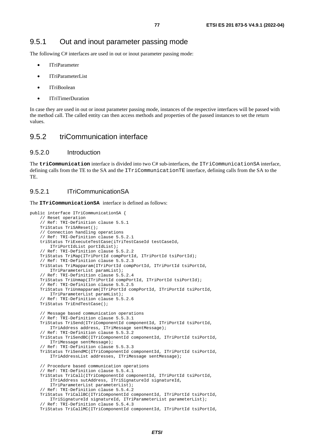The following C# interfaces are used in out or inout parameter passing mode:

- ITriParameter
- ITriParameterList
- ITriBoolean
- ITriTimerDuration

In case they are used in out or inout parameter passing mode, instances of the respective interfaces will be passed with the method call. The called entity can then access methods and properties of the passed instances to set the return values.

## 9.5.2 triCommunication interface

#### 9.5.2.0 Introduction

The **triCommunication** interface is divided into two C# sub-interfaces, the ITriCommunicationSA interface, defining calls from the TE to the SA and the ITriCommunicationTE interface, defining calls from the SA to the TE.

### 9.5.2.1 ITriCommunicationSA

#### The **ITriCommunicationSA** interface is defined as follows:

```
public interface ITriCommunicationSA { 
     // Reset operation 
     // Ref: TRI-Definition clause 5.5.1 
     TriStatus TriSAReset(); 
     // Connection handling operations 
     // Ref: TRI-Definition clause 5.5.2.1 
     triStatus TriExecuteTestCase(iTriTestCaseId testCaseId, 
         ITriPortIdList portIdList); 
     // Ref: TRI-Definition clause 5.5.2.2 
    TriStatus TriMap(ITriPortId compPortId, ITriPortId tsiPortId); 
     // Ref: TRI-Definition clause 5.5.2.3 
     TriStatus TriMapparam(ITriPortId compPortId, ITriPortId tsiPortId, 
         ITriParameterList paramList); 
     // Ref: TRI-Definition clause 5.5.2.4 
     TriStatus TriUnmap(ITriPortId compPortId, ITriPortId tsiPortId); 
     // Ref: TRI-Definition clause 5.5.2.5 
     TriStatus TriUnmapparam(ITriPortId compPortId, ITriPortId tsiPortId, 
         ITriParameterList paramList); 
     // Ref: TRI-Definition clause 5.5.2.6 
     TriStatus TriEndTestCase(); 
     // Message based communication operations 
     // Ref: TRI-Definition clause 5.5.3.1 
     TriStatus TriSend(ITriComponentId componentId, ITriPortId tsiPortId, 
         ITriAddress address, ITriMessage sentMessage); 
     // Ref: TRI-Definition clause 5.5.3.2 
     TriStatus TriSendBC(ITriComponentId componentId, ITriPortId tsiPortId, 
         ITriMessage sentMessage); 
     // Ref: TRI-Definition clause 5.5.3.3 
     TriStatus TriSendMC(ITriComponentId componentId, ITriPortId tsiPortId, 
         ITriAddressList addresses, ITriMessage sentMessage); 
     // Procedure based communication operations 
     // Ref: TRI-Definition clause 5.5.4.1 
     TriStatus TriCall(ITriComponentId componentId, ITriPortId tsiPortId, 
         ITriAddress sutAddress, ITriSignatureId signatureId, 
         ITriParameterList parameterList); 
     // Ref: TRI-Definition clause 5.5.4.2 
     TriStatus TriCallBC(ITriComponentId componentId, ITriPortId tsiPortId, 
         ITriSignatureId signatureId, ITriParameterList parameterList); 
     // Ref: TRI-Definition clause 5.5.4.3 
     TriStatus TriCallMC(ITriComponentId componentId, ITriPortId tsiPortId,
```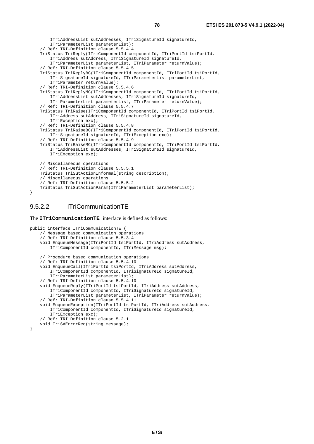```
 ITriAddressList sutAddresses, ITriSignatureId signatureId, 
     ITriParameterList parameterList); 
 // Ref: TRI-Definition clause 5.5.4.4 
 TriStatus TriReply(ITriComponentId componentId, ITriPortId tsiPortId, 
     ITriAddress sutAddress, ITriSignatureId signatureId, 
     ITriParameterList parameterList, ITriParameter returnValue); 
 // Ref: TRI-Definition clause 5.5.4.5 
 TriStatus TriReplyBC(ITriComponentId componentId, ITriPortId tsiPortId, 
     ITriSignatureId signatureId, ITriParameterList parameterList, 
     ITriParameter returnValue); 
 // Ref: TRI-Definition clause 5.5.4.6 
 TriStatus TriReplyMC(ITriComponentId componentId, ITriPortId tsiPortId, 
     ITriAddressList sutAddresses, ITriSignatureId signatureId, 
     ITriParameterList parameterList, ITriParameter returnValue); 
 // Ref: TRI-Definition clause 5.5.4.7 
 TriStatus TriRaise(ITriComponentId componentId, ITriPortId tsiPortId, 
     ITriAddress sutAddress, ITriSignatureId signatureId, 
     ITriException exc); 
 // Ref: TRI-Definition clause 5.5.4.8 
 TriStatus TriRaiseBC(ITriComponentId componentId, ITriPortId tsiPortId, 
     ITriSignatureId signatureId, ITriException exc); 
 // Ref: TRI-Definition clause 5.5.4.9 
 TriStatus TriRaiseMC(ITriComponentId componentId, ITriPortId tsiPortId, 
     ITriAddressList sutAddresses, ITriSignatureId signatureId, 
     ITriException exc); 
 // Miscellaneous operations 
 // Ref: TRI-Definition clause 5.5.5.1 
 TriStatus TriSutActionInformal(string description); 
 // Miscellaneous operations 
 // Ref: TRI-Definition clause 5.5.5.2 
 TriStatus TriSutActionParam(ITriParameterList parameterList);
```
### 9.5.2.2 ITriCommunicationTE

}

The **ITriCommunicationTE** interface is defined as follows:

```
public interface ITriCommunicationTE { 
     // Message based communication operations 
     // Ref: TRI-Definition clause 5.5.3.4 
     void EnqueueMessage(ITriPortId tsiPortId, ITriAddress sutAddress, 
         ITriComponentId componentId, ITriMessage msg); 
     // Procedure based communication operations 
     // Ref: TRI-Definition clause 5.5.4.10 
     void EnqueueCall(ITriPortId tsiPortId, ITriAddress sutAddress, 
         ITriComponentId componentId, ITriSignatureId signatureId, 
         ITriParameterList parameterList); 
     // Ref: TRI-Definition clause 5.5.4.10 
     void EnqueueReply(ITriPortId tsiPortId, ITriAddress sutAddress, 
         ITriComponentId componentId, ITriSignatureId signatureId, 
         ITriParameterList parameterList, ITriParameter returnValue); 
     // Ref: TRI-Definition clause 5.5.4.11 
     void EnqueueException(ITriPortId tsiPortId, ITriAddress sutAddress, 
         ITriComponentId componentId, ITriSignatureId signatureId, 
         ITriException exc); 
     // Ref: TRI Definition clause 5.2.1 
     void TriSAErrorReq(string message); 
}
```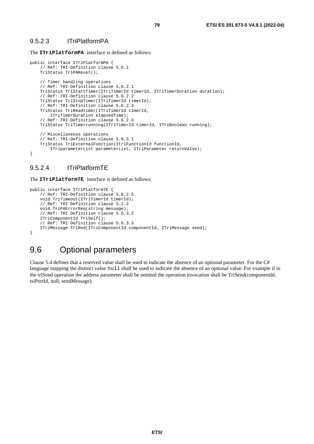#### 9.5.2.3 ITriPlatformPA

The **ITriPlatformPA** interface is defined as follows:

```
public interface ITriPlatformPA { 
     // Ref: TRI-Definition clause 5.6.1 
     TriStatus TriPAReset(); 
     // Timer handling operations 
     // Ref: TRI-Definition clause 5.6.2.1 
     TriStatus TriStartTimer(ITriTimerId timerId, ITriTimerDuration duration); 
     // Ref: TRI-Definition clause 5.6.2.2 
     TriStatus TriStopTimer(ITriTimerId timerId); 
     // Ref: TRI-Definition clause 5.6.2.3 
     TriStatus TriReadtimer(ITriTimerId timerId, 
         ITriTimerDuration elapsedTime); 
     // Ref: TRI-Definition clause 5.6.2.4 
     TriStatus TriTimerrunning(ITriTimerId timerId, ITriBoolean running); 
     // Miscellaneous operations 
     // Ref: TRI-Definition clause 5.6.3.1 
     TriStatus TriExternalFunction(ItriFunctionId functionId, 
         ITriparameterList parameterList, ITriParameter returnValue); 
}
```
#### 9.5.2.4 ITriPlatformTE

The **ITriPlatformTE** interface is defined as follows:

```
public interface ITriPlatformTE {
     // Ref: TRI-Definition clause 5.6.2.5 
     void TriTimeout(ITriTimerId timerId); 
     // Ref: TRI Definition clause 5.2.2 
     void TriPAErrorReq(string message); 
     // Ref: TRI Definition clause 5.6.3.2 
     ITriComponentId TriSelf(); 
     // Ref: TRI Definition clause 5.6.3.3 
     ITriMessage TriRnd(ITriComponentId componentId, ITriMessage seed); 
}
```
## 9.6 Optional parameters

Clause 5.4 defines that a reserved value shall be used to indicate the absence of an optional parameter. For the C# language mapping the distinct value null shall be used to indicate the absence of an optional value. For example if in the triSend operation the address parameter shall be omitted the operation invocation shall be TriSend(componentId, tsiPortId, null, sendMessage).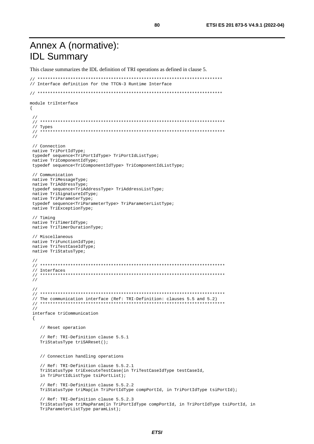This clause summarizes the IDL definition of TRI operations as defined in clause 5.

```
// ************************************************************************* 
// Interface definition for the TTCN-3 Runtime Interface 
// ************************************************************************* 
module triInterface 
{ 
  // 
  // ************************************************************************* 
  // Types 
  // ************************************************************************* 
  // 
  // Connection 
  native TriPortIdType; 
  typedef sequence<TriPortIdType> TriPortIdListType; 
  native TriComponentIdType; 
  typedef sequence<TriComponentIdType> TriComponentIdListType; 
  // Communication 
 native TriMessageType; 
  native TriAddressType; 
  typedef sequence<TriAddressType> TriAddressListType; 
  native TriSignatureIdType; 
  native TriParameterType; 
  typedef sequence<TriParameterType> TriParameterListType; 
  native TriExceptionType; 
  // Timing 
 native TriTimerIdType; 
  native TriTimerDurationType; 
  // Miscellaneous 
 native TriFunctionIdType; 
  native TriTestCaseIdType; 
  native TriStatusType; 
 // 
 // ************************************************************************* 
  // Interfaces 
  // ************************************************************************* 
  // 
  // 
  // ************************************************************************* 
  // The communication interface (Ref: TRI-Definition: clauses 5.5 and 5.2) 
  // ************************************************************************* 
  // 
  interface triCommunication 
 \left\{ \right. // Reset operation 
     // Ref: TRI-Definition clause 5.5.1 
     TriStatusType triSAReset(); 
     // Connection handling operations 
     // Ref: TRI-Definition clause 5.5.2.1 
     TriStatusType triExecuteTestCase(in TriTestCaseIdType testCaseId, 
     in TriPortIdListType tsiPortList); 
     // Ref: TRI-Definition clause 5.5.2.2 
     TriStatusType triMap(in TriPortIdType compPortId, in TriPortIdType tsiPortId); 
     // Ref: TRI-Definition clause 5.5.2.3 
     TriStatusType triMapParam(in TriPortIdType compPortId, in TriPortIdType tsiPortId, in 
     TriParameterListType paramList);
```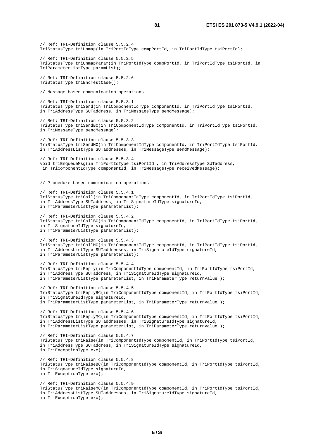// Ref: TRI-Definition clause 5.5.2.4 TriStatusType triUnmap(in TriPortIdType compPortId, in TriPortIdType tsiPortId); // Ref: TRI-Definition clause 5.5.2.5 TriStatusType triUnmapParam(in TriPortIdType compPortId, in TriPortIdType tsiPortId, in TriParameterListType paramList); // Ref: TRI-Definition clause 5.5.2.6 TriStatusType triEndTestCase(); // Message based communication operations // Ref: TRI-Definition clause 5.5.3.1 TriStatusType triSend(in TriComponentIdType componentId, in TriPortIdType tsiPortId, in TriAddressType SUTaddress, in TriMessageType sendMessage); // Ref: TRI-Definition clause 5.5.3.2 TriStatusType triSendBC(in TriComponentIdType componentId, in TriPortIdType tsiPortId, in TriMessageType sendMessage); // Ref: TRI-Definition clause 5.5.3.3 TriStatusType triSendMC(in TriComponentIdType componentId, in TriPortIdType tsiPortId, in TriAddressListType SUTaddresses, in TriMessageType sendMessage); // Ref: TRI-Definition clause 5.5.3.4 void triEnqueueMsg(in TriPortIdType tsiPortId , in TriAddressType SUTaddress, in TriComponentIdType componentId, in TriMessageType receivedMessage); // Procedure based communication operations // Ref: TRI-Definition clause 5.5.4.1 TriStatusType triCall(in TriComponentIdType componentId, in TriPortIdType tsiPortId, in TriAddressType SUTaddress, in TriSignatureIdType signatureId, in TriParameterListType parameterList); // Ref: TRI-Definition clause 5.5.4.2 TriStatusType triCallBC(in TriComponentIdType componentId, in TriPortIdType tsiPortId, in TriSignatureIdType signatureId, in TriParameterListType parameterList); // Ref: TRI-Definition clause 5.5.4.3 TriStatusType triCallMC(in TriComponentIdType componentId, in TriPortIdType tsiPortId, in TriAddressListType SUTaddresses, in TriSignatureIdType signatureId, in TriParameterListType parameterList); // Ref: TRI-Definition clause 5.5.4.4 TriStatusType triReply(in TriComponentIdType componentId, in TriPortIdType tsiPortId, in TriAddressType SUTaddress, in TriSignatureIdType signatureId, in TriParameterListType parameterList, in TriParameterType returnValue ); // Ref: TRI-Definition clause 5.5.4.5 TriStatusType triReplyBC(in TriComponentIdType componentId, in TriPortIdType tsiPortId, in TriSignatureIdType signatureId, in TriParameterListType parameterList, in TriParameterType returnValue ); // Ref: TRI-Definition clause 5.5.4.6 TriStatusType triReplyMC(in TriComponentIdType componentId, in TriPortIdType tsiPortId, in TriAddressListType SUTaddresses, in TriSignatureIdType signatureId, in TriParameterListType parameterList, in TriParameterType returnValue ); // Ref: TRI-Definition clause 5.5.4.7 TriStatusType triRaise(in TriComponentIdType componentId, in TriPortIdType tsiPortId, in TriAddressType SUTaddress, in TriSignatureIdType signatureId, in TriExceptionType exc); // Ref: TRI-Definition clause 5.5.4.8 TriStatusType triRaiseBC(in TriComponentIdType componentId, in TriPortIdType tsiPortId, in TriSignatureIdType signatureId, in TriExceptionType exc); // Ref: TRI-Definition clause 5.5.4.9 TriStatusType triRaiseMC(in TriComponentIdType componentId, in TriPortIdType tsiPortId, in TriAddressListType SUTaddresses, in TriSignatureIdType signatureId, in TriExceptionType exc);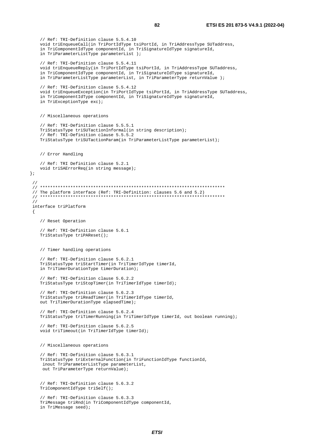```
 // Ref: TRI-Definition clause 5.5.4.10 
    void triEnqueueCall(in TriPortIdType tsiPortId, in TriAddressType SUTaddress, 
    in TriComponentIdType componentId, in TriSignatureIdType signatureId, 
    in TriParameterListType parameterList ); 
    // Ref: TRI-Definition clause 5.5.4.11 
    void triEnqueueReply(in TriPortIdType tsiPortId, in TriAddressType SUTaddress, 
    in TriComponentIdType componentId, in TriSignatureIdType signatureId, 
    in TriParameterListType parameterList, in TriParameterType returnValue ); 
    // Ref: TRI-Definition clause 5.5.4.12 
   void triEnqueueException(in TriPortIdType tsiPortId, in TriAddressType SUTaddress,
    in TriComponentIdType componentId, in TriSignatureIdType signatureId, 
    in TriExceptionType exc); 
   // Miscellaneous operations 
    // Ref: TRI-Definition clause 5.5.5.1 
   TriStatusType triSUTactionInformal(in string description); 
    // Ref: TRI-Definition clause 5.5.5.2 
  TriStatusType triSUTactionParam(in TriParameterListType parameterList);
    // Error Handling 
    // Ref: TRI Definition clause 5.2.1 
    void triSAErrorReq(in string message); 
 // 
 // ************************************************************************* 
 // The platform interface (Ref: TRI-Definition: clauses 5.6 and 5.2) 
 // ************************************************************************* 
 // 
 interface triPlatform 
   // Reset Operation 
    // Ref: TRI-Definition clause 5.6.1 
   TriStatusType triPAReset(); 
    // Timer handling operations 
    // Ref: TRI-Definition clause 5.6.2.1 
    TriStatusType triStartTimer(in TriTimerIdType timerId, 
    in TriTimerDurationType timerDuration); 
    // Ref: TRI-Definition clause 5.6.2.2 
   TriStatusType triStopTimer(in TriTimerIdType timerId); 
    // Ref: TRI-Definition clause 5.6.2.3 
    TriStatusType triReadTimer(in TriTimerIdType timerId, 
   out TriTimerDurationType elapsedTime); 
    // Ref: TRI-Definition clause 5.6.2.4 
    TriStatusType triTimerRunning(in TriTimerIdType timerId, out boolean running); 
    // Ref: TRI-Definition clause 5.6.2.5 
    void triTimeout(in TriTimerIdType timerId); 
    // Miscellaneous operations 
    // Ref: TRI-Definition clause 5.6.3.1 
    TriStatusType triExternalFunction(in TriFunctionIdType functionId, 
    inout TriParameterListType parameterList, 
    out TriParameterType returnValue); 
    // Ref: TRI-Definition clause 5.6.3.2 
   TriComponentIdType triSelf(); 
    // Ref: TRI-Definition clause 5.6.3.3 
    TriMessage triRnd(in TriComponentIdType componentId, 
    in TriMessage seed);
```
};

{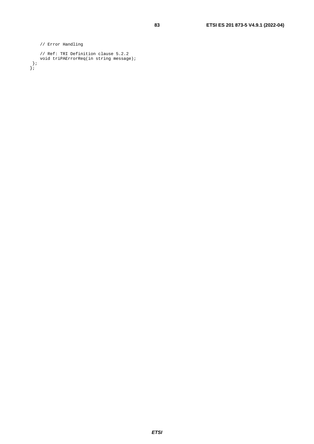```
 // Error Handling 
 // Ref: TRI Definition clause 5.2.2 
 void triPAErrorReq(in string message); 
 }; 
};
```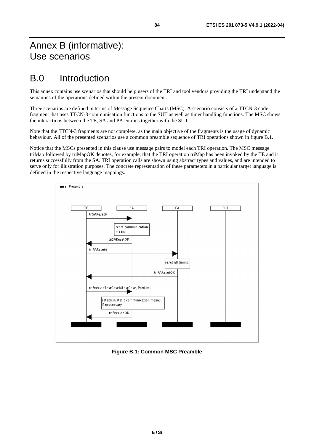# Annex B (informative): Use scenarios

# B.0 Introduction

This annex contains use scenarios that should help users of the TRI and tool vendors providing the TRI understand the semantics of the operations defined within the present document.

Three scenarios are defined in terms of Message Sequence Charts (MSC). A scenario consists of a TTCN-3 code fragment that uses TTCN-3 communication functions to the SUT as well as timer handling functions. The MSC shows the interactions between the TE, SA and PA entities together with the SUT.

Note that the TTCN-3 fragments are not complete, as the main objective of the fragments is the usage of dynamic behaviour. All of the presented scenarios use a common preamble sequence of TRI operations shown in figure B.1.

Notice that the MSCs presented in this clause use message pairs to model each TRI operation. The MSC message triMap followed by triMapOK denotes, for example, that the TRI operation triMap has been invoked by the TE and it returns successfully from the SA. TRI operation calls are shown using abstract types and values, and are intended to serve only for illustration purposes. The concrete representation of these parameters in a particular target language is defined in the respective language mappings.



**Figure B.1: Common MSC Preamble**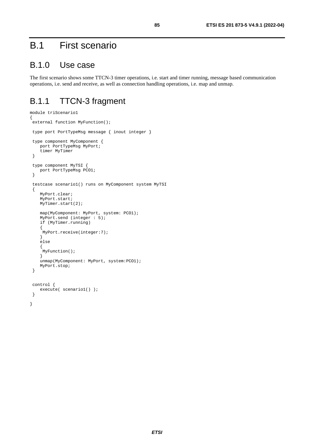# B.1 First scenario

## B.1.0 Use case

The first scenario shows some TTCN-3 timer operations, i.e. start and timer running, message based communication operations, i.e. send and receive, as well as connection handling operations, i.e. map and unmap.

## B.1.1 TTCN-3 fragment

```
module triScenario1 
{ 
 external function MyFunction();
  type port PortTypeMsg message { inout integer } 
  type component MyComponent { 
     port PortTypeMsg MyPort; 
     timer MyTimer 
  } 
  type component MyTSI { 
    port PortTypeMsg PCO1;
  } 
  testcase scenario1() runs on MyComponent system MyTSI 
  { 
     MyPort.clear; 
     MyPort.start; 
     MyTimer.start(2); 
     map(MyComponent: MyPort, system: PCO1); 
     MyPort.send (integer : 5); 
     if (MyTimer.running) 
     { 
      MyPort.receive(integer:7); 
     } 
     else 
      { 
      MyFunction(); 
     } 
     unmap(MyComponent: MyPort, system:PCO1); 
     MyPort.stop; 
  } 
  control { 
     execute( scenario1() ); 
 } 
}
```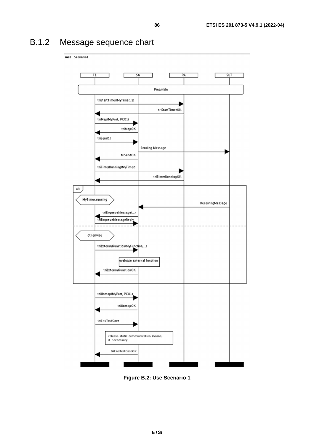# B.1.2 Message sequence chart



**Figure B.2: Use Scenario 1**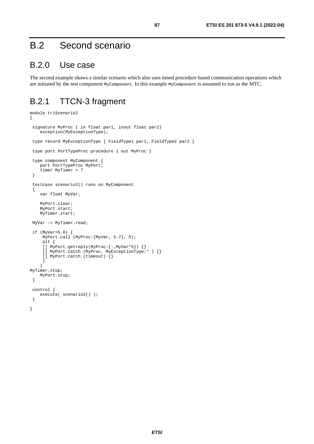# B.2 Second scenario

## B.2.0 Use case

The second example shows a similar scenario which also uses timed procedure based communication operations which are initiated by the test component MyComponent. In this example MyComponent is assumed to run as the MTC.

# B.2.1 TTCN-3 fragment

```
module triScenario2 
{ 
  signature MyProc ( in float par1, inout float par2) 
    exception(MyExceptionType);
  type record MyExceptionType { FieldType1 par1, FieldType2 par2 } 
  type port PortTypeProc procedure { out MyProc } 
  type component MyComponent { 
     port PortTypeProc MyPort; 
    timer MyTimer = 7
  } 
  testcase scenario2() runs on MyComponent 
 \mathcal{L}_{\mathcal{L}} var float MyVar; 
     MyPort.clear; 
     MyPort.start; 
    MyTimer.start;
  MyVar := MyTimer.read; 
 if (MyVar>5.0) { 
 MyPort.call (MyProc:{MyVar, 5.7}, 5); 
      alt { 
     [] MyPort.getreply(MyProc: {-, MyVar*5}) {}
      [] MyPort.catch (MyProc, MyExceptionType:* ) {} 
      [] MyPort.catch (timeout) {} 
      } 
     } 
MyTimer.stop; 
     MyPort.stop; 
  } 
  control { 
     execute( scenario2() ); 
 } 
}
```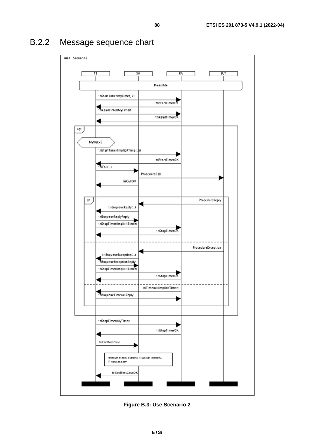## msc Scenario2 ΤF PA **SUT**  $\overline{\mathsf{S}}$ Preamble triStartTimer0AyTimer, 7) triStanTimerOK triReadTimerDAyTimen triReadTimerOK opt MyVar>5 triStartTimerúmplicitTimer, 5 triStartTimerOK triCall(.) ProcedureCall triCallOK alt ProcedureReply triEnqueueReplyC.J triEnqueueReplyReply triStopTimerlimplicitTimen triStopTimerOK ProcedureException triEnqueueExceptionC.J triEnqueueExceptionReply triStopTimerlimplicitTimen triStopTimerOK triTimeout(implicitTimen) triEnqueueTimeoutReply triStopTimer(MyTimer) triStopTimerOK triEndTestCase release static communication means, If neccessary triEndTestCaseOK

# B.2.2 Message sequence chart

**Figure B.3: Use Scenario 2**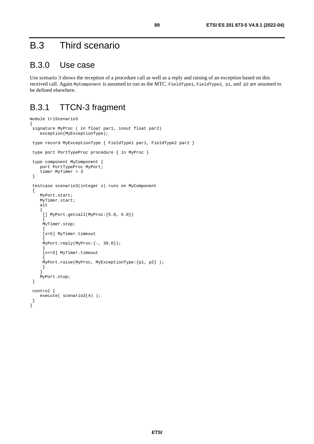# B.3 Third scenario

## B.3.0 Use case

Use scenario 3 shows the reception of a procedure call as well as a reply and raising of an exception based on this received call. Again MyComponent is assumed to run as the MTC. FieldType1, FieldType2, p1, and p2 are assumed to be defined elsewhere.

## B.3.1 TTCN-3 fragment

```
module triScenario3 
{ 
  signature MyProc ( in float par1, inout float par2) 
      exception(MyExceptionType); 
  type record MyExceptionType { FieldType1 par1, FieldType2 par2 } 
  type port PortTypeProc procedure { in MyProc } 
  type component MyComponent { 
     port PortTypeProc MyPort; 
     timer MyTimer = 3
  } 
  testcase scenario3(integer x) runs on MyComponent 
 \left\{ \right. MyPort.start; 
     MyTimer.start; 
      alt 
      { 
       [] MyPort.getcall(MyProc:{5.0, 6.0}) 
\left\{\begin{array}{ccc} \end{array}\right\} MyTimer.stop; 
 } 
       [x>5] MyTimer.timeout 
\left\{\begin{array}{ccc} \end{array}\right\} MyPort.reply(MyProc:{-, 30.0}); 
 } 
       [x<=5] MyTimer.timeout 
\sim \sim \sim \sim MyPort.raise(MyProc, MyExceptionType:{p1, p2} ); 
       } 
      } 
      MyPort.stop; 
  } 
  control { 
      execute( scenario3(4) ); 
  } 
}
```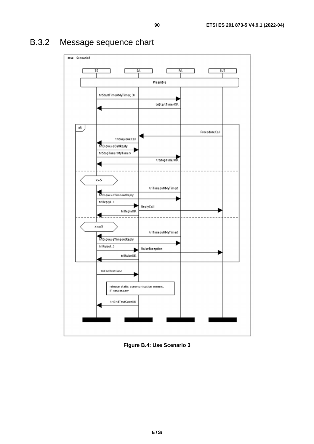

# B.3.2 Message sequence chart

**Figure B.4: Use Scenario 3**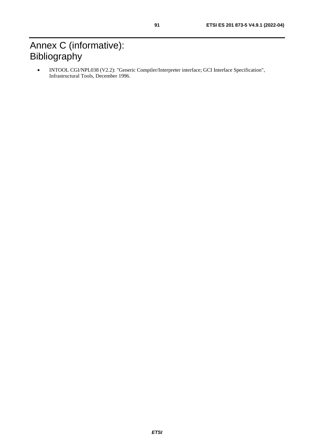# Annex C (informative): Bibliography

• INTOOL CGI/NPL038 (V2.2): "Generic Compiler/Interpreter interface; GCI Interface Specification", Infrastructural Tools, December 1996.